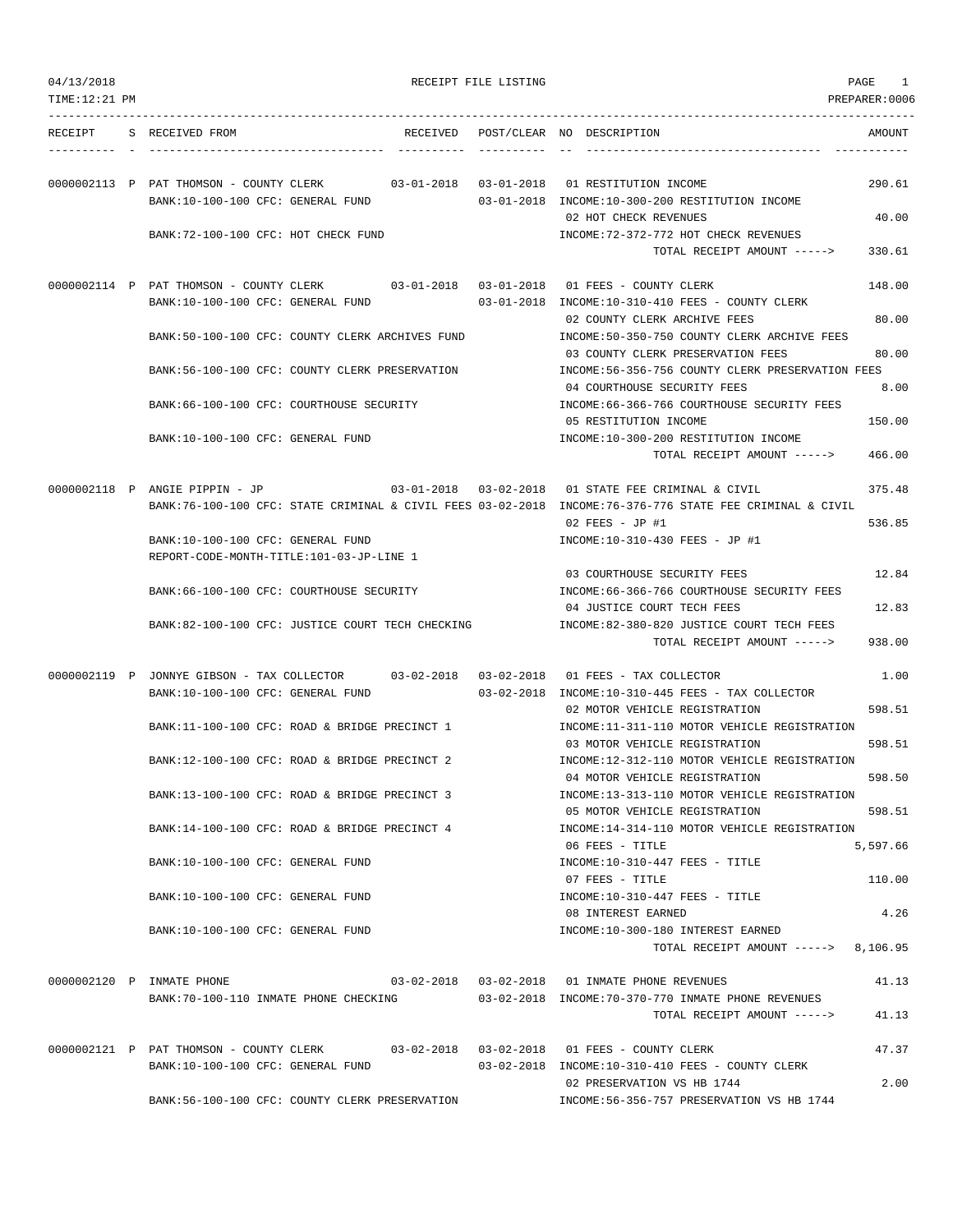| 04/13/2018<br>TIME:12:21 PM |                                                                                                                                            | RECEIPT FILE LISTING | PAGE                                                                                                             | 1<br>PREPARER: 0006 |
|-----------------------------|--------------------------------------------------------------------------------------------------------------------------------------------|----------------------|------------------------------------------------------------------------------------------------------------------|---------------------|
|                             | RECEIPT S RECEIVED FROM                                                                                                                    |                      | RECEIVED POST/CLEAR NO DESCRIPTION                                                                               | AMOUNT              |
|                             | 0000002113 P PAT THOMSON - COUNTY CLERK<br>$0.3 - 0.1 - 2.018$ $0.3 - 0.1 - 2.018$<br>BANK:10-100-100 CFC: GENERAL FUND                    |                      | 01 RESTITUTION INCOME<br>03-01-2018 INCOME:10-300-200 RESTITUTION INCOME<br>02 HOT CHECK REVENUES                | 290.61<br>40.00     |
|                             | BANK: 72-100-100 CFC: HOT CHECK FUND                                                                                                       |                      | INCOME: 72-372-772 HOT CHECK REVENUES<br>TOTAL RECEIPT AMOUNT ----->                                             | 330.61              |
|                             | 0000002114 P PAT THOMSON - COUNTY CLERK 03-01-2018 03-01-2018 01 FEES - COUNTY CLERK<br>BANK:10-100-100 CFC: GENERAL FUND                  |                      | 03-01-2018 INCOME:10-310-410 FEES - COUNTY CLERK                                                                 | 148.00              |
|                             | BANK:50-100-100 CFC: COUNTY CLERK ARCHIVES FUND                                                                                            |                      | 02 COUNTY CLERK ARCHIVE FEES<br>INCOME:50-350-750 COUNTY CLERK ARCHIVE FEES<br>03 COUNTY CLERK PRESERVATION FEES | 80.00<br>80.00      |
|                             | BANK:56-100-100 CFC: COUNTY CLERK PRESERVATION                                                                                             |                      | INCOME:56-356-756 COUNTY CLERK PRESERVATION FEES<br>04 COURTHOUSE SECURITY FEES                                  | 8.00                |
|                             | BANK: 66-100-100 CFC: COURTHOUSE SECURITY<br>BANK:10-100-100 CFC: GENERAL FUND                                                             |                      | INCOME: 66-366-766 COURTHOUSE SECURITY FEES<br>05 RESTITUTION INCOME<br>INCOME:10-300-200 RESTITUTION INCOME     | 150.00              |
|                             |                                                                                                                                            |                      | TOTAL RECEIPT AMOUNT ----->                                                                                      | 466.00              |
|                             | 0000002118 P ANGIE PIPPIN - JP<br>BANK:76-100-100 CFC: STATE CRIMINAL & CIVIL FEES 03-02-2018 INCOME:76-376-776 STATE FEE CRIMINAL & CIVIL |                      | 03-01-2018  03-02-2018  01 STATE FEE CRIMINAL & CIVIL<br>02 FEES - JP #1                                         | 375.48<br>536.85    |
|                             | BANK:10-100-100 CFC: GENERAL FUND<br>REPORT-CODE-MONTH-TITLE:101-03-JP-LINE 1                                                              |                      | INCOME:10-310-430 FEES - JP #1                                                                                   |                     |
|                             | BANK:66-100-100 CFC: COURTHOUSE SECURITY                                                                                                   |                      | 03 COURTHOUSE SECURITY FEES<br>INCOME: 66-366-766 COURTHOUSE SECURITY FEES<br>04 JUSTICE COURT TECH FEES         | 12.84<br>12.83      |
|                             | BANK:82-100-100 CFC: JUSTICE COURT TECH CHECKING                                                                                           |                      | INCOME:82-380-820 JUSTICE COURT TECH FEES<br>TOTAL RECEIPT AMOUNT ----->                                         | 938.00              |
|                             | 0000002119 P JONNYE GIBSON - TAX COLLECTOR<br>BANK:10-100-100 CFC: GENERAL FUND                                                            |                      | 03-02-2018  03-02-2018  01 FEES - TAX COLLECTOR<br>$03-02-2018$ INCOME:10-310-445 FEES - TAX COLLECTOR           | 1.00                |
|                             | BANK:11-100-100 CFC: ROAD & BRIDGE PRECINCT 1                                                                                              |                      | 02 MOTOR VEHICLE REGISTRATION<br>INCOME:11-311-110 MOTOR VEHICLE REGISTRATION                                    | 598.51              |
|                             | BANK:12-100-100 CFC: ROAD & BRIDGE PRECINCT 2                                                                                              |                      | 03 MOTOR VEHICLE REGISTRATION<br>INCOME:12-312-110 MOTOR VEHICLE REGISTRATION<br>04 MOTOR VEHICLE REGISTRATION   | 598.51<br>598.50    |
|                             | BANK:13-100-100 CFC: ROAD & BRIDGE PRECINCT 3<br>BANK:14-100-100 CFC: ROAD & BRIDGE PRECINCT 4                                             |                      | INCOME:13-313-110 MOTOR VEHICLE REGISTRATION<br>05 MOTOR VEHICLE REGISTRATION                                    | 598.51              |
|                             | BANK:10-100-100 CFC: GENERAL FUND                                                                                                          |                      | INCOME:14-314-110 MOTOR VEHICLE REGISTRATION<br>06 FEES - TITLE<br>INCOME:10-310-447 FEES - TITLE                | 5,597.66            |
|                             | BANK:10-100-100 CFC: GENERAL FUND                                                                                                          |                      | 07 FEES - TITLE<br>$INCOME: 10-310-447$ FEES - TITLE<br>08 INTEREST EARNED                                       | 110.00<br>4.26      |
|                             | BANK:10-100-100 CFC: GENERAL FUND                                                                                                          |                      | INCOME:10-300-180 INTEREST EARNED<br>TOTAL RECEIPT AMOUNT -----> 8,106.95                                        |                     |
|                             | 0000002120 P INMATE PHONE<br>BANK:70-100-110 INMATE PHONE CHECKING                                                                         |                      | 03-02-2018  03-02-2018  01 INMATE PHONE REVENUES<br>03-02-2018 INCOME:70-370-770 INMATE PHONE REVENUES           | 41.13               |
|                             |                                                                                                                                            |                      | TOTAL RECEIPT AMOUNT ----->                                                                                      | 41.13               |
|                             | 0000002121 P PAT THOMSON - COUNTY CLERK 03-02-2018 03-02-2018 01 FEES - COUNTY CLERK<br>BANK:10-100-100 CFC: GENERAL FUND                  |                      | 03-02-2018 INCOME:10-310-410 FEES - COUNTY CLERK                                                                 | 47.37               |
|                             | BANK:56-100-100 CFC: COUNTY CLERK PRESERVATION                                                                                             |                      | 02 PRESERVATION VS HB 1744<br>INCOME: 56-356-757 PRESERVATION VS HB 1744                                         | 2.00                |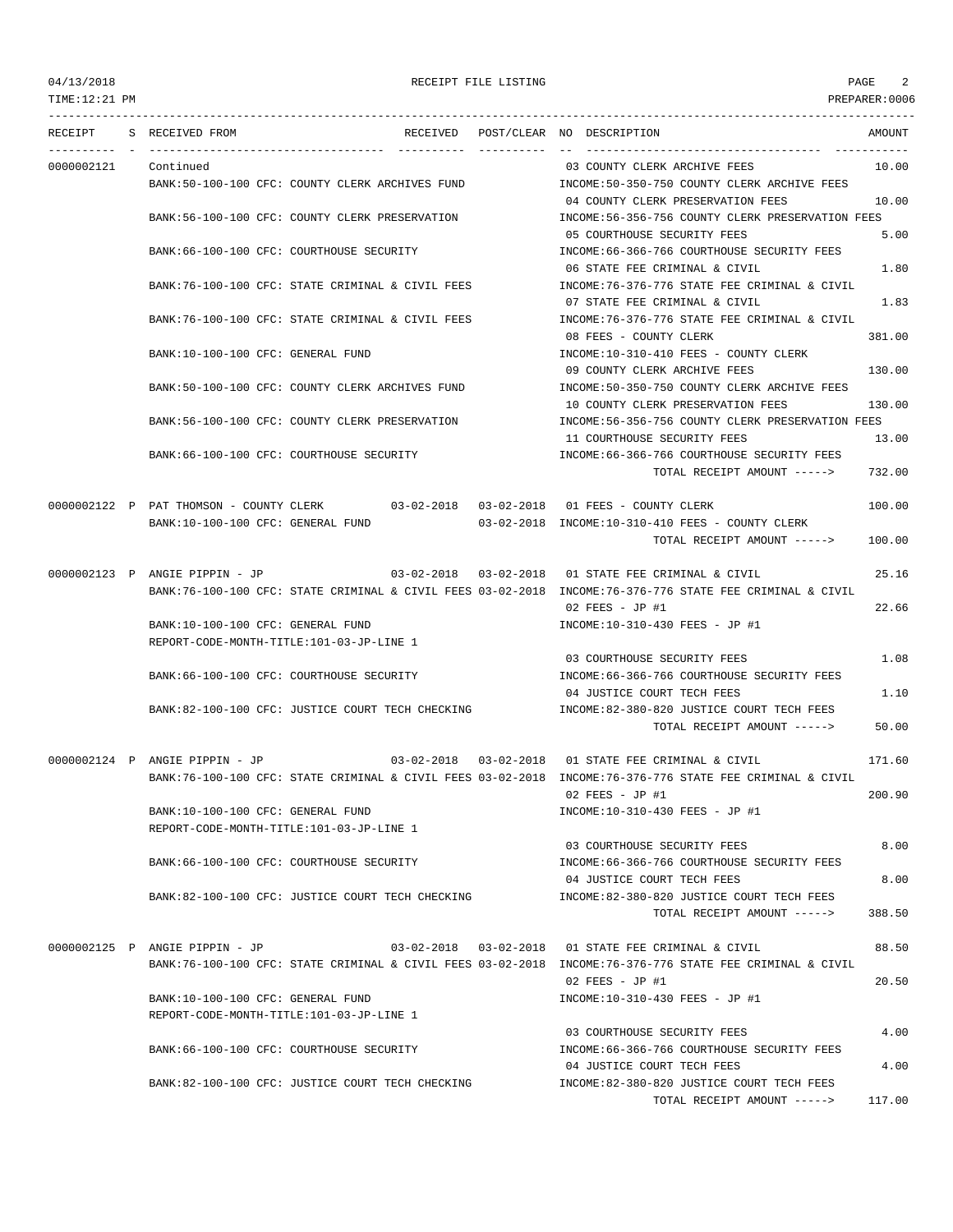TOTAL RECEIPT AMOUNT -----> 117.00

TIME:12:21 PM PREPARER:0006 --------------------------------------------------------------------------------------------------------------------------------- RECEIPT S RECEIVED FROM THE SECEIVED RECEIVED POST/CLEAR NO DESCRIPTION THE SECEIVED AMOUNT ---------- - ----------------------------------- ---------- ---------- -- ----------------------------------- ----------- 0000002121 Continued 03 COUNTY CLERK ARCHIVE FEES 10.00 BANK:50-100-100 CFC: COUNTY CLERK ARCHIVES FUND INCOME:50-350-750 COUNTY CLERK ARCHIVE FEES 04 COUNTY CLERK PRESERVATION FEES 10.00 BANK:56-100-100 CFC: COUNTY CLERK PRESERVATION INCOME:56-356-756 COUNTY CLERK PRESERVATION FEES 05 COURTHOUSE SECURITY FEES 5.00 BANK:66-100-100 CFC: COURTHOUSE SECURITY INCOME:66-366-766 COURTHOUSE SECURITY FEES 06 STATE FEE CRIMINAL & CIVIL 1.80 BANK:76-100-100 CFC: STATE CRIMINAL & CIVIL FEES INCOME:76-376-776 STATE FEE CRIMINAL & CIVIL 07 STATE FEE CRIMINAL & CIVIL 1.83 BANK:76-100-100 CFC: STATE CRIMINAL & CIVIL FEES INCOME:76-376-776 STATE FEE CRIMINAL & CIVIL 08 FEES - COUNTY CLERK 381.00 BANK:10-100-100 CFC: GENERAL FUND INCOME:10-310-410 FEES - COUNTY CLERK 09 COUNTY CLERK ARCHIVE FEES 130.00 BANK:50-100-100 CFC: COUNTY CLERK ARCHIVES FUND INCOME:50-350-750 COUNTY CLERK ARCHIVE FEES 10 COUNTY CLERK PRESERVATION FEES 130.00 BANK:56-100-100 CFC: COUNTY CLERK PRESERVATION INCOME:56-356-756 COUNTY CLERK PRESERVATION FEES 11 COURTHOUSE SECURITY FEES 13.00 BANK:66-100-100 CFC: COURTHOUSE SECURITY **INCOME:66-366-766 COURTHOUSE SECURITY FEES** TOTAL RECEIPT AMOUNT -----> 732.00 0000002122 P PAT THOMSON - COUNTY CLERK 03-02-2018 03-02-2018 01 FEES - COUNTY CLERK 100.00 BANK:10-100-100 CFC: GENERAL FUND 03-02-2018 INCOME:10-310-410 FEES - COUNTY CLERK TOTAL RECEIPT AMOUNT -----> 100.00 0000002123 P ANGIE PIPPIN - JP 03-02-2018 03-02-2018 01 STATE FEE CRIMINAL & CIVIL 25.16 BANK:76-100-100 CFC: STATE CRIMINAL & CIVIL FEES 03-02-2018 INCOME:76-376-776 STATE FEE CRIMINAL & CIVIL 02 FEES - JP #1 22.66 BANK:10-100-100 CFC: GENERAL FUND INCOME:10-310-430 FEES - JP #1 REPORT-CODE-MONTH-TITLE:101-03-JP-LINE 1 03 COURTHOUSE SECURITY FEES 1.08 BANK:66-100-100 CFC: COURTHOUSE SECURITY INCOME:66-366-766 COURTHOUSE SECURITY FEES 04 JUSTICE COURT TECH FEES 1.10 BANK:82-100-100 CFC: JUSTICE COURT TECH CHECKING INCOME:82-380-820 JUSTICE COURT TECH FEES TOTAL RECEIPT AMOUNT -----> 50.00 0000002124 P ANGIE PIPPIN - JP 03-02-2018 03-02-2018 01 STATE FEE CRIMINAL & CIVIL 171.60 BANK:76-100-100 CFC: STATE CRIMINAL & CIVIL FEES 03-02-2018 INCOME:76-376-776 STATE FEE CRIMINAL & CIVIL  $0.2$  FEES - JP #1 200.90 BANK:10-100-100 CFC: GENERAL FUND INCOME:10-310-430 FEES - JP #1 REPORT-CODE-MONTH-TITLE:101-03-JP-LINE 1 03 COURTHOUSE SECURITY FEES 8.00 BANK:66-100-100 CFC: COURTHOUSE SECURITY INCOME:66-366-766 COURTHOUSE SECURITY FEES 04 JUSTICE COURT TECH FEES 8.00 BANK:82-100-100 CFC: JUSTICE COURT TECH CHECKING INCOME:82-380-820 JUSTICE COURT TECH FEES TOTAL RECEIPT AMOUNT -----> 388.50 0000002125 P ANGIE PIPPIN - JP 03-02-2018 03-02-2018 01 STATE FEE CRIMINAL & CIVIL 88.50 BANK:76-100-100 CFC: STATE CRIMINAL & CIVIL FEES 03-02-2018 INCOME:76-376-776 STATE FEE CRIMINAL & CIVIL 02 FEES - JP #1 20.50 BANK:10-100-100 CFC: GENERAL FUND INCOME:10-310-430 FEES - JP #1 REPORT-CODE-MONTH-TITLE:101-03-JP-LINE 1 03 COURTHOUSE SECURITY FEES 4.00 BANK:66-100-100 CFC: COURTHOUSE SECURITY INCOME:66-366-766 COURTHOUSE SECURITY FEES 04 JUSTICE COURT TECH FEES 4.00 BANK:82-100-100 CFC: JUSTICE COURT TECH CHECKING INCOME:82-380-820 JUSTICE COURT TECH FEES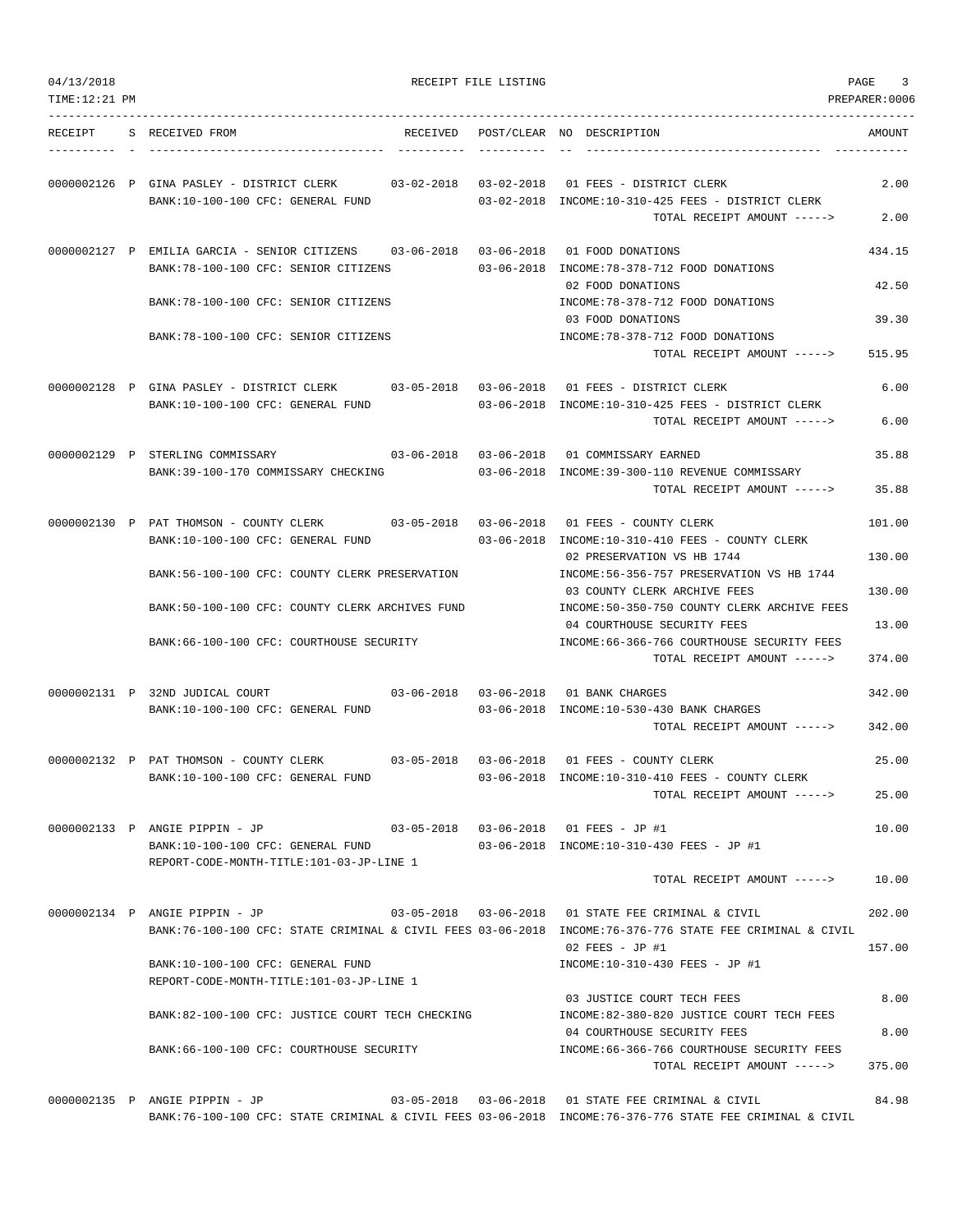| 04/13/2018<br>TIME:12:21 PM |                                                                                                                               |          | RECEIPT FILE LISTING |                                                                                                                                                                   | PAGE<br>3<br>PREPARER: 0006 |
|-----------------------------|-------------------------------------------------------------------------------------------------------------------------------|----------|----------------------|-------------------------------------------------------------------------------------------------------------------------------------------------------------------|-----------------------------|
| RECEIPT                     | S RECEIVED FROM                                                                                                               | RECEIVED |                      | POST/CLEAR NO DESCRIPTION                                                                                                                                         | AMOUNT                      |
|                             | 0000002126 P GINA PASLEY - DISTRICT CLERK<br>BANK:10-100-100 CFC: GENERAL FUND                                                |          |                      | 03-02-2018  03-02-2018  01  FEES - DISTRICT CLERK<br>03-02-2018 INCOME:10-310-425 FEES - DISTRICT CLERK                                                           | 2.00                        |
|                             |                                                                                                                               |          |                      | TOTAL RECEIPT AMOUNT ----->                                                                                                                                       | 2.00                        |
|                             | 0000002127 P EMILIA GARCIA - SENIOR CITIZENS 03-06-2018 03-06-2018 01 FOOD DONATIONS<br>BANK: 78-100-100 CFC: SENIOR CITIZENS |          |                      | 03-06-2018 INCOME: 78-378-712 FOOD DONATIONS                                                                                                                      | 434.15                      |
|                             | BANK: 78-100-100 CFC: SENIOR CITIZENS                                                                                         |          |                      | 02 FOOD DONATIONS<br>INCOME: 78-378-712 FOOD DONATIONS                                                                                                            | 42.50                       |
|                             | BANK: 78-100-100 CFC: SENIOR CITIZENS                                                                                         |          |                      | 03 FOOD DONATIONS<br>INCOME: 78-378-712 FOOD DONATIONS                                                                                                            | 39.30                       |
|                             |                                                                                                                               |          |                      | TOTAL RECEIPT AMOUNT ----->                                                                                                                                       | 515.95                      |
|                             | 0000002128 P GINA PASLEY - DISTRICT CLERK<br>BANK:10-100-100 CFC: GENERAL FUND                                                |          |                      | 03-05-2018  03-06-2018  01 FEES - DISTRICT CLERK<br>$0.3-0.6-2.01.8$ INCOME:10-310-425 FEES - DISTRICT CLERK                                                      | 6.00                        |
|                             |                                                                                                                               |          |                      | TOTAL RECEIPT AMOUNT ----->                                                                                                                                       | 6.00                        |
|                             | 0000002129 P STERLING COMMISSARY<br>BANK:39-100-170 COMMISSARY CHECKING                                                       |          |                      | 03-06-2018 INCOME:39-300-110 REVENUE COMMISSARY                                                                                                                   | 35.88                       |
|                             |                                                                                                                               |          |                      | TOTAL RECEIPT AMOUNT ----->                                                                                                                                       | 35.88                       |
|                             | 0000002130 P PAT THOMSON - COUNTY CLERK 03-05-2018 03-06-2018 01 FEES - COUNTY CLERK<br>BANK:10-100-100 CFC: GENERAL FUND     |          |                      | $03-06-2018$ INCOME:10-310-410 FEES - COUNTY CLERK                                                                                                                | 101.00                      |
|                             | BANK:56-100-100 CFC: COUNTY CLERK PRESERVATION                                                                                |          |                      | 02 PRESERVATION VS HB 1744<br>INCOME: 56-356-757 PRESERVATION VS HB 1744                                                                                          | 130.00                      |
|                             |                                                                                                                               |          |                      | 03 COUNTY CLERK ARCHIVE FEES                                                                                                                                      | 130.00                      |
|                             | BANK:50-100-100 CFC: COUNTY CLERK ARCHIVES FUND<br>BANK:66-100-100 CFC: COURTHOUSE SECURITY                                   |          |                      | INCOME:50-350-750 COUNTY CLERK ARCHIVE FEES<br>04 COURTHOUSE SECURITY FEES<br>INCOME:66-366-766 COURTHOUSE SECURITY FEES                                          | 13.00                       |
|                             |                                                                                                                               |          |                      | TOTAL RECEIPT AMOUNT ----->                                                                                                                                       | 374.00                      |
|                             | 0000002131 P 32ND JUDICAL COURT                                                                                               |          |                      | 03-06-2018  03-06-2018  01 BANK CHARGES                                                                                                                           | 342.00                      |
|                             | BANK:10-100-100 CFC: GENERAL FUND                                                                                             |          |                      | 03-06-2018 INCOME:10-530-430 BANK CHARGES<br>TOTAL RECEIPT AMOUNT ----->                                                                                          | 342.00                      |
|                             | 0000002132 P PAT THOMSON - COUNTY CLERK                                                                                       |          |                      | 03-05-2018  03-06-2018  01 FEES - COUNTY CLERK                                                                                                                    | 25.00                       |
|                             | BANK:10-100-100 CFC: GENERAL FUND                                                                                             |          |                      | 03-06-2018 INCOME:10-310-410 FEES - COUNTY CLERK<br>TOTAL RECEIPT AMOUNT ----->                                                                                   | 25.00                       |
|                             | 0000002133 P ANGIE PIPPIN - JP                                                                                                |          |                      | 03-05-2018  03-06-2018  01 FEES - JP #1                                                                                                                           | 10.00                       |
|                             | BANK:10-100-100 CFC: GENERAL FUND                                                                                             |          |                      | 03-06-2018 INCOME:10-310-430 FEES - JP #1                                                                                                                         |                             |
|                             | REPORT-CODE-MONTH-TITLE:101-03-JP-LINE 1                                                                                      |          |                      | TOTAL RECEIPT AMOUNT ----->                                                                                                                                       | 10.00                       |
|                             | 0000002134 P ANGIE PIPPIN - JP                                                                                                |          |                      | 03-05-2018  03-06-2018  01 STATE FEE CRIMINAL & CIVIL                                                                                                             | 202.00                      |
|                             |                                                                                                                               |          |                      | BANK:76-100-100 CFC: STATE CRIMINAL & CIVIL FEES 03-06-2018 INCOME:76-376-776 STATE FEE CRIMINAL & CIVIL<br>$02$ FEES - JP #1                                     | 157.00                      |
|                             | BANK:10-100-100 CFC: GENERAL FUND<br>REPORT-CODE-MONTH-TITLE:101-03-JP-LINE 1                                                 |          |                      | INCOME:10-310-430 FEES - JP #1                                                                                                                                    |                             |
|                             | BANK:82-100-100 CFC: JUSTICE COURT TECH CHECKING                                                                              |          |                      | 03 JUSTICE COURT TECH FEES<br>INCOME:82-380-820 JUSTICE COURT TECH FEES                                                                                           | 8.00                        |
|                             | BANK:66-100-100 CFC: COURTHOUSE SECURITY                                                                                      |          |                      | 04 COURTHOUSE SECURITY FEES<br>INCOME:66-366-766 COURTHOUSE SECURITY FEES                                                                                         | 8.00                        |
|                             |                                                                                                                               |          |                      | TOTAL RECEIPT AMOUNT ----->                                                                                                                                       | 375.00                      |
|                             | 0000002135 P ANGIE PIPPIN - JP                                                                                                |          |                      | 03-05-2018  03-06-2018  01 STATE FEE CRIMINAL & CIVIL<br>BANK:76-100-100 CFC: STATE CRIMINAL & CIVIL FEES 03-06-2018 INCOME:76-376-776 STATE FEE CRIMINAL & CIVIL | 84.98                       |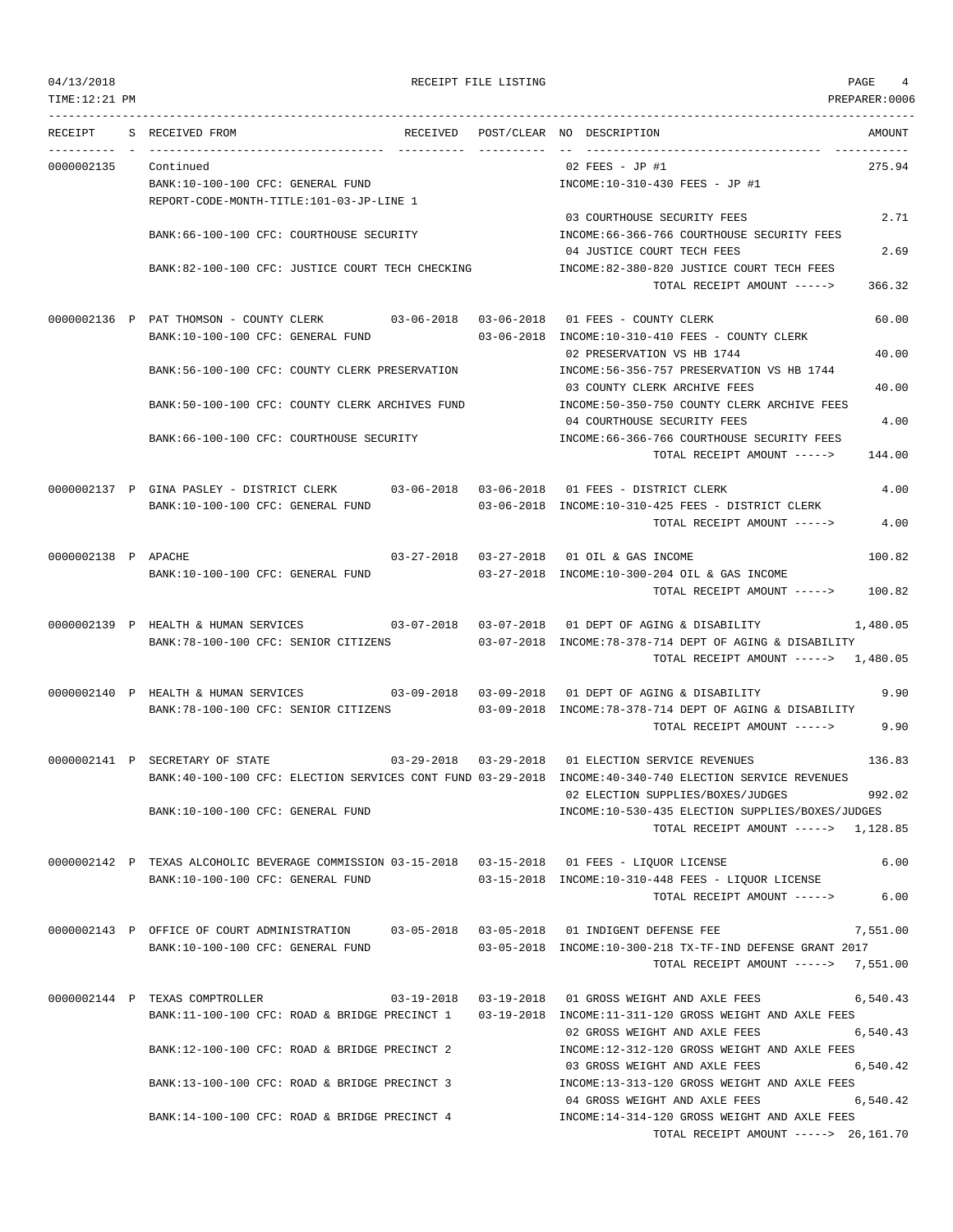TIME:12:21 PM PREPARER:0006 --------------------------------------------------------------------------------------------------------------------------------- RECEIPT S RECEIVED FROM THE RECEIVED POST/CLEAR NO DESCRIPTION THE SECRET AMOUNT ---------- - ----------------------------------- ---------- ---------- -- ----------------------------------- ----------- 0000002135 Continued 02 FEES - JP #1 275.94 BANK:10-100-100 CFC: GENERAL FUND INCOME:10-310-430 FEES - JP #1 REPORT-CODE-MONTH-TITLE:101-03-JP-LINE 1 03 COURTHOUSE SECURITY FEES 2.71 BANK:66-100-100 CFC: COURTHOUSE SECURITY INCOME:66-366-766 COURTHOUSE SECURITY FEES 04 JUSTICE COURT TECH FEES 2.69 BANK:82-100-100 CFC: JUSTICE COURT TECH CHECKING INCOME:82-380-820 JUSTICE COURT TECH FEES TOTAL RECEIPT AMOUNT -----> 366.32 0000002136 P PAT THOMSON - COUNTY CLERK 03-06-2018 03-06-2018 01 FEES - COUNTY CLERK 60.00 BANK:10-100-100 CFC: GENERAL FUND 03-06-2018 INCOME:10-310-410 FEES - COUNTY CLERK 02 PRESERVATION VS HB 1744 40.00 BANK:56-100-100 CFC: COUNTY CLERK PRESERVATION INCOME:56-356-757 PRESERVATION VS HB 1744 03 COUNTY CLERK ARCHIVE FEES 40.00 BANK:50-100-100 CFC: COUNTY CLERK ARCHIVES FUND INCOME:50-350-750 COUNTY CLERK ARCHIVE FEES 04 COURTHOUSE SECURITY FEES 4.00 BANK:66-100-100 CFC: COURTHOUSE SECURITY INCOME:66-366-766 COURTHOUSE SECURITY FEES TOTAL RECEIPT AMOUNT -----> 144.00 0000002137 P GINA PASLEY - DISTRICT CLERK 03-06-2018 03-06-2018 01 FEES - DISTRICT CLERK 4.00 BANK:10-100-100 CFC: GENERAL FUND 03-06-2018 INCOME:10-310-425 FEES - DISTRICT CLERK TOTAL RECEIPT AMOUNT -----> 4.00 0000002138 P APACHE 03-27-2018 03-27-2018 03-27-2018 01 OIL & GAS INCOME 100.82 BANK:10-100-100 CFC: GENERAL FUND 03-27-2018 INCOME:10-300-204 OIL & GAS INCOME TOTAL RECEIPT AMOUNT -----> 100.82 0000002139 P HEALTH & HUMAN SERVICES 03-07-2018 03-07-2018 01 DEPT OF AGING & DISABILITY 1,480.05 BANK:78-100-100 CFC: SENIOR CITIZENS 03-07-2018 INCOME:78-378-714 DEPT OF AGING & DISABILITY TOTAL RECEIPT AMOUNT -----> 1,480.05 0000002140 P HEALTH & HUMAN SERVICES 03-09-2018 03-09-2018 01 DEPT OF AGING & DISABILITY 9.90 BANK:78-100-100 CFC: SENIOR CITIZENS 03-09-2018 INCOME:78-378-714 DEPT OF AGING & DISABILITY TOTAL RECEIPT AMOUNT -----> 9.90 0000002141 P SECRETARY OF STATE 03-29-2018 03-29-2018 01 ELECTION SERVICE REVENUES 136.83 BANK:40-100-100 CFC: ELECTION SERVICES CONT FUND 03-29-2018 INCOME:40-340-740 ELECTION SERVICE REVENUES 02 ELECTION SUPPLIES/BOXES/JUDGES 992.02 BANK:10-100-100 CFC: GENERAL FUND SUPPLIES AND TROME:10-530-435 ELECTION SUPPLIES/BOXES/JUDGES TOTAL RECEIPT AMOUNT -----> 1,128.85 0000002142 P TEXAS ALCOHOLIC BEVERAGE COMMISSION 03-15-2018 03-15-2018 01 FEES - LIQUOR LICENSE 6.00 BANK:10-100-100 CFC: GENERAL FUND 03-15-2018 INCOME:10-310-448 FEES - LIQUOR LICENSE TOTAL RECEIPT AMOUNT -----> 6.00 0000002143 P OFFICE OF COURT ADMINISTRATION 03-05-2018 03-05-2018 01 INDIGENT DEFENSE FEE 7,551.00 BANK:10-100-100 CFC: GENERAL FUND 03-05-2018 INCOME:10-300-218 TX-TF-IND DEFENSE GRANT 2017 TOTAL RECEIPT AMOUNT -----> 7,551.00 0000002144 P TEXAS COMPTROLLER 03-19-2018 03-19-2018 03-19-2018 01 GROSS WEIGHT AND AXLE FEES 6,540.43 BANK:11-100-100 CFC: ROAD & BRIDGE PRECINCT 1 03-19-2018 INCOME:11-311-120 GROSS WEIGHT AND AXLE FEES 02 GROSS WEIGHT AND AXLE FEES 6.540.43 BANK:12-100-100 CFC: ROAD & BRIDGE PRECINCT 2 INCOME:12-312-120 GROSS WEIGHT AND AXLE FEES 03 GROSS WEIGHT AND AXLE FEES 6,540.42 BANK:13-100-100 CFC: ROAD & BRIDGE PRECINCT 3 INCOME:13-313-120 GROSS WEIGHT AND AXLE FEES 04 GROSS WEIGHT AND AXLE FEES 6,540.42 BANK:14-100-100 CFC: ROAD & BRIDGE PRECINCT 4 INCOME:14-314-120 GROSS WEIGHT AND AXLE FEES TOTAL RECEIPT AMOUNT -----> 26,161.70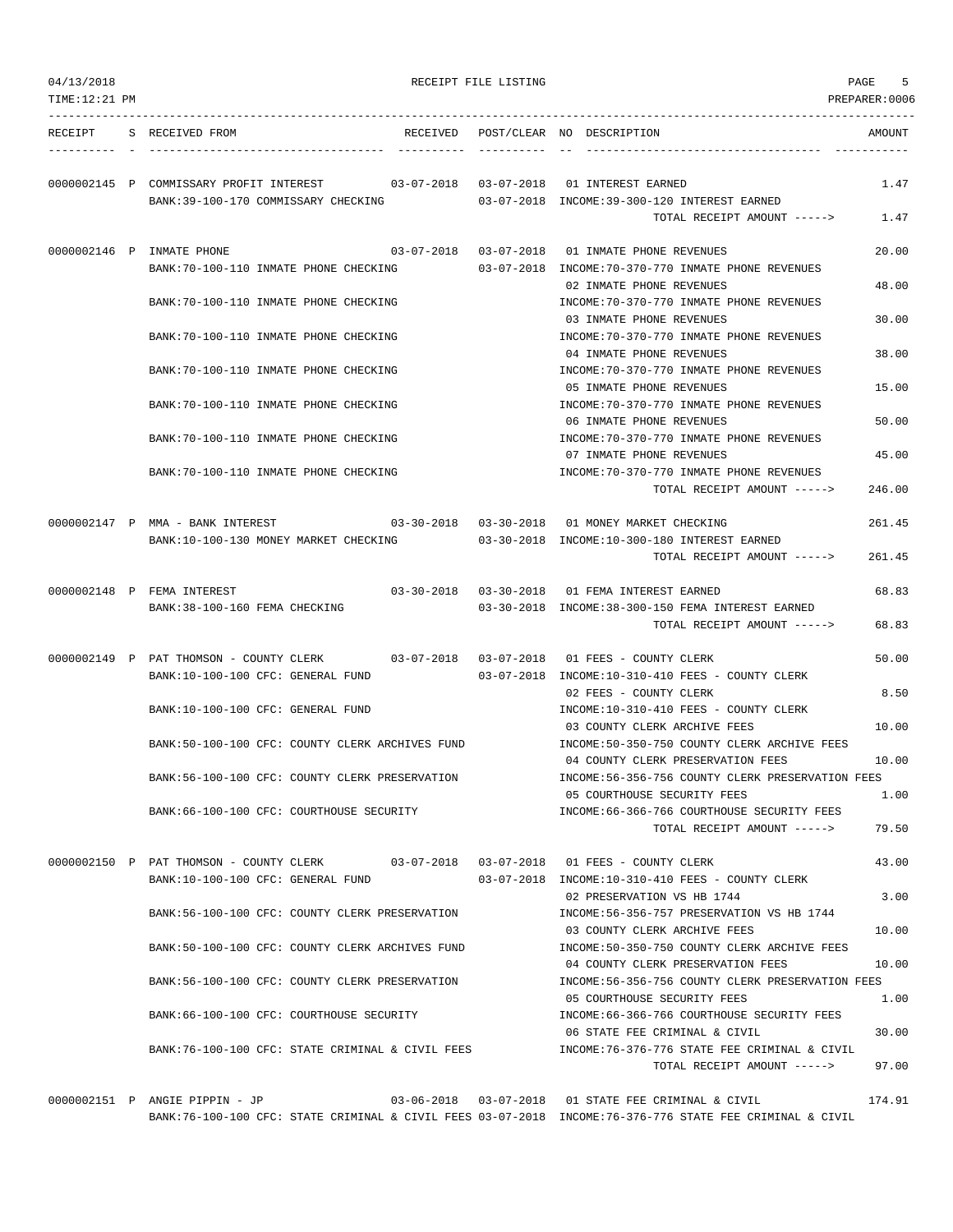| 04/13/2018<br>TIME:12:21 PM |                                                                                                                           | RECEIPT FILE LISTING |                                                                                                                                 | 5<br>PAGE<br>PREPARER:0006 |
|-----------------------------|---------------------------------------------------------------------------------------------------------------------------|----------------------|---------------------------------------------------------------------------------------------------------------------------------|----------------------------|
| RECEIPT                     | S RECEIVED FROM<br>RECEIVED                                                                                               |                      | POST/CLEAR NO DESCRIPTION                                                                                                       | AMOUNT                     |
|                             | 0000002145 P COMMISSARY PROFIT INTEREST<br>03-07-2018  03-07-2018<br>BANK:39-100-170 COMMISSARY CHECKING                  |                      | 01 INTEREST EARNED<br>03-07-2018 INCOME:39-300-120 INTEREST EARNED<br>TOTAL RECEIPT AMOUNT ----->                               | 1.47<br>1.47               |
|                             | 0000002146 P INMATE PHONE                                                                                                 |                      | 03-07-2018  03-07-2018  01 INMATE PHONE REVENUES<br>$0.3 - 0.7 - 2.018$ INCOME: $70 - 3.70 - 7.70$ INMATE PHONE REVENUES        | 20.00                      |
|                             | BANK:70-100-110 INMATE PHONE CHECKING<br>BANK: 70-100-110 INMATE PHONE CHECKING                                           |                      | 02 INMATE PHONE REVENUES<br>INCOME: 70-370-770 INMATE PHONE REVENUES                                                            | 48.00                      |
|                             | BANK:70-100-110 INMATE PHONE CHECKING                                                                                     |                      | 03 INMATE PHONE REVENUES<br>INCOME: 70-370-770 INMATE PHONE REVENUES                                                            | 30.00                      |
|                             | BANK: 70-100-110 INMATE PHONE CHECKING                                                                                    |                      | 04 INMATE PHONE REVENUES<br>INCOME: 70-370-770 INMATE PHONE REVENUES                                                            | 38.00                      |
|                             | BANK: 70-100-110 INMATE PHONE CHECKING                                                                                    |                      | 05 INMATE PHONE REVENUES<br>INCOME: 70-370-770 INMATE PHONE REVENUES                                                            | 15.00                      |
|                             | BANK:70-100-110 INMATE PHONE CHECKING                                                                                     |                      | 06 INMATE PHONE REVENUES<br>INCOME: 70-370-770 INMATE PHONE REVENUES                                                            | 50.00                      |
|                             | BANK: 70-100-110 INMATE PHONE CHECKING                                                                                    |                      | 07 INMATE PHONE REVENUES<br>INCOME: 70-370-770 INMATE PHONE REVENUES                                                            | 45.00                      |
|                             |                                                                                                                           |                      | TOTAL RECEIPT AMOUNT ----->                                                                                                     | 246.00                     |
|                             | 0000002147 P MMA - BANK INTEREST<br>BANK:10-100-130 MONEY MARKET CHECKING                                                 |                      | 03-30-2018  03-30-2018  01 MONEY MARKET CHECKING<br>03-30-2018 INCOME:10-300-180 INTEREST EARNED<br>TOTAL RECEIPT AMOUNT -----> | 261.45<br>261.45           |
|                             | 0000002148 P FEMA INTEREST                                                                                                |                      | 03-30-2018  03-30-2018  01 FEMA INTEREST EARNED                                                                                 | 68.83                      |
|                             | BANK: 38-100-160 FEMA CHECKING                                                                                            |                      | 03-30-2018 INCOME:38-300-150 FEMA INTEREST EARNED<br>TOTAL RECEIPT AMOUNT ----->                                                | 68.83                      |
|                             | 0000002149 P PAT THOMSON - COUNTY CLERK 03-07-2018 03-07-2018 01 FEES - COUNTY CLERK<br>BANK:10-100-100 CFC: GENERAL FUND |                      | 03-07-2018 INCOME:10-310-410 FEES - COUNTY CLERK                                                                                | 50.00                      |
|                             | BANK:10-100-100 CFC: GENERAL FUND                                                                                         |                      | 02 FEES - COUNTY CLERK<br>INCOME:10-310-410 FEES - COUNTY CLERK                                                                 | 8.50                       |
|                             | BANK:50-100-100 CFC: COUNTY CLERK ARCHIVES FUND                                                                           |                      | 03 COUNTY CLERK ARCHIVE FEES<br>INCOME: 50-350-750 COUNTY CLERK ARCHIVE FEES                                                    | 10.00                      |
|                             | BANK:56-100-100 CFC: COUNTY CLERK PRESERVATION                                                                            |                      | 04 COUNTY CLERK PRESERVATION FEES<br>INCOME: 56-356-756 COUNTY CLERK PRESERVATION FEES                                          | 10.00                      |
|                             | BANK:66-100-100 CFC: COURTHOUSE SECURITY                                                                                  |                      | 05 COURTHOUSE SECURITY FEES<br>INCOME: 66-366-766 COURTHOUSE SECURITY FEES                                                      | 1.00                       |
|                             |                                                                                                                           |                      | TOTAL RECEIPT AMOUNT ----->                                                                                                     | 79.50                      |
|                             | 0000002150 P PAT THOMSON - COUNTY CLERK<br>BANK:10-100-100 CFC: GENERAL FUND                                              |                      | 03-07-2018  03-07-2018  01 FEES - COUNTY CLERK<br>03-07-2018 INCOME:10-310-410 FEES - COUNTY CLERK                              | 43.00                      |
|                             | BANK:56-100-100 CFC: COUNTY CLERK PRESERVATION                                                                            |                      | 02 PRESERVATION VS HB 1744<br>INCOME: 56-356-757 PRESERVATION VS HB 1744                                                        | 3.00                       |
|                             | BANK:50-100-100 CFC: COUNTY CLERK ARCHIVES FUND                                                                           |                      | 03 COUNTY CLERK ARCHIVE FEES<br>INCOME:50-350-750 COUNTY CLERK ARCHIVE FEES                                                     | 10.00                      |
|                             | BANK:56-100-100 CFC: COUNTY CLERK PRESERVATION                                                                            |                      | 04 COUNTY CLERK PRESERVATION FEES<br>INCOME:56-356-756 COUNTY CLERK PRESERVATION FEES                                           | 10.00                      |
|                             | BANK:66-100-100 CFC: COURTHOUSE SECURITY                                                                                  |                      | 05 COURTHOUSE SECURITY FEES<br>INCOME: 66-366-766 COURTHOUSE SECURITY FEES<br>06 STATE FEE CRIMINAL & CIVIL                     | 1.00<br>30.00              |
|                             | BANK:76-100-100 CFC: STATE CRIMINAL & CIVIL FEES                                                                          |                      | INCOME:76-376-776 STATE FEE CRIMINAL & CIVIL<br>TOTAL RECEIPT AMOUNT ----->                                                     | 97.00                      |
|                             | 0000002151 P ANGIE PIPPIN - JP                                                                                            |                      | 03-06-2018  03-07-2018  01 STATE FEE CRIMINAL & CIVIL                                                                           | 174.91                     |

BANK:76-100-100 CFC: STATE CRIMINAL & CIVIL FEES 03-07-2018 INCOME:76-376-776 STATE FEE CRIMINAL & CIVIL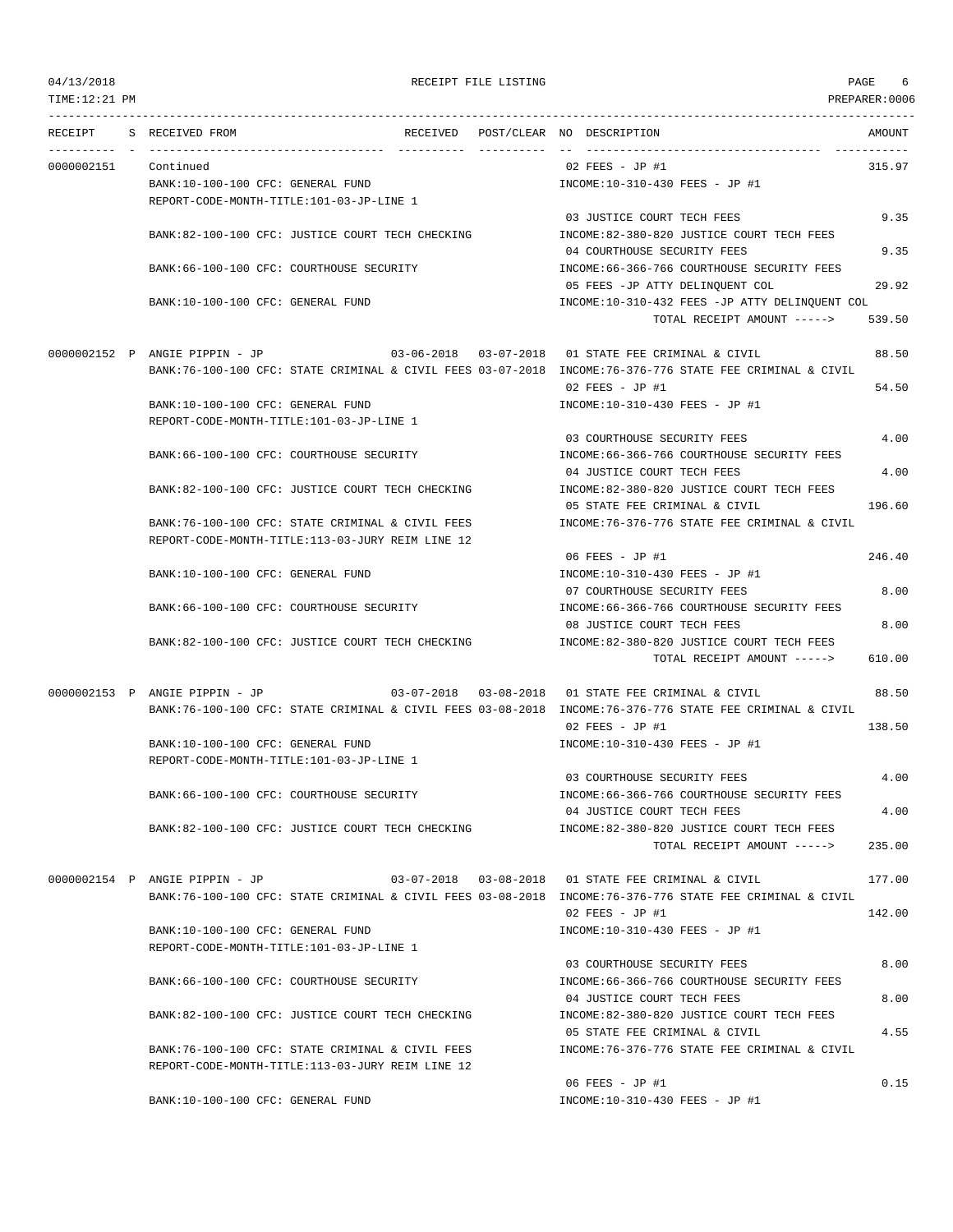TIME:12:21 PM PREPARER:0006

# 04/13/2018 RECEIPT FILE LISTING PAGE 6

| RECEIPT    | S RECEIVED FROM                           |                                                  |  | RECEIVED POST/CLEAR NO DESCRIPTION                                                                       | AMOUNT |
|------------|-------------------------------------------|--------------------------------------------------|--|----------------------------------------------------------------------------------------------------------|--------|
| 0000002151 | Continued                                 |                                                  |  | 02 FEES - JP #1                                                                                          | 315.97 |
|            | BANK:10-100-100 CFC: GENERAL FUND         |                                                  |  | INCOME:10-310-430 FEES - JP #1                                                                           |        |
|            | REPORT-CODE-MONTH-TITLE:101-03-JP-LINE 1  |                                                  |  |                                                                                                          |        |
|            |                                           |                                                  |  | 03 JUSTICE COURT TECH FEES                                                                               | 9.35   |
|            |                                           | BANK:82-100-100 CFC: JUSTICE COURT TECH CHECKING |  | INCOME:82-380-820 JUSTICE COURT TECH FEES                                                                |        |
|            |                                           |                                                  |  | 04 COURTHOUSE SECURITY FEES                                                                              | 9.35   |
|            | BANK:66-100-100 CFC: COURTHOUSE SECURITY  |                                                  |  | INCOME: 66-366-766 COURTHOUSE SECURITY FEES                                                              |        |
|            |                                           |                                                  |  | 05 FEES -JP ATTY DELINQUENT COL                                                                          | 29.92  |
|            | BANK:10-100-100 CFC: GENERAL FUND         |                                                  |  | INCOME:10-310-432 FEES -JP ATTY DELINQUENT COL                                                           |        |
|            |                                           |                                                  |  | TOTAL RECEIPT AMOUNT ----->                                                                              | 539.50 |
|            |                                           |                                                  |  | 0000002152 P ANGIE PIPPIN - JP 03-06-2018 03-07-2018 01 STATE FEE CRIMINAL & CIVIL                       | 88.50  |
|            |                                           |                                                  |  | BANK:76-100-100 CFC: STATE CRIMINAL & CIVIL FEES 03-07-2018 INCOME:76-376-776 STATE FEE CRIMINAL & CIVIL |        |
|            |                                           |                                                  |  | $02$ FEES - JP #1                                                                                        | 54.50  |
|            | BANK:10-100-100 CFC: GENERAL FUND         |                                                  |  | INCOME:10-310-430 FEES - JP #1                                                                           |        |
|            | REPORT-CODE-MONTH-TITLE:101-03-JP-LINE 1  |                                                  |  |                                                                                                          |        |
|            |                                           |                                                  |  | 03 COURTHOUSE SECURITY FEES                                                                              | 4.00   |
|            | BANK:66-100-100 CFC: COURTHOUSE SECURITY  |                                                  |  | INCOME: 66-366-766 COURTHOUSE SECURITY FEES                                                              |        |
|            |                                           |                                                  |  | 04 JUSTICE COURT TECH FEES                                                                               | 4.00   |
|            |                                           | BANK:82-100-100 CFC: JUSTICE COURT TECH CHECKING |  | INCOME:82-380-820 JUSTICE COURT TECH FEES                                                                |        |
|            |                                           |                                                  |  | 05 STATE FEE CRIMINAL & CIVIL                                                                            | 196.60 |
|            |                                           | BANK:76-100-100 CFC: STATE CRIMINAL & CIVIL FEES |  | INCOME: 76-376-776 STATE FEE CRIMINAL & CIVIL                                                            |        |
|            |                                           | REPORT-CODE-MONTH-TITLE:113-03-JURY REIM LINE 12 |  |                                                                                                          |        |
|            |                                           |                                                  |  | 06 FEES - JP #1                                                                                          | 246.40 |
|            | BANK:10-100-100 CFC: GENERAL FUND         |                                                  |  | INCOME:10-310-430 FEES - JP #1                                                                           |        |
|            |                                           |                                                  |  | 07 COURTHOUSE SECURITY FEES                                                                              | 8.00   |
|            | BANK:66-100-100 CFC: COURTHOUSE SECURITY  |                                                  |  | INCOME: 66-366-766 COURTHOUSE SECURITY FEES                                                              |        |
|            |                                           |                                                  |  | 08 JUSTICE COURT TECH FEES                                                                               | 8.00   |
|            |                                           | BANK:82-100-100 CFC: JUSTICE COURT TECH CHECKING |  | INCOME:82-380-820 JUSTICE COURT TECH FEES                                                                |        |
|            |                                           |                                                  |  | TOTAL RECEIPT AMOUNT ----->                                                                              | 610.00 |
|            | 0000002153 P ANGIE PIPPIN - JP            |                                                  |  | 03-07-2018  03-08-2018  01 STATE FEE CRIMINAL & CIVIL                                                    | 88.50  |
|            |                                           |                                                  |  | BANK:76-100-100 CFC: STATE CRIMINAL & CIVIL FEES 03-08-2018 INCOME:76-376-776 STATE FEE CRIMINAL & CIVIL |        |
|            |                                           |                                                  |  | $02$ FEES - JP #1                                                                                        | 138.50 |
|            | BANK:10-100-100 CFC: GENERAL FUND         |                                                  |  | INCOME:10-310-430 FEES - JP #1                                                                           |        |
|            | REPORT-CODE-MONTH-TITLE:101-03-JP-LINE 1  |                                                  |  |                                                                                                          |        |
|            |                                           |                                                  |  | 03 COURTHOUSE SECURITY FEES                                                                              | 4.00   |
|            | BANK: 66-100-100 CFC: COURTHOUSE SECURITY |                                                  |  | INCOME: 66-366-766 COURTHOUSE SECURITY FEES                                                              |        |
|            |                                           |                                                  |  | 04 JUSTICE COURT TECH FEES                                                                               | 4.00   |
|            |                                           | BANK:82-100-100 CFC: JUSTICE COURT TECH CHECKING |  | INCOME:82-380-820 JUSTICE COURT TECH FEES                                                                |        |
|            |                                           |                                                  |  | TOTAL RECEIPT AMOUNT ----->                                                                              | 235.00 |
|            | 0000002154 P ANGIE PIPPIN - JP            |                                                  |  | 03-07-2018  03-08-2018  01 STATE FEE CRIMINAL & CIVIL                                                    | 177.00 |
|            |                                           |                                                  |  | BANK:76-100-100 CFC: STATE CRIMINAL & CIVIL FEES 03-08-2018 INCOME:76-376-776 STATE FEE CRIMINAL & CIVIL |        |
|            |                                           |                                                  |  | 02 FEES - JP #1                                                                                          | 142.00 |
|            | BANK:10-100-100 CFC: GENERAL FUND         |                                                  |  | INCOME:10-310-430 FEES - JP #1                                                                           |        |
|            | REPORT-CODE-MONTH-TITLE:101-03-JP-LINE 1  |                                                  |  |                                                                                                          |        |
|            |                                           |                                                  |  | 03 COURTHOUSE SECURITY FEES                                                                              | 8.00   |
|            | BANK: 66-100-100 CFC: COURTHOUSE SECURITY |                                                  |  | INCOME: 66-366-766 COURTHOUSE SECURITY FEES                                                              |        |
|            |                                           |                                                  |  | 04 JUSTICE COURT TECH FEES                                                                               | 8.00   |
|            |                                           | BANK:82-100-100 CFC: JUSTICE COURT TECH CHECKING |  | INCOME:82-380-820 JUSTICE COURT TECH FEES                                                                |        |
|            |                                           |                                                  |  | 05 STATE FEE CRIMINAL & CIVIL                                                                            | 4.55   |
|            |                                           | BANK:76-100-100 CFC: STATE CRIMINAL & CIVIL FEES |  | INCOME: 76-376-776 STATE FEE CRIMINAL & CIVIL                                                            |        |
|            |                                           | REPORT-CODE-MONTH-TITLE:113-03-JURY REIM LINE 12 |  |                                                                                                          |        |
|            |                                           |                                                  |  | 06 FEES - JP #1                                                                                          | 0.15   |
|            | BANK:10-100-100 CFC: GENERAL FUND         |                                                  |  | INCOME:10-310-430 FEES - JP #1                                                                           |        |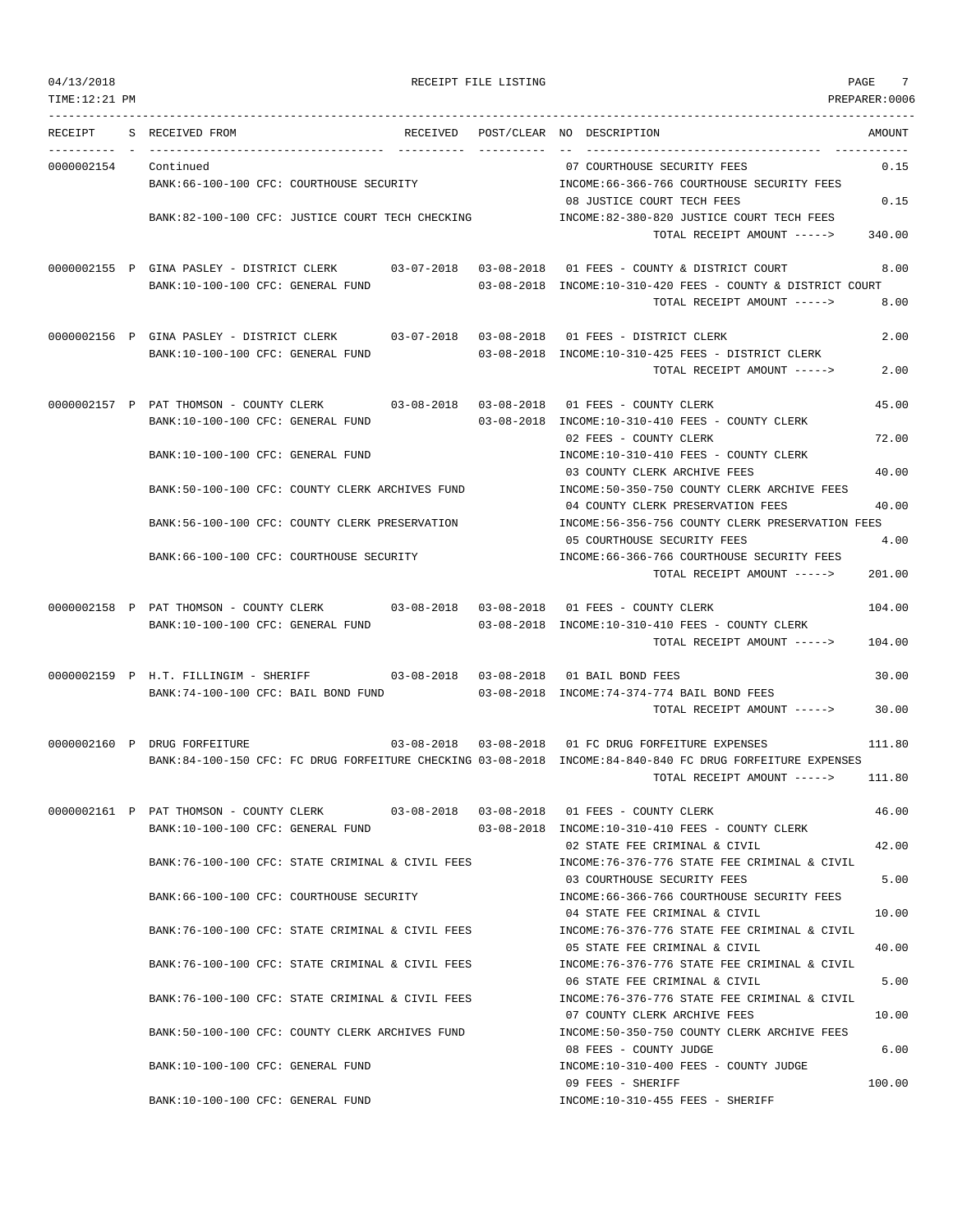--------------------------------------------------------------------------------------------------------------------------------- RECEIPT S RECEIVED FROM THE RECEIVED POST/CLEAR NO DESCRIPTION THE RECEIVED AMOUNT ---------- - ----------------------------------- ---------- ---------- -- ----------------------------------- ----------- 0000002154 Continued 07 COURTHOUSE SECURITY FEES 0.15 BANK:66-100-100 CFC: COURTHOUSE SECURITY INCOME:66-366-766 COURTHOUSE SECURITY FEES 08 JUSTICE COURT TECH FEES 0.15 BANK:82-100-100 CFC: JUSTICE COURT TECH CHECKING INCOME:82-380-820 JUSTICE COURT TECH FEES TOTAL RECEIPT AMOUNT -----> 340.00 0000002155 P GINA PASLEY - DISTRICT CLERK 03-07-2018 03-08-2018 01 FEES - COUNTY & DISTRICT COURT 8.00 BANK:10-100-100 CFC: GENERAL FUND 03-08-2018 INCOME:10-310-420 FEES - COUNTY & DISTRICT COURT TOTAL RECEIPT AMOUNT -----> 8.00 0000002156 P GINA PASLEY - DISTRICT CLERK 03-07-2018 03-08-2018 01 FEES - DISTRICT CLERK 2.00 BANK:10-100-100 CFC: GENERAL FUND 03-08-2018 INCOME:10-310-425 FEES - DISTRICT CLERK TOTAL RECEIPT AMOUNT -----> 2.00 0000002157 P PAT THOMSON - COUNTY CLERK 03-08-2018 03-08-2018 01 FEES - COUNTY CLERK 45.00 BANK:10-100-100 CFC: GENERAL FUND 03-08-2018 INCOME:10-310-410 FEES - COUNTY CLERK 02 FEES - COUNTY CLERK 72.00 BANK:10-100-100 CFC: GENERAL FUND INCOME:10-310-410 FEES - COUNTY CLERK 03 COUNTY CLERK ARCHIVE FEES 40.00 BANK:50-100-100 CFC: COUNTY CLERK ARCHIVES FUND INCOME:50-350-750 COUNTY CLERK ARCHIVE FEES 04 COUNTY CLERK PRESERVATION FEES 40.00 BANK:56-100-100 CFC: COUNTY CLERK PRESERVATION INCOME:56-356-756 COUNTY CLERK PRESERVATION FEES 05 COURTHOUSE SECURITY FEES 4.00 BANK:66-100-100 CFC: COURTHOUSE SECURITY CONTROLL:66-366-766 COURTHOUSE SECURITY FEES TOTAL RECEIPT AMOUNT -----> 201.00 0000002158 P PAT THOMSON - COUNTY CLERK 03-08-2018 03-08-2018 01 FEES - COUNTY CLERK 104.00 BANK:10-100-100 CFC: GENERAL FUND 03-08-2018 INCOME:10-310-410 FEES - COUNTY CLERK TOTAL RECEIPT AMOUNT -----> 104.00 0000002159 P H.T. FILLINGIM - SHERIFF 03-08-2018 03-08-2018 01 BAIL BOND FEES 30.00 BANK:74-100-100 CFC: BAIL BOND FUND 03-08-2018 INCOME:74-374-774 BAIL BOND FEES TOTAL RECEIPT AMOUNT -----> 30.00 0000002160 P DRUG FORFEITURE 03-08-2018 03-08-2018 01 FC DRUG FORFEITURE EXPENSES 111.80 BANK:84-100-150 CFC: FC DRUG FORFEITURE CHECKING 03-08-2018 INCOME:84-840-840 FC DRUG FORFEITURE EXPENSES TOTAL RECEIPT AMOUNT -----> 111.80 0000002161 P PAT THOMSON - COUNTY CLERK 03-08-2018 03-08-2018 01 FEES - COUNTY CLERK 46.00 BANK:10-100-100 CFC: GENERAL FUND 03-08-2018 INCOME:10-310-410 FEES - COUNTY CLERK 02 STATE FEE CRIMINAL & CIVIL 42.00 BANK:76-100-100 CFC: STATE CRIMINAL & CIVIL FEES INCOME:76-376-776 STATE FEE CRIMINAL & CIVIL 03 COURTHOUSE SECURITY FEES 5.00 BANK:66-100-100 CFC: COURTHOUSE SECURITY INCOME:66-366-766 COURTHOUSE SECURITY FEES 04 STATE FEE CRIMINAL & CIVIL 10.00 BANK:76-100-100 CFC: STATE CRIMINAL & CIVIL FEES INCOME:76-376-776 STATE FEE CRIMINAL & CIVIL 05 STATE FEE CRIMINAL & CIVIL 40.00 BANK:76-100-100 CFC: STATE CRIMINAL & CIVIL FEES INCOME:76-376-776 STATE FEE CRIMINAL & CIVIL 06 STATE FEE CRIMINAL & CIVIL 5.00 BANK:76-100-100 CFC: STATE CRIMINAL & CIVIL FEES INCOME:76-376-776 STATE FEE CRIMINAL & CIVIL 07 COUNTY CLERK ARCHIVE FEES 10.00 BANK:50-100-100 CFC: COUNTY CLERK ARCHIVES FUND INCOME:50-350-750 COUNTY CLERK ARCHIVE FEES 08 FEES - COUNTY JUDGE 6.00 BANK:10-100-100 CFC: GENERAL FUND INCOME:10-310-400 FEES - COUNTY JUDGE 09 FEES - SHERIFF 100.00

BANK:10-100-100 CFC: GENERAL FUND INCOME:10-310-455 FEES - SHERIFF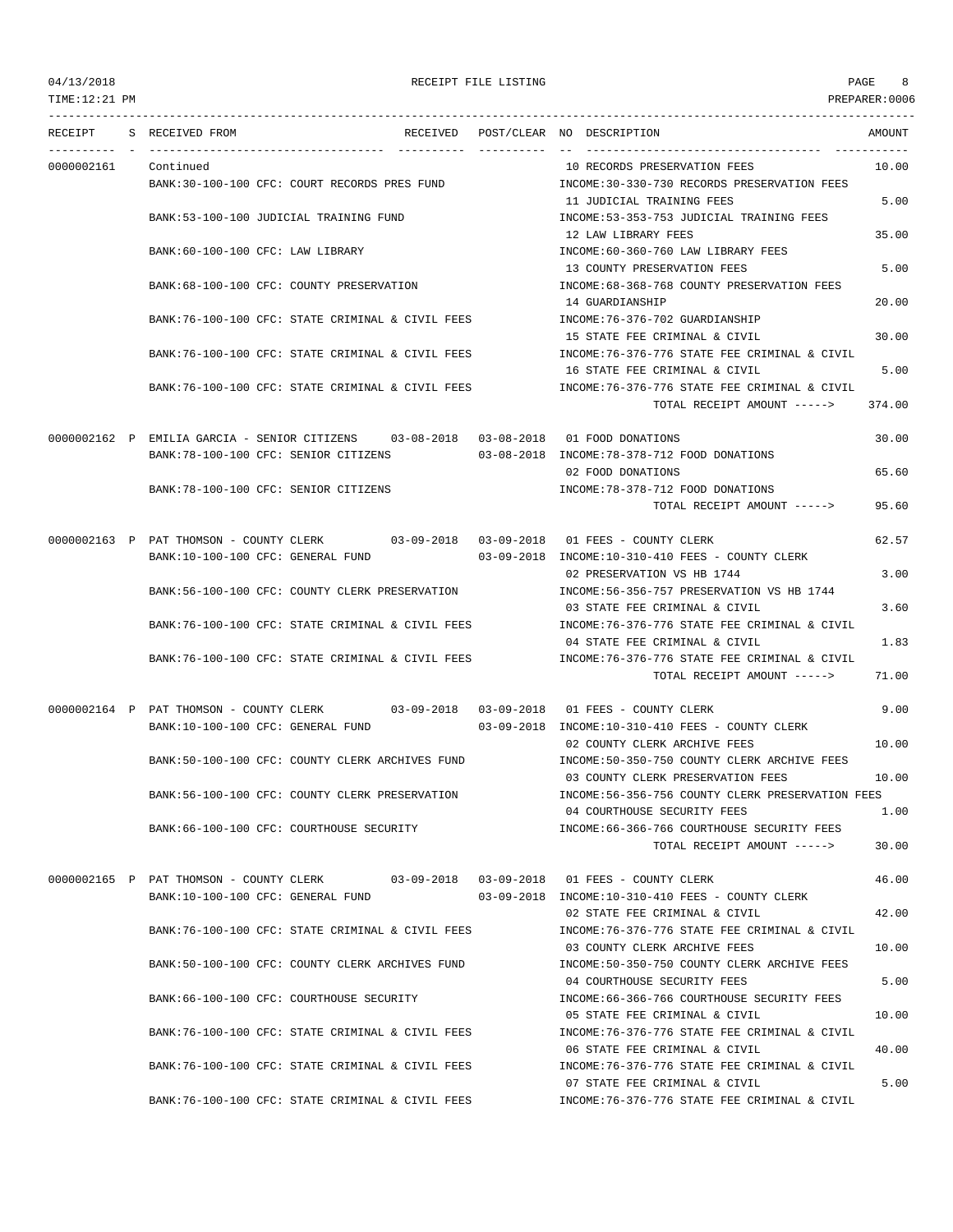TIME:12:21 PM PREPARER:0006

## 04/13/2018 RECEIPT FILE LISTING PAGE 8

--------------------------------------------------------------------------------------------------------------------------------- RECEIPT S RECEIVED FROM THE RECEIVED POST/CLEAR NO DESCRIPTION THE SECRET AMOUNT ---------- - ----------------------------------- ---------- ---------- -- ----------------------------------- ----------- 0000002161 Continued 10 RECORDS PRESERVATION FEES 10.00 BANK:30-100-100 CFC: COURT RECORDS PRES FUND INCOME:30-330-730 RECORDS PRESERVATION FEES 11 JUDICIAL TRAINING FEES 5.00 BANK:53-100-100 JUDICIAL TRAINING FUND INCOME:53-353-753 JUDICIAL TRAINING FEES 12 LAW LIBRARY FEES 35.00 BANK:60-100-100 CFC: LAW LIBRARY INCOME:60-360-760 LAW LIBRARY FEES 13 COUNTY PRESERVATION FEES 5.00 BANK:68-100-100 CFC: COUNTY PRESERVATION INCOME:68-368-768 COUNTY PRESERVATION FEES 14 GUARDIANSHIP 20.00 BANK:76-100-100 CFC: STATE CRIMINAL & CIVIL FEES INCOME:76-376-702 GUARDIANSHIP 15 STATE FEE CRIMINAL & CIVIL 30.00 BANK:76-100-100 CFC: STATE CRIMINAL & CIVIL FEES INCOME:76-376-776 STATE FEE CRIMINAL & CIVIL 16 STATE FEE CRIMINAL & CIVIL 5.00 BANK:76-100-100 CFC: STATE CRIMINAL & CIVIL FEES INCOME:76-376-776 STATE FEE CRIMINAL & CIVIL TOTAL RECEIPT AMOUNT -----> 374.00 0000002162 P EMILIA GARCIA - SENIOR CITIZENS 03-08-2018 03-08-2018 01 FOOD DONATIONS 30.00 BANK:78-100-100 CFC: SENIOR CITIZENS 03-08-2018 INCOME:78-378-712 FOOD DONATIONS 02 FOOD DONATIONS 65.60 BANK:78-100-100 CFC: SENIOR CITIZENS INCOME:78-378-712 FOOD DONATIONS TOTAL RECEIPT AMOUNT -----> 95.60 0000002163 P PAT THOMSON - COUNTY CLERK 03-09-2018 03-09-2018 01 FEES - COUNTY CLERK 62.57 BANK:10-100-100 CFC: GENERAL FUND 03-09-2018 INCOME:10-310-410 FEES - COUNTY CLERK 02 PRESERVATION VS HB 1744 3.00 BANK:56-100-100 CFC: COUNTY CLERK PRESERVATION INCOME:56-356-757 PRESERVATION VS HB 1744 03 STATE FEE CRIMINAL & CIVIL 3.60 BANK:76-100-100 CFC: STATE CRIMINAL & CIVIL FEES INCOME:76-376-776 STATE FEE CRIMINAL & CIVIL 04 STATE FEE CRIMINAL & CIVIL 1.83 BANK:76-100-100 CFC: STATE CRIMINAL & CIVIL FEES INCOME:76-376-776 STATE FEE CRIMINAL & CIVIL TOTAL RECEIPT AMOUNT -----> 71.00 0000002164 P PAT THOMSON - COUNTY CLERK 03-09-2018 03-09-2018 01 FEES - COUNTY CLERK 9.00 BANK:10-100-100 CFC: GENERAL FUND 03-09-2018 INCOME:10-310-410 FEES - COUNTY CLERK 02 COUNTY CLERK ARCHIVE FEES 10.00 BANK:50-100-100 CFC: COUNTY CLERK ARCHIVES FUND INCOME:50-350-750 COUNTY CLERK ARCHIVE FEES 03 COUNTY CLERK PRESERVATION FEES 10.00 BANK:56-100-100 CFC: COUNTY CLERK PRESERVATION INCOME:56-356-756 COUNTY CLERK PRESERVATION FEES 04 COURTHOUSE SECURITY FEES 1.00 BANK:66-100-100 CFC: COURTHOUSE SECURITY INCOME:66-366-766 COURTHOUSE SECURITY FEES TOTAL RECEIPT AMOUNT -----> 30.00 0000002165 P PAT THOMSON - COUNTY CLERK 03-09-2018 03-09-2018 01 FEES - COUNTY CLERK 46.00 BANK:10-100-100 CFC: GENERAL FUND 03-09-2018 INCOME:10-310-410 FEES - COUNTY CLERK 02 STATE FEE CRIMINAL & CIVIL 42 00 BANK:76-100-100 CFC: STATE CRIMINAL & CIVIL FEES INCOME:76-376-776 STATE FEE CRIMINAL & CIVIL 03 COUNTY CLERK ARCHIVE FEES 10.00 BANK:50-100-100 CFC: COUNTY CLERK ARCHIVES FUND INCOME:50-350-750 COUNTY CLERK ARCHIVE FEES 04 COURTHOUSE SECURITY FEES 5.00 BANK:66-100-100 CFC: COURTHOUSE SECURITY INCOME:66-366-766 COURTHOUSE SECURITY FEES 05 STATE FEE CRIMINAL & CIVIL 10.00 BANK:76-100-100 CFC: STATE CRIMINAL & CIVIL FEES INCOME:76-376-776 STATE FEE CRIMINAL & CIVIL 06 STATE FEE CRIMINAL & CIVIL 40.00 BANK:76-100-100 CFC: STATE CRIMINAL & CIVIL FEES INCOME:76-376-776 STATE FEE CRIMINAL & CIVIL 07 STATE FEE CRIMINAL & CIVIL 5.00 BANK:76-100-100 CFC: STATE CRIMINAL & CIVIL FEES INCOME:76-376-776 STATE FEE CRIMINAL & CIVIL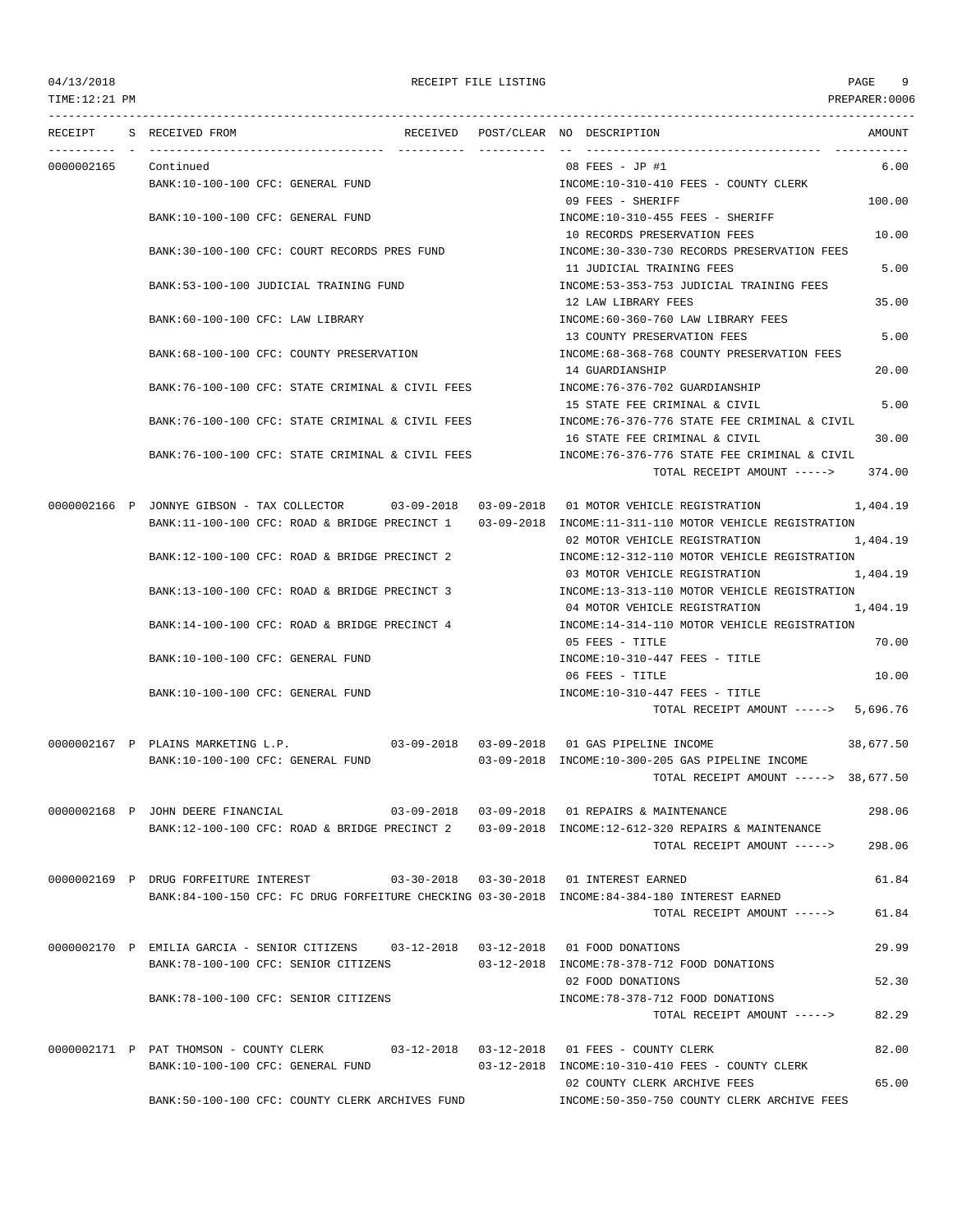TIME:12:21 PM PREPARER:0006 --------------------------------------------------------------------------------------------------------------------------------- RECEIPT S RECEIVED FROM THE RECEIVED POST/CLEAR NO DESCRIPTION THE RECEIVED AMOUNT ---------- - ----------------------------------- ---------- ---------- -- ----------------------------------- ----------- 0000002165 Continued 08 FEES - JP #1 6.00 BANK:10-100-100 CFC: GENERAL FUND INCOME:10-310-410 FEES - COUNTY CLERK 09 FEES - SHERIFF 100.00 BANK:10-100-100 CFC: GENERAL FUND INCOME:10-310-455 FEES - SHERIFF 10 RECORDS PRESERVATION FEES 10.00 BANK:30-100-100 CFC: COURT RECORDS PRES FUND INCOME:30-330-730 RECORDS PRESERVATION FEES 11 JUDICIAL TRAINING FEES 5.00 BANK:53-100-100 JUDICIAL TRAINING FUND INCOME:53-353-753 JUDICIAL TRAINING FEES 12 LAW LIBRARY FEES 35.00 BANK:60-100-100 CFC: LAW LIBRARY INCOME:60-360-760 LAW LIBRARY FEES 13 COUNTY PRESERVATION FEES 5.00 BANK:68-100-100 CFC: COUNTY PRESERVATION INCOME:68-368-768 COUNTY PRESERVATION FEES 14 GUARDIANSHIP 20.00 BANK:76-100-100 CFC: STATE CRIMINAL & CIVIL FEES INCOME:76-376-702 GUARDIANSHIP 15 STATE FEE CRIMINAL & CIVIL 6.00 BANK:76-100-100 CFC: STATE CRIMINAL & CIVIL FEES INCOME:76-376-776 STATE FEE CRIMINAL & CIVIL 16 STATE FEE CRIMINAL & CIVIL 30.00 BANK:76-100-100 CFC: STATE CRIMINAL & CIVIL FEES INCOME:76-376-776 STATE FEE CRIMINAL & CIVIL TOTAL RECEIPT AMOUNT -----> 374.00 0000002166 P JONNYE GIBSON - TAX COLLECTOR 03-09-2018 03-09-2018 01 MOTOR VEHICLE REGISTRATION 1,404.19 BANK:11-100-100 CFC: ROAD & BRIDGE PRECINCT 1 03-09-2018 INCOME:11-311-110 MOTOR VEHICLE REGISTRATION 02 MOTOR VEHICLE REGISTRATION 1,404.19 BANK:12-100-100 CFC: ROAD & BRIDGE PRECINCT 2 INCOME:12-312-110 MOTOR VEHICLE REGISTRATION 03 MOTOR VEHICLE REGISTRATION 1,404.19 BANK:13-100-100 CFC: ROAD & BRIDGE PRECINCT 3 INCOME:13-313-110 MOTOR VEHICLE REGISTRATION 04 MOTOR VEHICLE REGISTRATION 1,404.19 BANK:14-100-100 CFC: ROAD & BRIDGE PRECINCT 4 INCOME:14-314-110 MOTOR VEHICLE REGISTRATION 05 FEES - TITLE 70.00 BANK:10-100-100 CFC: GENERAL FUND INCOME:10-310-447 FEES - TITLE 06 FEES - TITLE 10.00 BANK:10-100-100 CFC: GENERAL FUND INCOME:10-310-447 FEES - TITLE TOTAL RECEIPT AMOUNT -----> 5,696.76 0000002167 P PLAINS MARKETING L.P. 03-09-2018 03-09-2018 01 GAS PIPELINE INCOME 38,677.50 BANK:10-100-100 CFC: GENERAL FUND 03-09-2018 INCOME:10-300-205 GAS PIPELINE INCOME TOTAL RECEIPT AMOUNT -----> 38,677.50 0000002168 P JOHN DEERE FINANCIAL 03-09-2018 03-09-2018 01 REPAIRS & MAINTENANCE 298.06 BANK:12-100-100 CFC: ROAD & BRIDGE PRECINCT 2 03-09-2018 INCOME:12-612-320 REPAIRS & MAINTENANCE TOTAL RECEIPT AMOUNT -----> 298.06 0000002169 P DRUG FORFEITURE INTEREST 03-30-2018 03-30-2018 01 INTEREST EARNED 61.84 BANK:84-100-150 CFC: FC DRUG FORFEITURE CHECKING 03-30-2018 INCOME:84-384-180 INTEREST EARNED TOTAL RECEIPT AMOUNT -----> 61.84 0000002170 P EMILIA GARCIA - SENIOR CITIZENS 03-12-2018 03-12-2018 01 FOOD DONATIONS 29.99 BANK:78-100-100 CFC: SENIOR CITIZENS 03-12-2018 INCOME:78-378-712 FOOD DONATIONS 02 FOOD DONATIONS 52.30 BANK:78-100-100 CFC: SENIOR CITIZENS INCOME:78-378-712 FOOD DONATIONS TOTAL RECEIPT AMOUNT -----> 82.29 0000002171 P PAT THOMSON - COUNTY CLERK 03-12-2018 03-12-2018 01 FEES - COUNTY CLERK 82.00 BANK:10-100-100 CFC: GENERAL FUND 03-12-2018 INCOME:10-310-410 FEES - COUNTY CLERK 02 COUNTY CLERK ARCHIVE FEES 65.00 BANK:50-100-100 CFC: COUNTY CLERK ARCHIVES FUND INCOME:50-350-750 COUNTY CLERK ARCHIVE FEES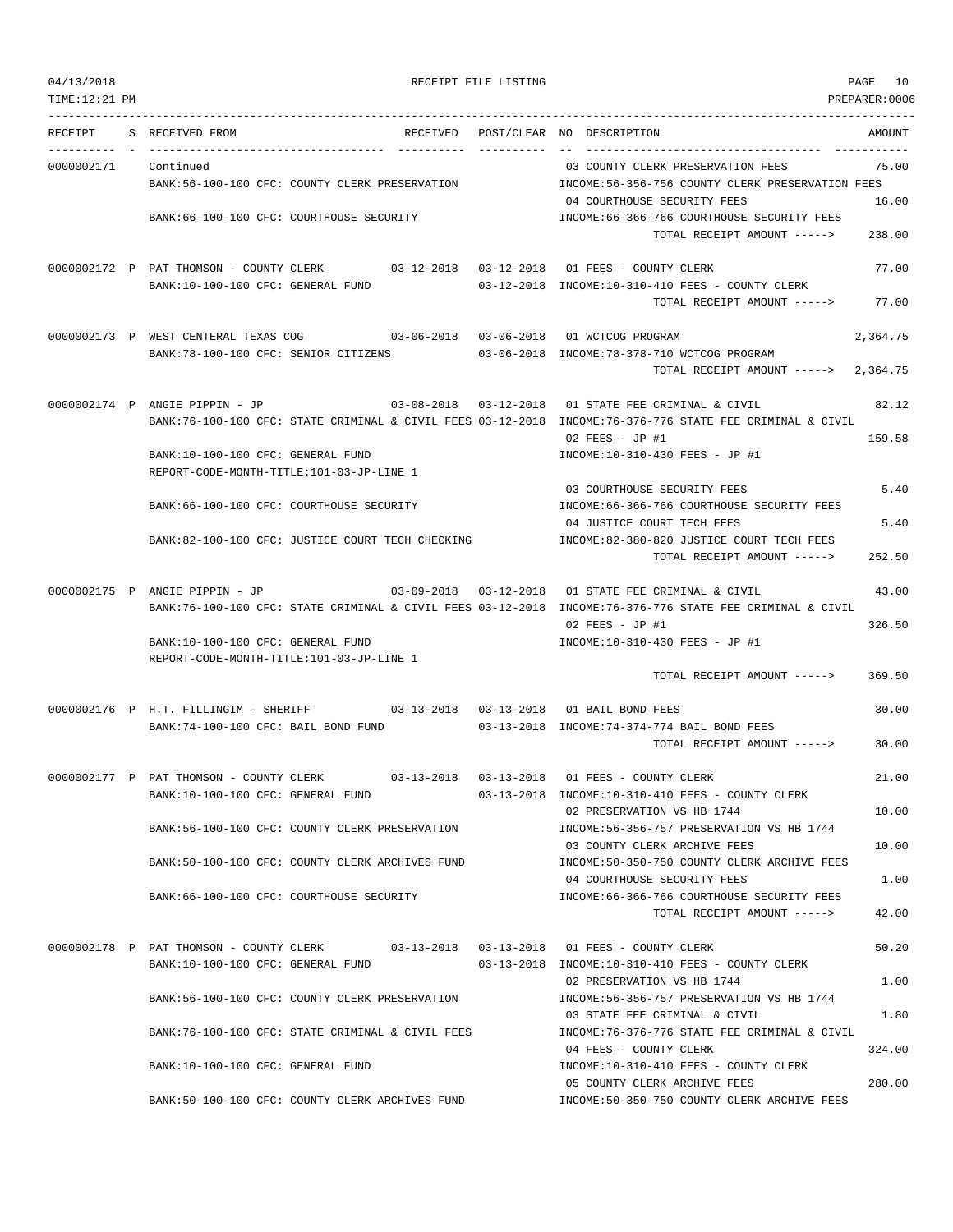| 04/13/2018 |
|------------|
|            |

| 04/13/2018<br>TIME:12:21 PM |                                                                                      |            | RECEIPT FILE LISTING |                                                                                                                                           | PAGE<br>10<br>PREPARER:0006 |
|-----------------------------|--------------------------------------------------------------------------------------|------------|----------------------|-------------------------------------------------------------------------------------------------------------------------------------------|-----------------------------|
|                             |                                                                                      |            |                      |                                                                                                                                           |                             |
| RECEIPT                     | S RECEIVED FROM                                                                      |            |                      | RECEIVED POST/CLEAR NO DESCRIPTION                                                                                                        | AMOUNT                      |
| 0000002171                  | Continued                                                                            |            |                      | 03 COUNTY CLERK PRESERVATION FEES                                                                                                         | 75.00                       |
|                             | BANK:56-100-100 CFC: COUNTY CLERK PRESERVATION                                       |            |                      | INCOME:56-356-756 COUNTY CLERK PRESERVATION FEES                                                                                          |                             |
|                             |                                                                                      |            |                      | 04 COURTHOUSE SECURITY FEES                                                                                                               | 16.00                       |
|                             | BANK: 66-100-100 CFC: COURTHOUSE SECURITY                                            |            |                      | INCOME:66-366-766 COURTHOUSE SECURITY FEES                                                                                                | 238.00                      |
|                             |                                                                                      |            |                      | TOTAL RECEIPT AMOUNT ----->                                                                                                               |                             |
|                             | 0000002172 P PAT THOMSON - COUNTY CLERK 03-12-2018 03-12-2018 01 FEES - COUNTY CLERK |            |                      |                                                                                                                                           | 77.00                       |
|                             | BANK:10-100-100 CFC: GENERAL FUND                                                    |            |                      | $03-12-2018$ INCOME: $10-310-410$ FEES - COUNTY CLERK                                                                                     |                             |
|                             |                                                                                      |            |                      | TOTAL RECEIPT AMOUNT ----->                                                                                                               | 77.00                       |
|                             | 0000002173 P WEST CENTERAL TEXAS COG 603-06-2018 03-06-2018 01 WCTCOG PROGRAM        |            |                      |                                                                                                                                           | 2,364.75                    |
|                             | BANK:78-100-100 CFC: SENIOR CITIZENS                                                 |            |                      | 03-06-2018 INCOME:78-378-710 WCTCOG PROGRAM                                                                                               |                             |
|                             |                                                                                      |            |                      | TOTAL RECEIPT AMOUNT -----> 2,364.75                                                                                                      |                             |
|                             |                                                                                      |            |                      |                                                                                                                                           |                             |
|                             | 0000002174 P ANGIE PIPPIN - JP                                                       | 03-08-2018 | 03-12-2018           | 01 STATE FEE CRIMINAL & CIVIL<br>BANK:76-100-100 CFC: STATE CRIMINAL & CIVIL FEES 03-12-2018 INCOME:76-376-776 STATE FEE CRIMINAL & CIVIL | 82.12                       |
|                             |                                                                                      |            |                      | 02 FEES - JP #1                                                                                                                           | 159.58                      |
|                             | BANK:10-100-100 CFC: GENERAL FUND                                                    |            |                      | INCOME:10-310-430 FEES - JP #1                                                                                                            |                             |
|                             | REPORT-CODE-MONTH-TITLE:101-03-JP-LINE 1                                             |            |                      |                                                                                                                                           |                             |
|                             |                                                                                      |            |                      | 03 COURTHOUSE SECURITY FEES                                                                                                               | 5.40                        |
|                             | BANK:66-100-100 CFC: COURTHOUSE SECURITY                                             |            |                      | INCOME:66-366-766 COURTHOUSE SECURITY FEES<br>04 JUSTICE COURT TECH FEES                                                                  | 5.40                        |
|                             | BANK:82-100-100 CFC: JUSTICE COURT TECH CHECKING                                     |            |                      | INCOME:82-380-820 JUSTICE COURT TECH FEES                                                                                                 |                             |
|                             |                                                                                      |            |                      | TOTAL RECEIPT AMOUNT ----->                                                                                                               | 252.50                      |
|                             |                                                                                      |            |                      |                                                                                                                                           |                             |
|                             | 0000002175 P ANGIE PIPPIN - JP                                                       | 03-09-2018 | $03 - 12 - 2018$     | 01 STATE FEE CRIMINAL & CIVIL<br>BANK:76-100-100 CFC: STATE CRIMINAL & CIVIL FEES 03-12-2018 INCOME:76-376-776 STATE FEE CRIMINAL & CIVIL | 43.00                       |
|                             |                                                                                      |            |                      | $02$ FEES - JP #1                                                                                                                         | 326.50                      |
|                             | BANK:10-100-100 CFC: GENERAL FUND                                                    |            |                      | INCOME:10-310-430 FEES - JP #1                                                                                                            |                             |
|                             | REPORT-CODE-MONTH-TITLE:101-03-JP-LINE 1                                             |            |                      |                                                                                                                                           |                             |
|                             |                                                                                      |            |                      | TOTAL RECEIPT AMOUNT ----->                                                                                                               | 369.50                      |
|                             | 0000002176 P H.T. FILLINGIM - SHERIFF 03-13-2018 03-13-2018 01 BAIL BOND FEES        |            |                      |                                                                                                                                           | 30.00                       |
|                             | BANK:74-100-100 CFC: BAIL BOND FUND                                                  |            |                      | 03-13-2018 INCOME: 74-374-774 BAIL BOND FEES                                                                                              |                             |
|                             |                                                                                      |            |                      | TOTAL RECEIPT AMOUNT ----->                                                                                                               | 30.00                       |
|                             |                                                                                      |            |                      |                                                                                                                                           |                             |
|                             | 0000002177 P PAT THOMSON - COUNTY CLERK<br>BANK:10-100-100 CFC: GENERAL FUND         | 03-13-2018 | 03-13-2018           | 01 FEES - COUNTY CLERK<br>03-13-2018 INCOME:10-310-410 FEES - COUNTY CLERK                                                                | 21.00                       |
|                             |                                                                                      |            |                      | 02 PRESERVATION VS HB 1744                                                                                                                | 10.00                       |
|                             | BANK:56-100-100 CFC: COUNTY CLERK PRESERVATION                                       |            |                      | INCOME: 56-356-757 PRESERVATION VS HB 1744                                                                                                |                             |
|                             |                                                                                      |            |                      | 03 COUNTY CLERK ARCHIVE FEES                                                                                                              | 10.00                       |
|                             | BANK:50-100-100 CFC: COUNTY CLERK ARCHIVES FUND                                      |            |                      | INCOME:50-350-750 COUNTY CLERK ARCHIVE FEES<br>04 COURTHOUSE SECURITY FEES                                                                | 1.00                        |
|                             | BANK:66-100-100 CFC: COURTHOUSE SECURITY                                             |            |                      | INCOME:66-366-766 COURTHOUSE SECURITY FEES                                                                                                |                             |
|                             |                                                                                      |            |                      | TOTAL RECEIPT AMOUNT ----->                                                                                                               | 42.00                       |
|                             |                                                                                      |            |                      |                                                                                                                                           |                             |
|                             | 0000002178 P PAT THOMSON - COUNTY CLERK<br>BANK:10-100-100 CFC: GENERAL FUND         |            |                      | 03-13-2018  03-13-2018  01 FEES - COUNTY CLERK<br>03-13-2018 INCOME:10-310-410 FEES - COUNTY CLERK                                        | 50.20                       |
|                             |                                                                                      |            |                      | 02 PRESERVATION VS HB 1744                                                                                                                | 1.00                        |
|                             | BANK:56-100-100 CFC: COUNTY CLERK PRESERVATION                                       |            |                      | INCOME: 56-356-757 PRESERVATION VS HB 1744                                                                                                |                             |
|                             |                                                                                      |            |                      | 03 STATE FEE CRIMINAL & CIVIL                                                                                                             | 1.80                        |
|                             | BANK:76-100-100 CFC: STATE CRIMINAL & CIVIL FEES                                     |            |                      | INCOME: 76-376-776 STATE FEE CRIMINAL & CIVIL<br>04 FEES - COUNTY CLERK                                                                   | 324.00                      |
|                             | BANK:10-100-100 CFC: GENERAL FUND                                                    |            |                      | INCOME:10-310-410 FEES - COUNTY CLERK                                                                                                     |                             |
|                             |                                                                                      |            |                      | 05 COUNTY CLERK ARCHIVE FEES                                                                                                              | 280.00                      |
|                             | BANK:50-100-100 CFC: COUNTY CLERK ARCHIVES FUND                                      |            |                      | INCOME:50-350-750 COUNTY CLERK ARCHIVE FEES                                                                                               |                             |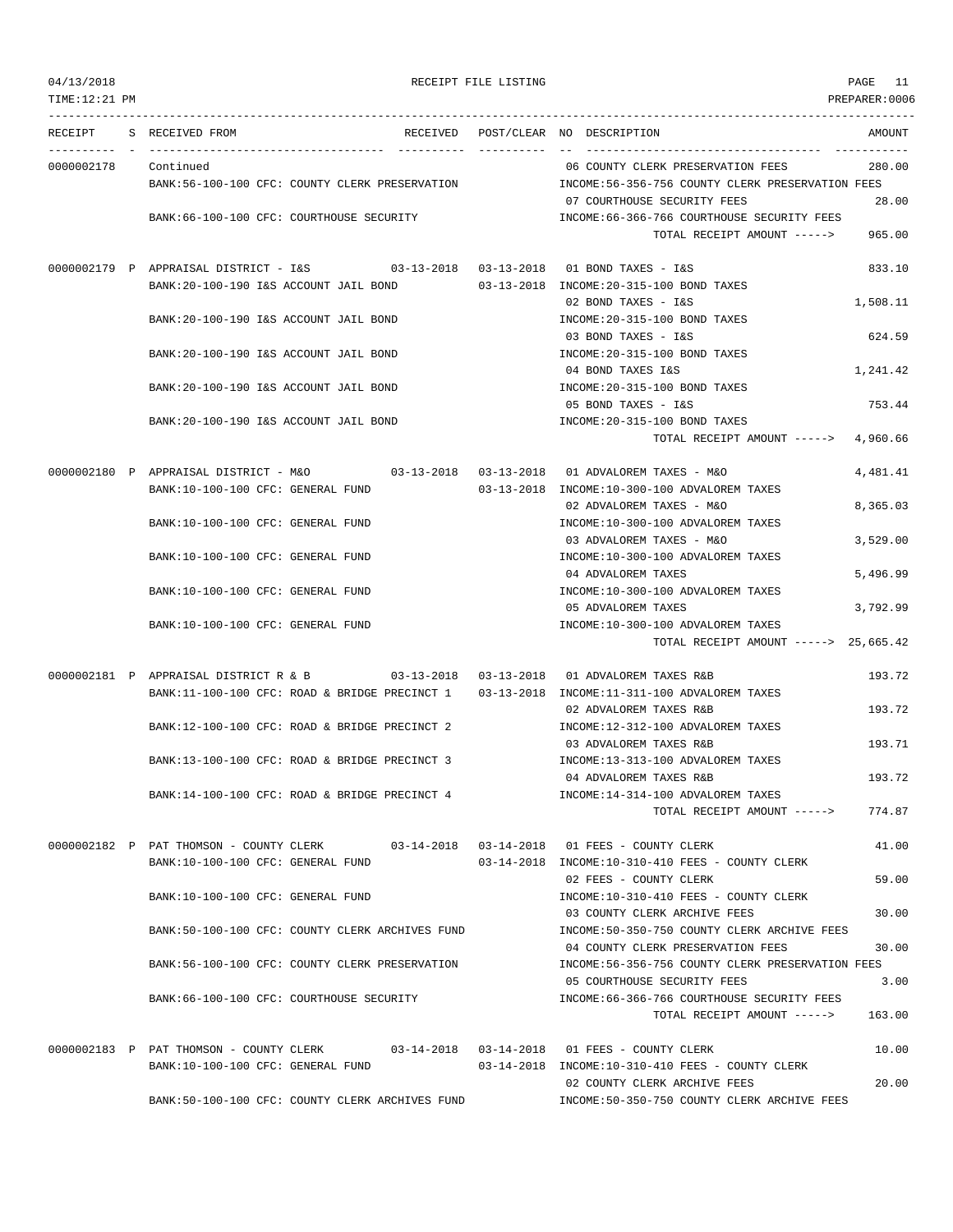| 04/13/2018      |                                                                                            | RECEIPT FILE LISTING |                                                                                 | PAGE 11        |
|-----------------|--------------------------------------------------------------------------------------------|----------------------|---------------------------------------------------------------------------------|----------------|
| TIME: 12: 21 PM |                                                                                            |                      |                                                                                 | PREPARER: 0006 |
| RECEIPT         | S RECEIVED FROM                                                                            |                      | RECEIVED POST/CLEAR NO DESCRIPTION                                              | AMOUNT         |
| 0000002178      | Continued                                                                                  |                      | 06 COUNTY CLERK PRESERVATION FEES                                               | 280.00         |
|                 | BANK:56-100-100 CFC: COUNTY CLERK PRESERVATION                                             |                      | INCOME:56-356-756 COUNTY CLERK PRESERVATION FEES<br>07 COURTHOUSE SECURITY FEES | 28.00          |
|                 | BANK:66-100-100 CFC: COURTHOUSE SECURITY                                                   |                      | INCOME:66-366-766 COURTHOUSE SECURITY FEES<br>TOTAL RECEIPT AMOUNT ----->       | 965.00         |
|                 | 0000002179 P APPRAISAL DISTRICT - I&S 03-13-2018 03-13-2018 01 BOND TAXES - I&S            |                      |                                                                                 | 833.10         |
|                 | BANK:20-100-190 I&S ACCOUNT JAIL BOND                                                      |                      | 03-13-2018 INCOME: 20-315-100 BOND TAXES                                        |                |
|                 |                                                                                            |                      | 02 BOND TAXES - I&S                                                             | 1,508.11       |
|                 | BANK: 20-100-190 I&S ACCOUNT JAIL BOND                                                     |                      | INCOME: 20-315-100 BOND TAXES<br>03 BOND TAXES - I&S                            | 624.59         |
|                 | BANK: 20-100-190 I&S ACCOUNT JAIL BOND                                                     |                      | INCOME: 20-315-100 BOND TAXES                                                   |                |
|                 |                                                                                            |                      | 04 BOND TAXES I&S                                                               | 1,241.42       |
|                 | BANK: 20-100-190 I&S ACCOUNT JAIL BOND                                                     |                      | INCOME: 20-315-100 BOND TAXES                                                   |                |
|                 | BANK: 20-100-190 I&S ACCOUNT JAIL BOND                                                     |                      | 05 BOND TAXES - I&S<br>INCOME: 20-315-100 BOND TAXES                            | 753.44         |
|                 |                                                                                            |                      | TOTAL RECEIPT AMOUNT -----> 4,960.66                                            |                |
|                 |                                                                                            |                      |                                                                                 |                |
|                 | 0000002180 P APPRAISAL DISTRICT - M&O                                                      |                      |                                                                                 | 4,481.41       |
|                 | BANK:10-100-100 CFC: GENERAL FUND                                                          |                      | 03-13-2018 INCOME:10-300-100 ADVALOREM TAXES                                    |                |
|                 | BANK:10-100-100 CFC: GENERAL FUND                                                          |                      | 02 ADVALOREM TAXES - M&O<br>INCOME:10-300-100 ADVALOREM TAXES                   | 8,365.03       |
|                 |                                                                                            |                      | 03 ADVALOREM TAXES - M&O                                                        | 3,529.00       |
|                 | BANK:10-100-100 CFC: GENERAL FUND                                                          |                      | INCOME:10-300-100 ADVALOREM TAXES                                               |                |
|                 |                                                                                            |                      | 04 ADVALOREM TAXES                                                              | 5,496.99       |
|                 | BANK:10-100-100 CFC: GENERAL FUND                                                          |                      | INCOME:10-300-100 ADVALOREM TAXES                                               |                |
|                 | BANK:10-100-100 CFC: GENERAL FUND                                                          |                      | 05 ADVALOREM TAXES<br>INCOME:10-300-100 ADVALOREM TAXES                         | 3,792.99       |
|                 |                                                                                            |                      | TOTAL RECEIPT AMOUNT -----> 25,665.42                                           |                |
|                 | 0000002181 P APPRAISAL DISTRICT R & B                                                      |                      | 03-13-2018  03-13-2018  01 ADVALOREM TAXES R&B                                  | 193.72         |
|                 | BANK:11-100-100 CFC: ROAD & BRIDGE PRECINCT 1 03-13-2018 INCOME:11-311-100 ADVALOREM TAXES |                      |                                                                                 |                |
|                 |                                                                                            |                      | 02 ADVALOREM TAXES R&B                                                          | 193.72         |
|                 | BANK:12-100-100 CFC: ROAD & BRIDGE PRECINCT 2                                              |                      | INCOME:12-312-100 ADVALOREM TAXES                                               |                |
|                 | BANK:13-100-100 CFC: ROAD & BRIDGE PRECINCT 3                                              |                      | 03 ADVALOREM TAXES R&B<br>INCOME:13-313-100 ADVALOREM TAXES                     | 193.71         |
|                 |                                                                                            |                      | 04 ADVALOREM TAXES R&B                                                          | 193.72         |
|                 | BANK:14-100-100 CFC: ROAD & BRIDGE PRECINCT 4                                              |                      | INCOME:14-314-100 ADVALOREM TAXES                                               |                |
|                 |                                                                                            |                      | TOTAL RECEIPT AMOUNT ----->                                                     | 774.87         |
|                 | 0000002182 P PAT THOMSON - COUNTY CLERK 03-14-2018 03-14-2018 01 FEES - COUNTY CLERK       |                      |                                                                                 | 41.00          |
|                 | BANK:10-100-100 CFC: GENERAL FUND                                                          |                      | 03-14-2018 INCOME:10-310-410 FEES - COUNTY CLERK                                |                |
|                 |                                                                                            |                      | 02 FEES - COUNTY CLERK                                                          | 59.00          |
|                 | BANK:10-100-100 CFC: GENERAL FUND                                                          |                      | INCOME:10-310-410 FEES - COUNTY CLERK<br>03 COUNTY CLERK ARCHIVE FEES           | 30.00          |
|                 | BANK:50-100-100 CFC: COUNTY CLERK ARCHIVES FUND                                            |                      | INCOME:50-350-750 COUNTY CLERK ARCHIVE FEES                                     |                |
|                 |                                                                                            |                      | 04 COUNTY CLERK PRESERVATION FEES                                               | 30.00          |
|                 | BANK:56-100-100 CFC: COUNTY CLERK PRESERVATION                                             |                      | INCOME:56-356-756 COUNTY CLERK PRESERVATION FEES                                |                |
|                 |                                                                                            |                      | 05 COURTHOUSE SECURITY FEES                                                     | 3.00           |
|                 | BANK:66-100-100 CFC: COURTHOUSE SECURITY                                                   |                      | INCOME:66-366-766 COURTHOUSE SECURITY FEES<br>TOTAL RECEIPT AMOUNT ----->       | 163.00         |
|                 | 0000002183 P PAT THOMSON - COUNTY CLERK 03-14-2018 03-14-2018 01 FEES - COUNTY CLERK       |                      |                                                                                 | 10.00          |
|                 | BANK:10-100-100 CFC: GENERAL FUND                                                          |                      | 03-14-2018 INCOME:10-310-410 FEES - COUNTY CLERK                                |                |
|                 |                                                                                            |                      | 02 COUNTY CLERK ARCHIVE FEES                                                    | 20.00          |
|                 | BANK:50-100-100 CFC: COUNTY CLERK ARCHIVES FUND                                            |                      | INCOME:50-350-750 COUNTY CLERK ARCHIVE FEES                                     |                |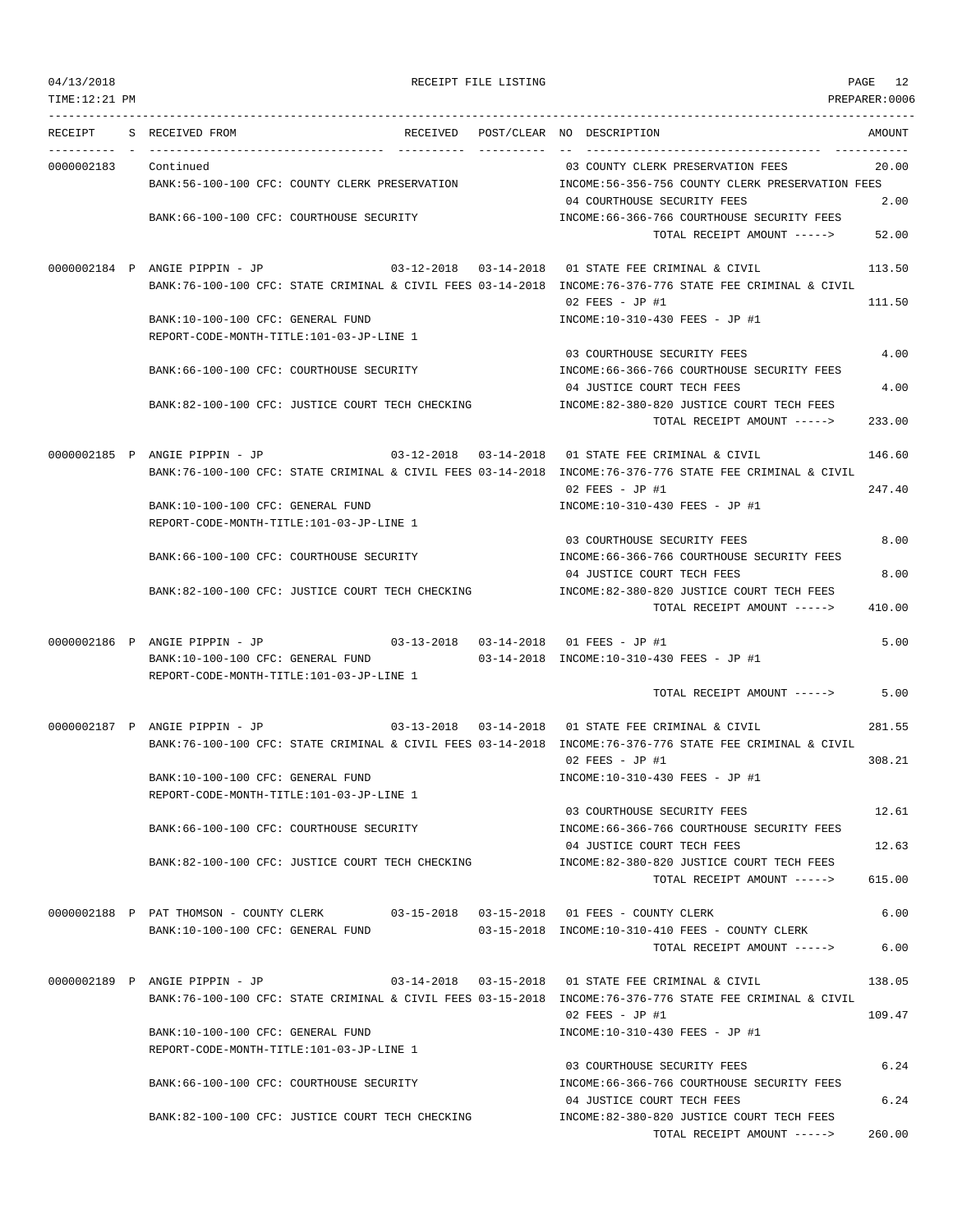| 04/13/2018<br>TIME:12:21 PM |                                                                               |          | RECEIPT FILE LISTING |                                                                                                                               | PAGE 12<br>PREPARER:0006 |
|-----------------------------|-------------------------------------------------------------------------------|----------|----------------------|-------------------------------------------------------------------------------------------------------------------------------|--------------------------|
|                             |                                                                               |          |                      |                                                                                                                               |                          |
| RECEIPT                     | S RECEIVED FROM                                                               | RECEIVED |                      | POST/CLEAR NO DESCRIPTION                                                                                                     | AMOUNT                   |
| 0000002183                  | Continued                                                                     |          |                      | 03 COUNTY CLERK PRESERVATION FEES                                                                                             | 20.00                    |
|                             | BANK:56-100-100 CFC: COUNTY CLERK PRESERVATION                                |          |                      | INCOME:56-356-756 COUNTY CLERK PRESERVATION FEES                                                                              |                          |
|                             |                                                                               |          |                      | 04 COURTHOUSE SECURITY FEES                                                                                                   | 2.00                     |
|                             | BANK:66-100-100 CFC: COURTHOUSE SECURITY                                      |          |                      | INCOME: 66-366-766 COURTHOUSE SECURITY FEES<br>TOTAL RECEIPT AMOUNT ----->                                                    | 52.00                    |
|                             | 0000002184 P ANGIE PIPPIN - JP                                                |          |                      | $03-12-2018$ $03-14-2018$ $01$ STATE FEE CRIMINAL & CIVIL                                                                     | 113.50                   |
|                             |                                                                               |          |                      | BANK:76-100-100 CFC: STATE CRIMINAL & CIVIL FEES 03-14-2018 INCOME:76-376-776 STATE FEE CRIMINAL & CIVIL<br>$02$ FEES - JP #1 | 111.50                   |
|                             | BANK:10-100-100 CFC: GENERAL FUND                                             |          |                      | INCOME:10-310-430 FEES - JP #1                                                                                                |                          |
|                             | REPORT-CODE-MONTH-TITLE:101-03-JP-LINE 1                                      |          |                      | 03 COURTHOUSE SECURITY FEES                                                                                                   | 4.00                     |
|                             | BANK:66-100-100 CFC: COURTHOUSE SECURITY                                      |          |                      | INCOME: 66-366-766 COURTHOUSE SECURITY FEES<br>04 JUSTICE COURT TECH FEES                                                     | 4.00                     |
|                             | BANK:82-100-100 CFC: JUSTICE COURT TECH CHECKING                              |          |                      | INCOME:82-380-820 JUSTICE COURT TECH FEES                                                                                     |                          |
|                             |                                                                               |          |                      | TOTAL RECEIPT AMOUNT ----->                                                                                                   | 233.00                   |
|                             | 0000002185 P ANGIE PIPPIN - JP                                                |          |                      | $03-12-2018$ $03-14-2018$ $01$ STATE FEE CRIMINAL & CIVIL                                                                     | 146.60                   |
|                             |                                                                               |          |                      | BANK:76-100-100 CFC: STATE CRIMINAL & CIVIL FEES 03-14-2018 INCOME:76-376-776 STATE FEE CRIMINAL & CIVIL                      |                          |
|                             | BANK:10-100-100 CFC: GENERAL FUND                                             |          |                      | $02$ FEES - JP #1<br>INCOME:10-310-430 FEES - JP #1                                                                           | 247.40                   |
|                             | REPORT-CODE-MONTH-TITLE:101-03-JP-LINE 1                                      |          |                      |                                                                                                                               |                          |
|                             |                                                                               |          |                      | 03 COURTHOUSE SECURITY FEES                                                                                                   | 8.00                     |
|                             | BANK:66-100-100 CFC: COURTHOUSE SECURITY                                      |          |                      | INCOME: 66-366-766 COURTHOUSE SECURITY FEES                                                                                   |                          |
|                             | BANK:82-100-100 CFC: JUSTICE COURT TECH CHECKING                              |          |                      | 04 JUSTICE COURT TECH FEES<br>INCOME:82-380-820 JUSTICE COURT TECH FEES                                                       | 8.00                     |
|                             |                                                                               |          |                      | TOTAL RECEIPT AMOUNT ----->                                                                                                   | 410.00                   |
|                             |                                                                               |          |                      |                                                                                                                               | 5.00                     |
|                             | BANK:10-100-100 CFC: GENERAL FUND                                             |          |                      | 03-14-2018 INCOME:10-310-430 FEES - JP #1                                                                                     |                          |
|                             | REPORT-CODE-MONTH-TITLE:101-03-JP-LINE 1                                      |          |                      |                                                                                                                               |                          |
|                             |                                                                               |          |                      | TOTAL RECEIPT AMOUNT ----->                                                                                                   | 5.00                     |
|                             | 0000002187 P ANGIE PIPPIN - JP                                                |          |                      |                                                                                                                               | 281.55                   |
|                             |                                                                               |          |                      | BANK:76-100-100 CFC: STATE CRIMINAL & CIVIL FEES 03-14-2018 INCOME:76-376-776 STATE FEE CRIMINAL & CIVIL                      |                          |
|                             | BANK:10-100-100 CFC: GENERAL FUND                                             |          |                      | $02$ FEES - JP #1                                                                                                             | 308.21                   |
|                             | REPORT-CODE-MONTH-TITLE:101-03-JP-LINE 1                                      |          |                      | INCOME:10-310-430 FEES - JP #1                                                                                                |                          |
|                             |                                                                               |          |                      | 03 COURTHOUSE SECURITY FEES                                                                                                   | 12.61                    |
|                             | BANK:66-100-100 CFC: COURTHOUSE SECURITY                                      |          |                      | INCOME: 66-366-766 COURTHOUSE SECURITY FEES                                                                                   |                          |
|                             |                                                                               |          |                      | 04 JUSTICE COURT TECH FEES                                                                                                    | 12.63                    |
|                             | BANK:82-100-100 CFC: JUSTICE COURT TECH CHECKING                              |          |                      | INCOME:82-380-820 JUSTICE COURT TECH FEES<br>TOTAL RECEIPT AMOUNT ----->                                                      | 615.00                   |
|                             |                                                                               |          |                      | 0000002188 P PAT THOMSON - COUNTY CLERK 03-15-2018 03-15-2018 01 FEES - COUNTY CLERK                                          | 6.00                     |
|                             | BANK:10-100-100 CFC: GENERAL FUND                                             |          |                      | 03-15-2018 INCOME:10-310-410 FEES - COUNTY CLERK                                                                              |                          |
|                             |                                                                               |          |                      | TOTAL RECEIPT AMOUNT ----->                                                                                                   | 6.00                     |
|                             | 0000002189 P ANGIE PIPPIN - JP                                                |          |                      | 03-14-2018  03-15-2018  01 STATE FEE CRIMINAL & CIVIL                                                                         | 138.05                   |
|                             |                                                                               |          |                      | BANK:76-100-100 CFC: STATE CRIMINAL & CIVIL FEES 03-15-2018 INCOME:76-376-776 STATE FEE CRIMINAL & CIVIL                      |                          |
|                             |                                                                               |          |                      | $02$ FEES - JP #1                                                                                                             | 109.47                   |
|                             | BANK:10-100-100 CFC: GENERAL FUND<br>REPORT-CODE-MONTH-TITLE:101-03-JP-LINE 1 |          |                      | INCOME:10-310-430 FEES - JP #1                                                                                                |                          |
|                             |                                                                               |          |                      | 03 COURTHOUSE SECURITY FEES                                                                                                   | 6.24                     |
|                             | BANK:66-100-100 CFC: COURTHOUSE SECURITY                                      |          |                      | INCOME: 66-366-766 COURTHOUSE SECURITY FEES                                                                                   |                          |
|                             |                                                                               |          |                      | 04 JUSTICE COURT TECH FEES                                                                                                    | 6.24                     |
|                             | BANK:82-100-100 CFC: JUSTICE COURT TECH CHECKING                              |          |                      | INCOME:82-380-820 JUSTICE COURT TECH FEES                                                                                     |                          |

TOTAL RECEIPT AMOUNT -----> 260.00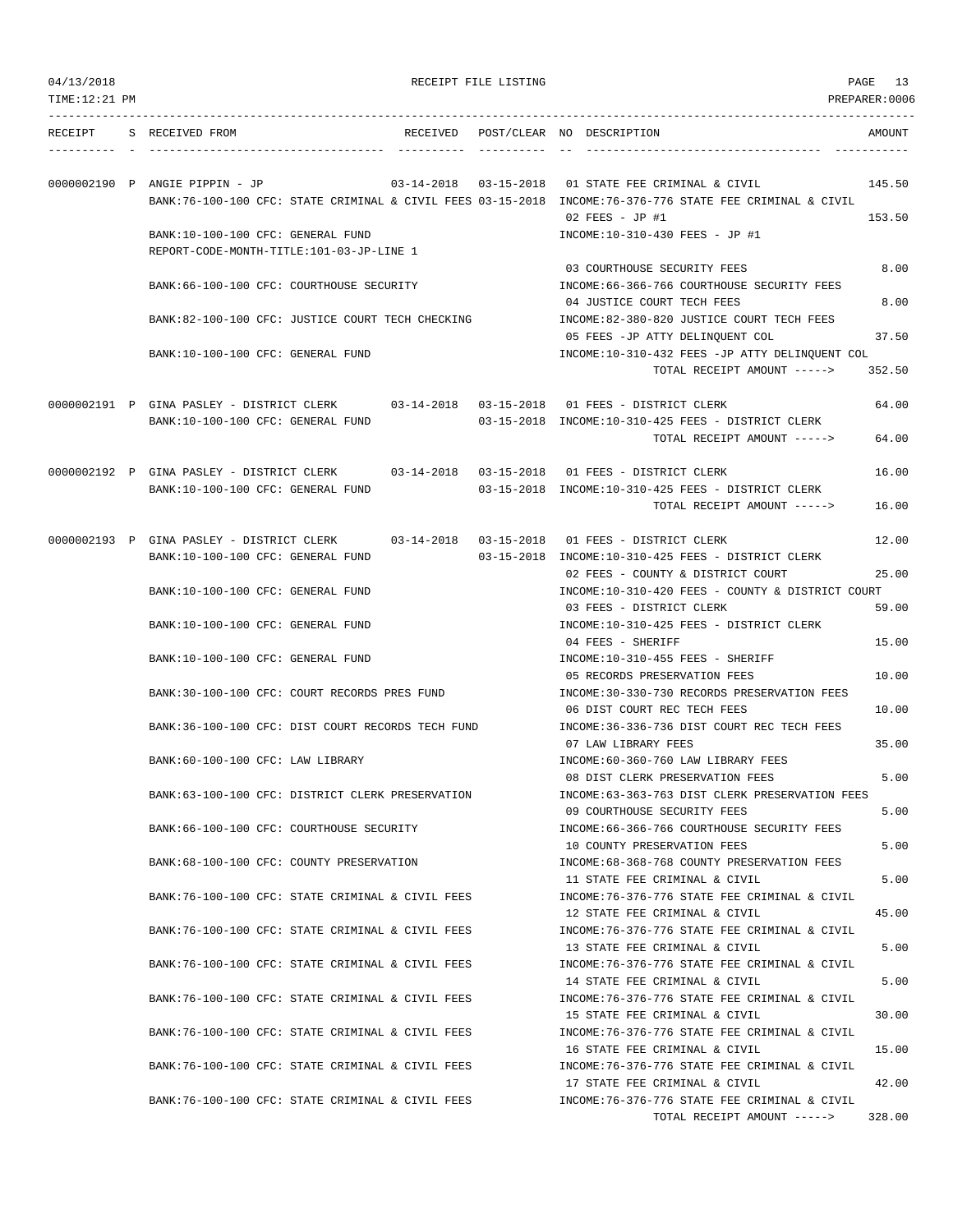| 04/13/2018 |
|------------|
|------------|

RECEIPT FILE LISTING **PAGE** 13

TOTAL RECEIPT AMOUNT -----> 328.00

| TIME:12:21 PM |                                                                                                                               |                                   | PREPARER:0006                                                                                                               |        |
|---------------|-------------------------------------------------------------------------------------------------------------------------------|-----------------------------------|-----------------------------------------------------------------------------------------------------------------------------|--------|
| RECEIPT       | S RECEIVED FROM                                                                                                               | RECEIVED                          | POST/CLEAR NO DESCRIPTION                                                                                                   | AMOUNT |
|               | 0000002190 P ANGIE PIPPIN - JP                                                                                                | $03 - 14 - 2018$ $03 - 15 - 2018$ | 01 STATE FEE CRIMINAL & CIVIL                                                                                               | 145.50 |
|               |                                                                                                                               |                                   | BANK:76-100-100 CFC: STATE CRIMINAL & CIVIL FEES 03-15-2018 INCOME:76-376-776 STATE FEE CRIMINAL & CIVIL<br>02 FEES - JP #1 | 153.50 |
|               | BANK:10-100-100 CFC: GENERAL FUND<br>REPORT-CODE-MONTH-TITLE:101-03-JP-LINE 1                                                 |                                   | INCOME:10-310-430 FEES - JP #1                                                                                              |        |
|               | BANK:66-100-100 CFC: COURTHOUSE SECURITY                                                                                      |                                   | 03 COURTHOUSE SECURITY FEES<br>INCOME:66-366-766 COURTHOUSE SECURITY FEES                                                   | 8.00   |
|               | BANK:82-100-100 CFC: JUSTICE COURT TECH CHECKING                                                                              |                                   | 04 JUSTICE COURT TECH FEES<br>INCOME:82-380-820 JUSTICE COURT TECH FEES                                                     | 8.00   |
|               | BANK:10-100-100 CFC: GENERAL FUND                                                                                             |                                   | 05 FEES -JP ATTY DELINQUENT COL<br>INCOME:10-310-432 FEES -JP ATTY DELINQUENT COL                                           | 37.50  |
|               |                                                                                                                               |                                   | TOTAL RECEIPT AMOUNT ----->                                                                                                 | 352.50 |
|               | 0000002191 P GINA PASLEY - DISTRICT CLERK 03-14-2018 03-15-2018 01 FEES - DISTRICT CLERK<br>BANK:10-100-100 CFC: GENERAL FUND |                                   | 03-15-2018 INCOME:10-310-425 FEES - DISTRICT CLERK                                                                          | 64.00  |
|               |                                                                                                                               |                                   | TOTAL RECEIPT AMOUNT ----->                                                                                                 | 64.00  |
|               | 0000002192 P GINA PASLEY - DISTRICT CLERK 03-14-2018 03-15-2018 01 FEES - DISTRICT CLERK<br>BANK:10-100-100 CFC: GENERAL FUND |                                   | 03-15-2018 INCOME:10-310-425 FEES - DISTRICT CLERK                                                                          | 16.00  |
|               |                                                                                                                               |                                   | TOTAL RECEIPT AMOUNT ----->                                                                                                 | 16.00  |
|               | 0000002193 P GINA PASLEY - DISTRICT CLERK                                                                                     |                                   | 03-14-2018  03-15-2018  01  FEES - DISTRICT CLERK                                                                           | 12.00  |
|               | BANK:10-100-100 CFC: GENERAL FUND                                                                                             |                                   | 03-15-2018 INCOME:10-310-425 FEES - DISTRICT CLERK<br>02 FEES - COUNTY & DISTRICT COURT                                     | 25.00  |
|               | BANK:10-100-100 CFC: GENERAL FUND                                                                                             |                                   | INCOME:10-310-420 FEES - COUNTY & DISTRICT COURT<br>03 FEES - DISTRICT CLERK                                                | 59.00  |
|               | BANK:10-100-100 CFC: GENERAL FUND                                                                                             |                                   | INCOME:10-310-425 FEES - DISTRICT CLERK<br>04 FEES - SHERIFF                                                                | 15.00  |
|               | BANK:10-100-100 CFC: GENERAL FUND                                                                                             |                                   | INCOME:10-310-455 FEES - SHERIFF<br>05 RECORDS PRESERVATION FEES                                                            | 10.00  |
|               | BANK:30-100-100 CFC: COURT RECORDS PRES FUND                                                                                  |                                   | INCOME: 30-330-730 RECORDS PRESERVATION FEES<br>06 DIST COURT REC TECH FEES                                                 | 10.00  |
|               | BANK:36-100-100 CFC: DIST COURT RECORDS TECH FUND                                                                             |                                   | INCOME: 36-336-736 DIST COURT REC TECH FEES<br>07 LAW LIBRARY FEES                                                          | 35.00  |
|               | BANK:60-100-100 CFC: LAW LIBRARY                                                                                              |                                   | INCOME:60-360-760 LAW LIBRARY FEES<br>08 DIST CLERK PRESERVATION FEES                                                       | 5.00   |
|               | BANK:63-100-100 CFC: DISTRICT CLERK PRESERVATION                                                                              |                                   | INCOME: 63-363-763 DIST CLERK PRESERVATION FEES<br>09 COURTHOUSE SECURITY FEES                                              | 5.00   |
|               | BANK:66-100-100 CFC: COURTHOUSE SECURITY                                                                                      |                                   | INCOME: 66-366-766 COURTHOUSE SECURITY FEES<br>10 COUNTY PRESERVATION FEES                                                  | 5.00   |
|               | BANK: 68-100-100 CFC: COUNTY PRESERVATION                                                                                     |                                   | INCOME:68-368-768 COUNTY PRESERVATION FEES<br>11 STATE FEE CRIMINAL & CIVIL                                                 |        |
|               | BANK:76-100-100 CFC: STATE CRIMINAL & CIVIL FEES                                                                              |                                   | INCOME: 76-376-776 STATE FEE CRIMINAL & CIVIL                                                                               | 5.00   |
|               | BANK:76-100-100 CFC: STATE CRIMINAL & CIVIL FEES                                                                              |                                   | 12 STATE FEE CRIMINAL & CIVIL<br>INCOME: 76-376-776 STATE FEE CRIMINAL & CIVIL                                              | 45.00  |
|               | BANK:76-100-100 CFC: STATE CRIMINAL & CIVIL FEES                                                                              |                                   | 13 STATE FEE CRIMINAL & CIVIL<br>INCOME: 76-376-776 STATE FEE CRIMINAL & CIVIL                                              | 5.00   |
|               | BANK:76-100-100 CFC: STATE CRIMINAL & CIVIL FEES                                                                              |                                   | 14 STATE FEE CRIMINAL & CIVIL<br>INCOME: 76-376-776 STATE FEE CRIMINAL & CIVIL                                              | 5.00   |
|               | BANK:76-100-100 CFC: STATE CRIMINAL & CIVIL FEES                                                                              |                                   | 15 STATE FEE CRIMINAL & CIVIL<br>INCOME: 76-376-776 STATE FEE CRIMINAL & CIVIL                                              | 30.00  |
|               | BANK:76-100-100 CFC: STATE CRIMINAL & CIVIL FEES                                                                              |                                   | 16 STATE FEE CRIMINAL & CIVIL<br>INCOME: 76-376-776 STATE FEE CRIMINAL & CIVIL                                              | 15.00  |
|               | BANK:76-100-100 CFC: STATE CRIMINAL & CIVIL FEES                                                                              |                                   | 17 STATE FEE CRIMINAL & CIVIL<br>INCOME: 76-376-776 STATE FEE CRIMINAL & CIVIL                                              | 42.00  |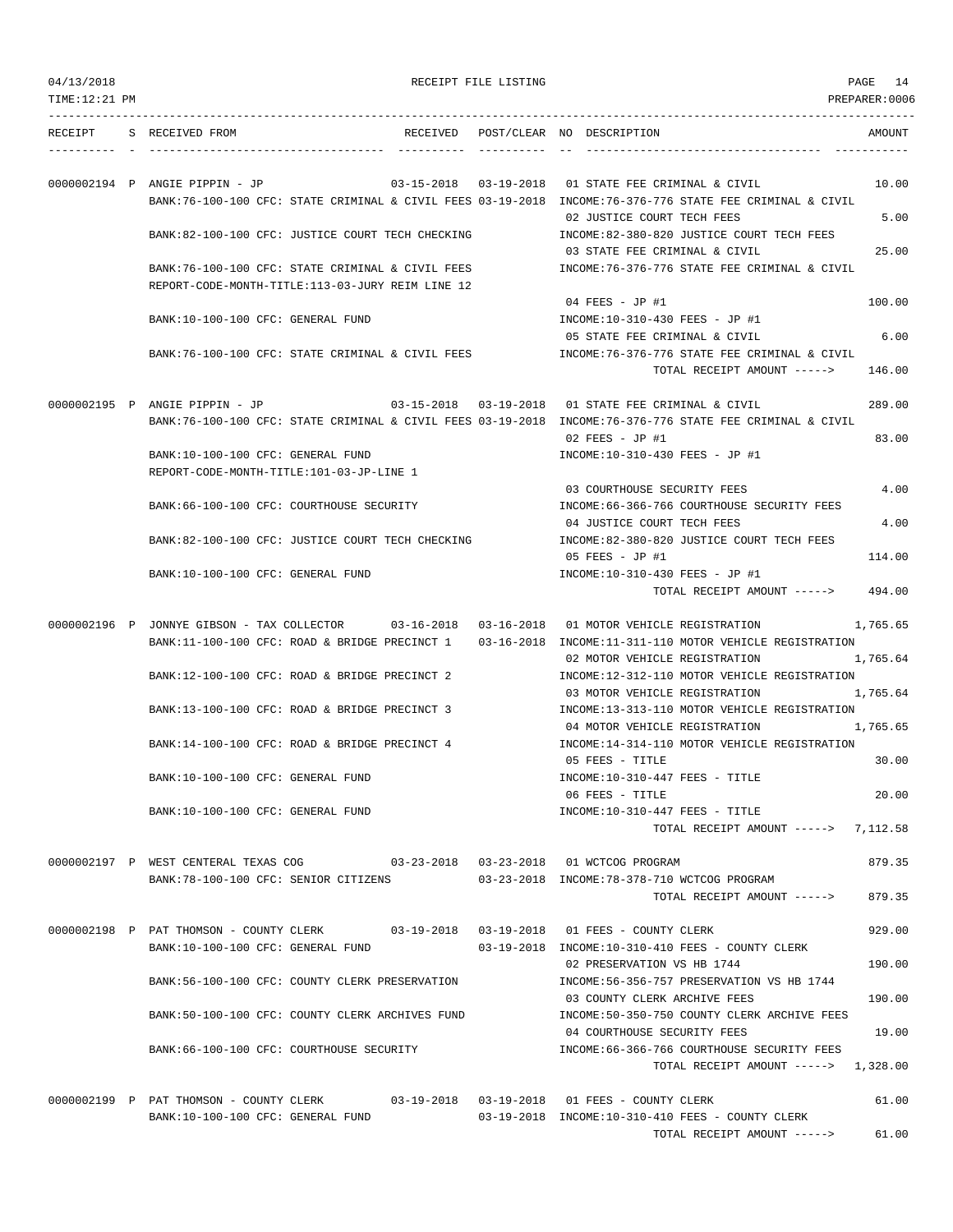|  | 04/13/2018 |  |
|--|------------|--|
|  |            |  |

RECEIPT FILE LISTING **PAGE** 14

| RECEIPT | S RECEIVED FROM<br>RECEIVED                                                                              |                  | POST/CLEAR NO DESCRIPTION<br>AMOUNT                                                                  |
|---------|----------------------------------------------------------------------------------------------------------|------------------|------------------------------------------------------------------------------------------------------|
|         |                                                                                                          |                  |                                                                                                      |
|         | 03-15-2018<br>0000002194 P ANGIE PIPPIN - JP                                                             | $03 - 19 - 2018$ | 01 STATE FEE CRIMINAL & CIVIL<br>10.00                                                               |
|         | BANK:76-100-100 CFC: STATE CRIMINAL & CIVIL FEES 03-19-2018 INCOME:76-376-776 STATE FEE CRIMINAL & CIVIL |                  | 02 JUSTICE COURT TECH FEES<br>5.00                                                                   |
|         | BANK:82-100-100 CFC: JUSTICE COURT TECH CHECKING                                                         |                  | INCOME:82-380-820 JUSTICE COURT TECH FEES                                                            |
|         | BANK:76-100-100 CFC: STATE CRIMINAL & CIVIL FEES                                                         |                  | 25.00<br>03 STATE FEE CRIMINAL & CIVIL<br>INCOME: 76-376-776 STATE FEE CRIMINAL & CIVIL              |
|         | REPORT-CODE-MONTH-TITLE:113-03-JURY REIM LINE 12                                                         |                  | 100.00                                                                                               |
|         | BANK:10-100-100 CFC: GENERAL FUND                                                                        |                  | 04 FEES - JP #1<br>INCOME:10-310-430 FEES - JP #1                                                    |
|         | BANK:76-100-100 CFC: STATE CRIMINAL & CIVIL FEES                                                         |                  | 05 STATE FEE CRIMINAL & CIVIL<br>6.00<br>INCOME:76-376-776 STATE FEE CRIMINAL & CIVIL                |
|         |                                                                                                          |                  | 146.00<br>TOTAL RECEIPT AMOUNT ----->                                                                |
|         | 0000002195 P ANGIE PIPPIN - JP                                                                           |                  | 289.00                                                                                               |
|         | BANK:76-100-100 CFC: STATE CRIMINAL & CIVIL FEES 03-19-2018 INCOME:76-376-776 STATE FEE CRIMINAL & CIVIL |                  | $02$ FEES - JP #1<br>83.00                                                                           |
|         | BANK:10-100-100 CFC: GENERAL FUND                                                                        |                  | INCOME:10-310-430 FEES - JP #1                                                                       |
|         | REPORT-CODE-MONTH-TITLE:101-03-JP-LINE 1                                                                 |                  | 4.00<br>03 COURTHOUSE SECURITY FEES                                                                  |
|         | BANK:66-100-100 CFC: COURTHOUSE SECURITY                                                                 |                  | INCOME: 66-366-766 COURTHOUSE SECURITY FEES<br>4.00<br>04 JUSTICE COURT TECH FEES                    |
|         | BANK:82-100-100 CFC: JUSTICE COURT TECH CHECKING                                                         |                  | INCOME:82-380-820 JUSTICE COURT TECH FEES                                                            |
|         | BANK:10-100-100 CFC: GENERAL FUND                                                                        |                  | 05 FEES - JP #1<br>114.00<br>INCOME:10-310-430 FEES - JP #1                                          |
|         |                                                                                                          |                  | TOTAL RECEIPT AMOUNT -----><br>494.00                                                                |
|         | 0000002196 P JONNYE GIBSON - TAX COLLECTOR 03-16-2018 03-16-2018 01 MOTOR VEHICLE REGISTRATION           |                  | 1,765.65                                                                                             |
|         | BANK:11-100-100 CFC: ROAD & BRIDGE PRECINCT 1                                                            |                  | 03-16-2018 INCOME:11-311-110 MOTOR VEHICLE REGISTRATION<br>02 MOTOR VEHICLE REGISTRATION<br>1,765.64 |
|         | BANK:12-100-100 CFC: ROAD & BRIDGE PRECINCT 2                                                            |                  | INCOME:12-312-110 MOTOR VEHICLE REGISTRATION                                                         |
|         | BANK:13-100-100 CFC: ROAD & BRIDGE PRECINCT 3                                                            |                  | 1,765.64<br>03 MOTOR VEHICLE REGISTRATION<br>INCOME:13-313-110 MOTOR VEHICLE REGISTRATION            |
|         | BANK:14-100-100 CFC: ROAD & BRIDGE PRECINCT 4                                                            |                  | 04 MOTOR VEHICLE REGISTRATION<br>1,765.65<br>INCOME:14-314-110 MOTOR VEHICLE REGISTRATION            |
|         |                                                                                                          |                  | 30.00<br>05 FEES - TITLE                                                                             |
|         | BANK:10-100-100 CFC: GENERAL FUND                                                                        |                  | INCOME:10-310-447 FEES - TITLE<br>20.00<br>06 FEES - TITLE                                           |
|         | BANK:10-100-100 CFC: GENERAL FUND                                                                        |                  | INCOME:10-310-447 FEES - TITLE                                                                       |
|         |                                                                                                          |                  | TOTAL RECEIPT AMOUNT -----> 7,112.58                                                                 |
|         | 0000002197 P WEST CENTERAL TEXAS COG 03-23-2018 03-23-2018 01 WCTCOG PROGRAM                             |                  | 879.35                                                                                               |
|         | BANK:78-100-100 CFC: SENIOR CITIZENS                                                                     |                  | 03-23-2018 INCOME:78-378-710 WCTCOG PROGRAM<br>879.35<br>TOTAL RECEIPT AMOUNT ----->                 |
|         | 0000002198 P PAT THOMSON - COUNTY CLERK 03-19-2018 03-19-2018 01 FEES - COUNTY CLERK                     |                  | 929.00                                                                                               |
|         | BANK:10-100-100 CFC: GENERAL FUND                                                                        |                  | 03-19-2018 INCOME:10-310-410 FEES - COUNTY CLERK<br>02 PRESERVATION VS HB 1744<br>190.00             |
|         | BANK:56-100-100 CFC: COUNTY CLERK PRESERVATION                                                           |                  | INCOME: 56-356-757 PRESERVATION VS HB 1744                                                           |
|         | BANK:50-100-100 CFC: COUNTY CLERK ARCHIVES FUND                                                          |                  | 03 COUNTY CLERK ARCHIVE FEES<br>190.00<br>INCOME: 50-350-750 COUNTY CLERK ARCHIVE FEES               |
|         |                                                                                                          |                  | 04 COURTHOUSE SECURITY FEES<br>19.00                                                                 |
|         | BANK:66-100-100 CFC: COURTHOUSE SECURITY                                                                 |                  | INCOME: 66-366-766 COURTHOUSE SECURITY FEES<br>TOTAL RECEIPT AMOUNT -----> 1,328.00                  |
|         | 0000002199 P PAT THOMSON - COUNTY CLERK                                                                  |                  | 61.00                                                                                                |
|         | BANK:10-100-100 CFC: GENERAL FUND                                                                        |                  | 03-19-2018 INCOME:10-310-410 FEES - COUNTY CLERK                                                     |
|         |                                                                                                          |                  | TOTAL RECEIPT AMOUNT -----> 61.00                                                                    |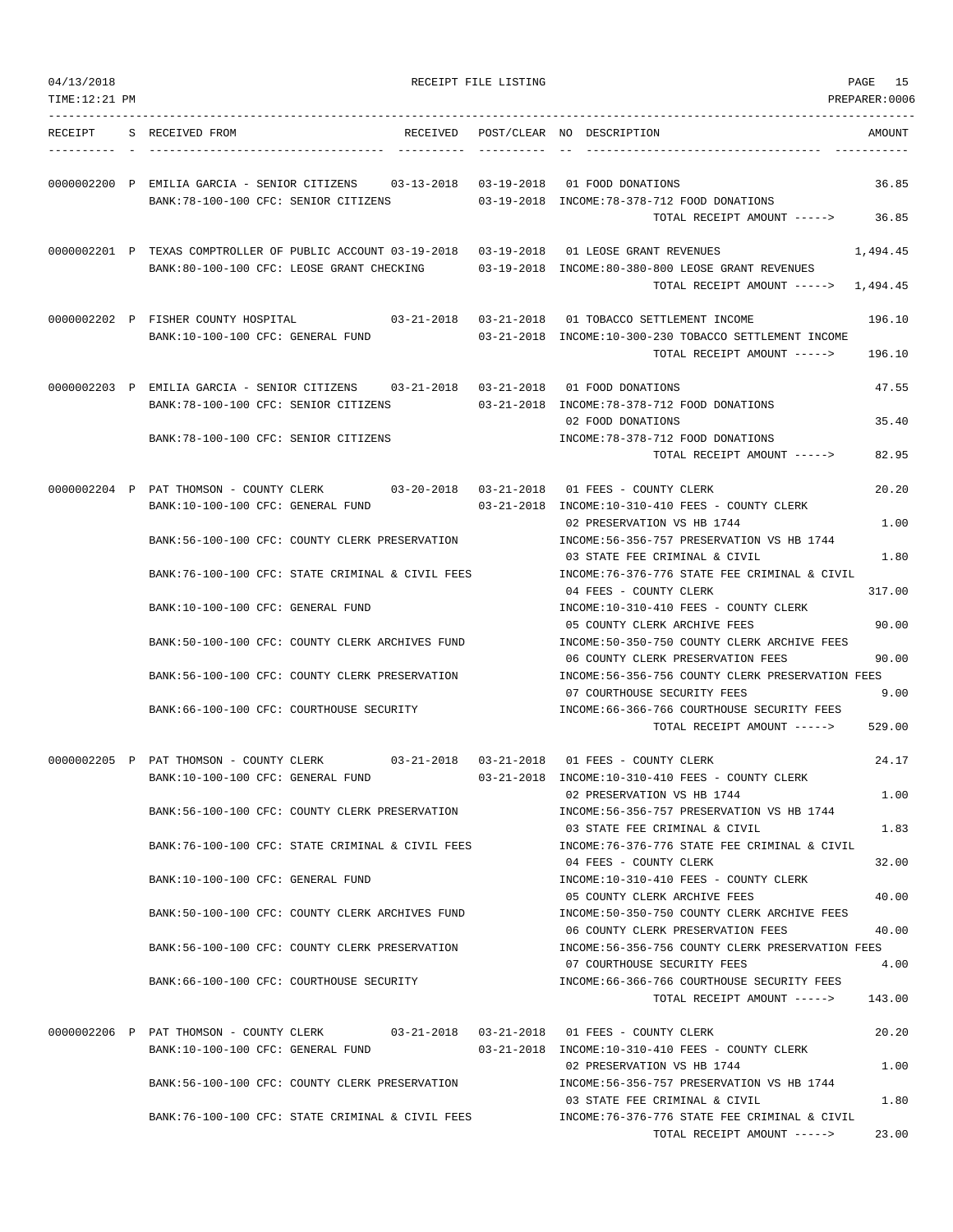| TIME:12:21 PM |                                                                                                  | PREPARER:0006                                                                                   |  |
|---------------|--------------------------------------------------------------------------------------------------|-------------------------------------------------------------------------------------------------|--|
| RECEIPT       | S RECEIVED FROM<br>RECEIVED                                                                      | AMOUNT<br>POST/CLEAR NO DESCRIPTION                                                             |  |
|               | 0000002200 P EMILIA GARCIA - SENIOR CITIZENS 03-13-2018<br>BANK: 78-100-100 CFC: SENIOR CITIZENS | 03-19-2018 01 FOOD DONATIONS<br>36.85<br>03-19-2018 INCOME:78-378-712 FOOD DONATIONS            |  |
|               |                                                                                                  | TOTAL RECEIPT AMOUNT -----><br>36.85                                                            |  |
|               | 0000002201 P TEXAS COMPTROLLER OF PUBLIC ACCOUNT 03-19-2018 03-19-2018 01 LEOSE GRANT REVENUES   | 1,494.45                                                                                        |  |
|               | BANK:80-100-100 CFC: LEOSE GRANT CHECKING                                                        | 03-19-2018 INCOME:80-380-800 LEOSE GRANT REVENUES<br>TOTAL RECEIPT AMOUNT -----><br>1,494.45    |  |
|               | 0000002202 P FISHER COUNTY HOSPITAL                                                              | 03-21-2018  03-21-2018  01 TOBACCO SETTLEMENT INCOME<br>196.10                                  |  |
|               | BANK:10-100-100 CFC: GENERAL FUND                                                                | 03-21-2018 INCOME:10-300-230 TOBACCO SETTLEMENT INCOME<br>TOTAL RECEIPT AMOUNT -----><br>196.10 |  |
|               | 0000002203 P EMILIA GARCIA - SENIOR CITIZENS 03-21-2018 03-21-2018 01 FOOD DONATIONS             | 47.55                                                                                           |  |
|               | BANK:78-100-100 CFC: SENIOR CITIZENS                                                             | 03-21-2018 INCOME:78-378-712 FOOD DONATIONS<br>02 FOOD DONATIONS<br>35.40                       |  |
|               | BANK: 78-100-100 CFC: SENIOR CITIZENS                                                            | INCOME: 78-378-712 FOOD DONATIONS<br>82.95<br>TOTAL RECEIPT AMOUNT ----->                       |  |
|               | 0000002204 P PAT THOMSON - COUNTY CLERK 03-20-2018 03-21-2018 01 FEES - COUNTY CLERK             | 20.20                                                                                           |  |
|               | BANK:10-100-100 CFC: GENERAL FUND                                                                | 03-21-2018 INCOME:10-310-410 FEES - COUNTY CLERK<br>1.00<br>02 PRESERVATION VS HB 1744          |  |
|               | BANK:56-100-100 CFC: COUNTY CLERK PRESERVATION                                                   | INCOME: 56-356-757 PRESERVATION VS HB 1744                                                      |  |
|               | BANK:76-100-100 CFC: STATE CRIMINAL & CIVIL FEES                                                 | 03 STATE FEE CRIMINAL & CIVIL<br>1.80<br>INCOME:76-376-776 STATE FEE CRIMINAL & CIVIL           |  |
|               | BANK:10-100-100 CFC: GENERAL FUND                                                                | 04 FEES - COUNTY CLERK<br>317.00<br>INCOME:10-310-410 FEES - COUNTY CLERK                       |  |
|               |                                                                                                  | 05 COUNTY CLERK ARCHIVE FEES<br>90.00<br>INCOME:50-350-750 COUNTY CLERK ARCHIVE FEES            |  |
|               | BANK:50-100-100 CFC: COUNTY CLERK ARCHIVES FUND                                                  | 06 COUNTY CLERK PRESERVATION FEES<br>90.00                                                      |  |
|               | BANK:56-100-100 CFC: COUNTY CLERK PRESERVATION                                                   | INCOME:56-356-756 COUNTY CLERK PRESERVATION FEES<br>9.00<br>07 COURTHOUSE SECURITY FEES         |  |
|               | BANK:66-100-100 CFC: COURTHOUSE SECURITY                                                         | INCOME:66-366-766 COURTHOUSE SECURITY FEES<br>529.00<br>TOTAL RECEIPT AMOUNT ----->             |  |
|               | 0000002205 P PAT THOMSON - COUNTY CLERK<br>BANK:10-100-100 CFC: GENERAL FUND                     | 24.17<br>03-21-2018 INCOME:10-310-410 FEES - COUNTY CLERK                                       |  |
|               |                                                                                                  | 1.00<br>02 PRESERVATION VS HB 1744                                                              |  |
|               | BANK:56-100-100 CFC: COUNTY CLERK PRESERVATION                                                   | INCOME: 56-356-757 PRESERVATION VS HB 1744<br>1.83<br>03 STATE FEE CRIMINAL & CIVIL             |  |
|               | BANK:76-100-100 CFC: STATE CRIMINAL & CIVIL FEES                                                 | INCOME: 76-376-776 STATE FEE CRIMINAL & CIVIL<br>04 FEES - COUNTY CLERK<br>32.00                |  |
|               | BANK:10-100-100 CFC: GENERAL FUND                                                                | INCOME:10-310-410 FEES - COUNTY CLERK<br>05 COUNTY CLERK ARCHIVE FEES<br>40.00                  |  |
|               | BANK:50-100-100 CFC: COUNTY CLERK ARCHIVES FUND                                                  | INCOME:50-350-750 COUNTY CLERK ARCHIVE FEES<br>06 COUNTY CLERK PRESERVATION FEES<br>40.00       |  |
|               | BANK:56-100-100 CFC: COUNTY CLERK PRESERVATION                                                   | INCOME: 56-356-756 COUNTY CLERK PRESERVATION FEES<br>07 COURTHOUSE SECURITY FEES                |  |
|               | BANK:66-100-100 CFC: COURTHOUSE SECURITY                                                         | 4.00<br>INCOME:66-366-766 COURTHOUSE SECURITY FEES<br>TOTAL RECEIPT AMOUNT -----><br>143.00     |  |
|               | 0000002206 P PAT THOMSON - COUNTY CLERK 03-21-2018 03-21-2018 01 FEES - COUNTY CLERK             | 20.20                                                                                           |  |
|               | BANK:10-100-100 CFC: GENERAL FUND                                                                | 03-21-2018 INCOME:10-310-410 FEES - COUNTY CLERK<br>1.00<br>02 PRESERVATION VS HB 1744          |  |
|               | BANK:56-100-100 CFC: COUNTY CLERK PRESERVATION                                                   | INCOME: 56-356-757 PRESERVATION VS HB 1744<br>1.80<br>03 STATE FEE CRIMINAL & CIVIL             |  |
|               | BANK:76-100-100 CFC: STATE CRIMINAL & CIVIL FEES                                                 | INCOME: 76-376-776 STATE FEE CRIMINAL & CIVIL<br>23.00<br>TOTAL RECEIPT AMOUNT ----->           |  |
|               |                                                                                                  |                                                                                                 |  |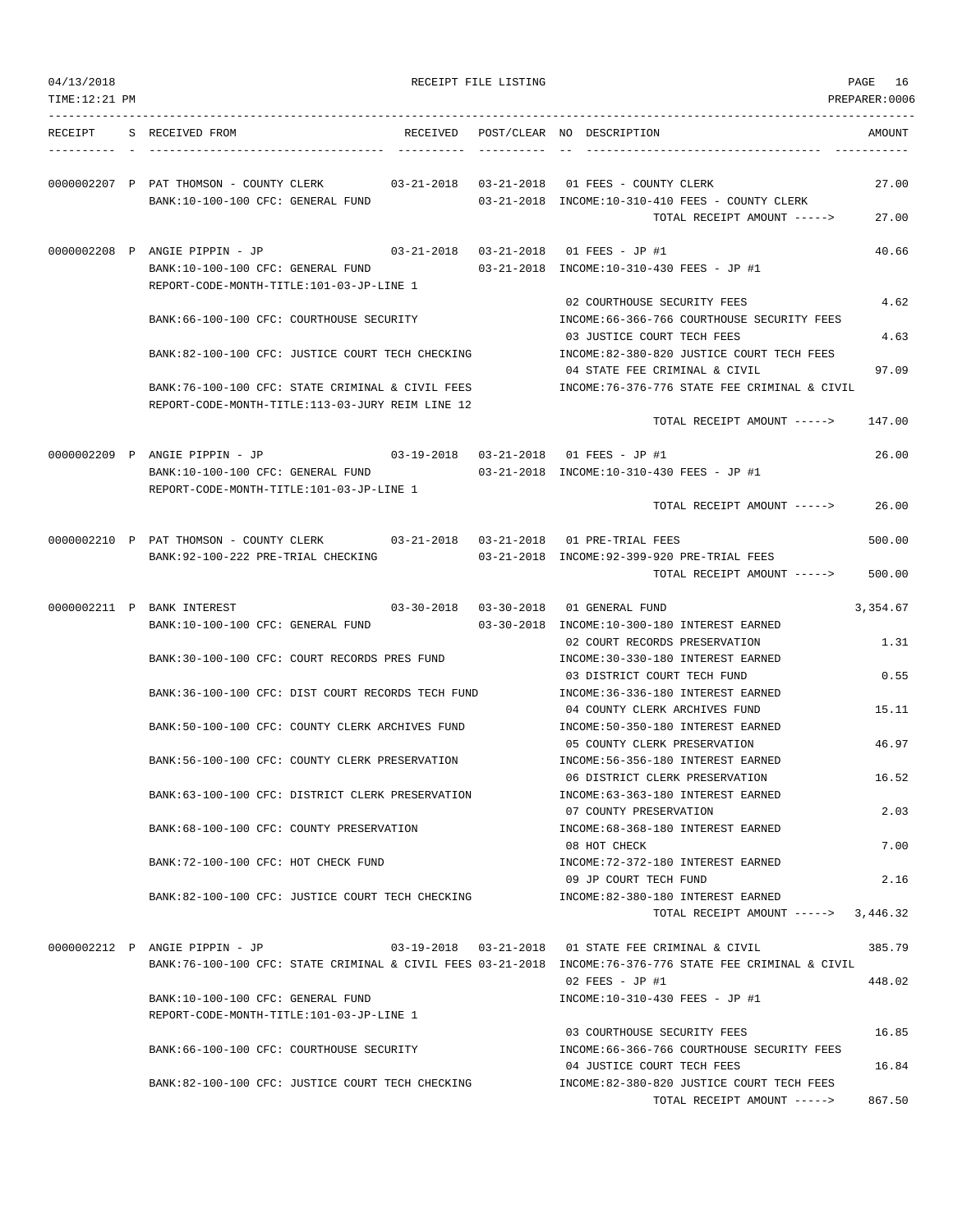| 04/13/2018    |                                                                               |          | RECEIPT FILE LISTING |                                                                                                          | PAGE 16        |
|---------------|-------------------------------------------------------------------------------|----------|----------------------|----------------------------------------------------------------------------------------------------------|----------------|
| TIME:12:21 PM |                                                                               |          |                      |                                                                                                          | PREPARER: 0006 |
| RECEIPT       | S RECEIVED FROM                                                               | RECEIVED |                      | POST/CLEAR NO DESCRIPTION                                                                                | AMOUNT         |
|               |                                                                               |          |                      | -------------------------------------                                                                    |                |
|               | 0000002207 P PAT THOMSON - COUNTY CLERK                                       |          |                      |                                                                                                          | 27.00          |
|               | BANK:10-100-100 CFC: GENERAL FUND                                             |          |                      | 03-21-2018 INCOME:10-310-410 FEES - COUNTY CLERK                                                         |                |
|               |                                                                               |          |                      | TOTAL RECEIPT AMOUNT ----->                                                                              | 27.00          |
|               | 0000002208 P ANGIE PIPPIN - JP                                                |          |                      | 03-21-2018  03-21-2018  01  FEES - JP #1                                                                 | 40.66          |
|               | BANK:10-100-100 CFC: GENERAL FUND                                             |          |                      | 03-21-2018 INCOME:10-310-430 FEES - JP #1                                                                |                |
|               | REPORT-CODE-MONTH-TITLE:101-03-JP-LINE 1                                      |          |                      |                                                                                                          |                |
|               |                                                                               |          |                      | 02 COURTHOUSE SECURITY FEES                                                                              | 4.62           |
|               | BANK:66-100-100 CFC: COURTHOUSE SECURITY                                      |          |                      | INCOME: 66-366-766 COURTHOUSE SECURITY FEES                                                              |                |
|               |                                                                               |          |                      | 03 JUSTICE COURT TECH FEES                                                                               | 4.63           |
|               | BANK:82-100-100 CFC: JUSTICE COURT TECH CHECKING                              |          |                      | INCOME:82-380-820 JUSTICE COURT TECH FEES<br>04 STATE FEE CRIMINAL & CIVIL                               | 97.09          |
|               | BANK: 76-100-100 CFC: STATE CRIMINAL & CIVIL FEES                             |          |                      | INCOME:76-376-776 STATE FEE CRIMINAL & CIVIL                                                             |                |
|               | REPORT-CODE-MONTH-TITLE:113-03-JURY REIM LINE 12                              |          |                      |                                                                                                          |                |
|               |                                                                               |          |                      | TOTAL RECEIPT AMOUNT ----->                                                                              | 147.00         |
|               | 0000002209 P ANGIE PIPPIN - JP 03-19-2018 03-21-2018 01 FEES - JP #1          |          |                      |                                                                                                          | 26.00          |
|               | BANK:10-100-100 CFC: GENERAL FUND                                             |          |                      | 03-21-2018 INCOME:10-310-430 FEES - JP #1                                                                |                |
|               | REPORT-CODE-MONTH-TITLE:101-03-JP-LINE 1                                      |          |                      |                                                                                                          |                |
|               |                                                                               |          |                      | TOTAL RECEIPT AMOUNT ----->                                                                              | 26.00          |
|               | 0000002210 P PAT THOMSON - COUNTY CLERK                                       |          |                      | 03-21-2018  03-21-2018  01 PRE-TRIAL FEES                                                                | 500.00         |
|               | BANK: 92-100-222 PRE-TRIAL CHECKING                                           |          |                      | 03-21-2018 INCOME: 92-399-920 PRE-TRIAL FEES                                                             |                |
|               |                                                                               |          |                      | TOTAL RECEIPT AMOUNT ----->                                                                              | 500.00         |
|               | 0000002211 P BANK INTEREST                                                    |          |                      | 03-30-2018  03-30-2018  01 GENERAL FUND                                                                  | 3,354.67       |
|               | BANK:10-100-100 CFC: GENERAL FUND                                             |          |                      | 03-30-2018 INCOME:10-300-180 INTEREST EARNED                                                             |                |
|               |                                                                               |          |                      | 02 COURT RECORDS PRESERVATION                                                                            | 1.31           |
|               | BANK:30-100-100 CFC: COURT RECORDS PRES FUND                                  |          |                      | INCOME: 30-330-180 INTEREST EARNED                                                                       |                |
|               | BANK:36-100-100 CFC: DIST COURT RECORDS TECH FUND                             |          |                      | 03 DISTRICT COURT TECH FUND<br>INCOME: 36-336-180 INTEREST EARNED                                        | 0.55           |
|               |                                                                               |          |                      | 04 COUNTY CLERK ARCHIVES FUND                                                                            | 15.11          |
|               | BANK:50-100-100 CFC: COUNTY CLERK ARCHIVES FUND                               |          |                      | INCOME: 50-350-180 INTEREST EARNED                                                                       |                |
|               |                                                                               |          |                      | 05 COUNTY CLERK PRESERVATION                                                                             | 46.97          |
|               | BANK: 56-100-100 CFC: COUNTY CLERK PRESERVATION                               |          |                      | INCOME: 56-356-180 INTEREST EARNED                                                                       |                |
|               |                                                                               |          |                      | 06 DISTRICT CLERK PRESERVATION                                                                           | 16.52          |
|               | BANK:63-100-100 CFC: DISTRICT CLERK PRESERVATION                              |          |                      | INCOME: 63-363-180 INTEREST EARNED<br>07 COUNTY PRESERVATION                                             | 2.03           |
|               | BANK:68-100-100 CFC: COUNTY PRESERVATION                                      |          |                      | INCOME: 68-368-180 INTEREST EARNED                                                                       |                |
|               |                                                                               |          |                      | 08 HOT CHECK                                                                                             | 7.00           |
|               | BANK: 72-100-100 CFC: HOT CHECK FUND                                          |          |                      | INCOME: 72-372-180 INTEREST EARNED                                                                       |                |
|               |                                                                               |          |                      | 09 JP COURT TECH FUND                                                                                    | 2.16           |
|               | BANK:82-100-100 CFC: JUSTICE COURT TECH CHECKING                              |          |                      | INCOME:82-380-180 INTEREST EARNED<br>TOTAL RECEIPT AMOUNT $--- 3.446.32$                                 |                |
|               |                                                                               |          |                      |                                                                                                          |                |
|               | 0000002212 P ANGIE PIPPIN - JP                                                |          |                      | 03-19-2018  03-21-2018  01 STATE FEE CRIMINAL & CIVIL                                                    | 385.79         |
|               |                                                                               |          |                      | BANK:76-100-100 CFC: STATE CRIMINAL & CIVIL FEES 03-21-2018 INCOME:76-376-776 STATE FEE CRIMINAL & CIVIL |                |
|               |                                                                               |          |                      | $02$ FEES - JP #1                                                                                        | 448.02         |
|               | BANK:10-100-100 CFC: GENERAL FUND<br>REPORT-CODE-MONTH-TITLE:101-03-JP-LINE 1 |          |                      | INCOME:10-310-430 FEES - JP #1                                                                           |                |
|               |                                                                               |          |                      | 03 COURTHOUSE SECURITY FEES                                                                              | 16.85          |
|               | BANK:66-100-100 CFC: COURTHOUSE SECURITY                                      |          |                      | INCOME:66-366-766 COURTHOUSE SECURITY FEES                                                               |                |
|               |                                                                               |          |                      | 04 JUSTICE COURT TECH FEES                                                                               | 16.84          |
|               | BANK:82-100-100 CFC: JUSTICE COURT TECH CHECKING                              |          |                      | INCOME:82-380-820 JUSTICE COURT TECH FEES                                                                |                |
|               |                                                                               |          |                      | TOTAL RECEIPT AMOUNT ----->                                                                              | 867.50         |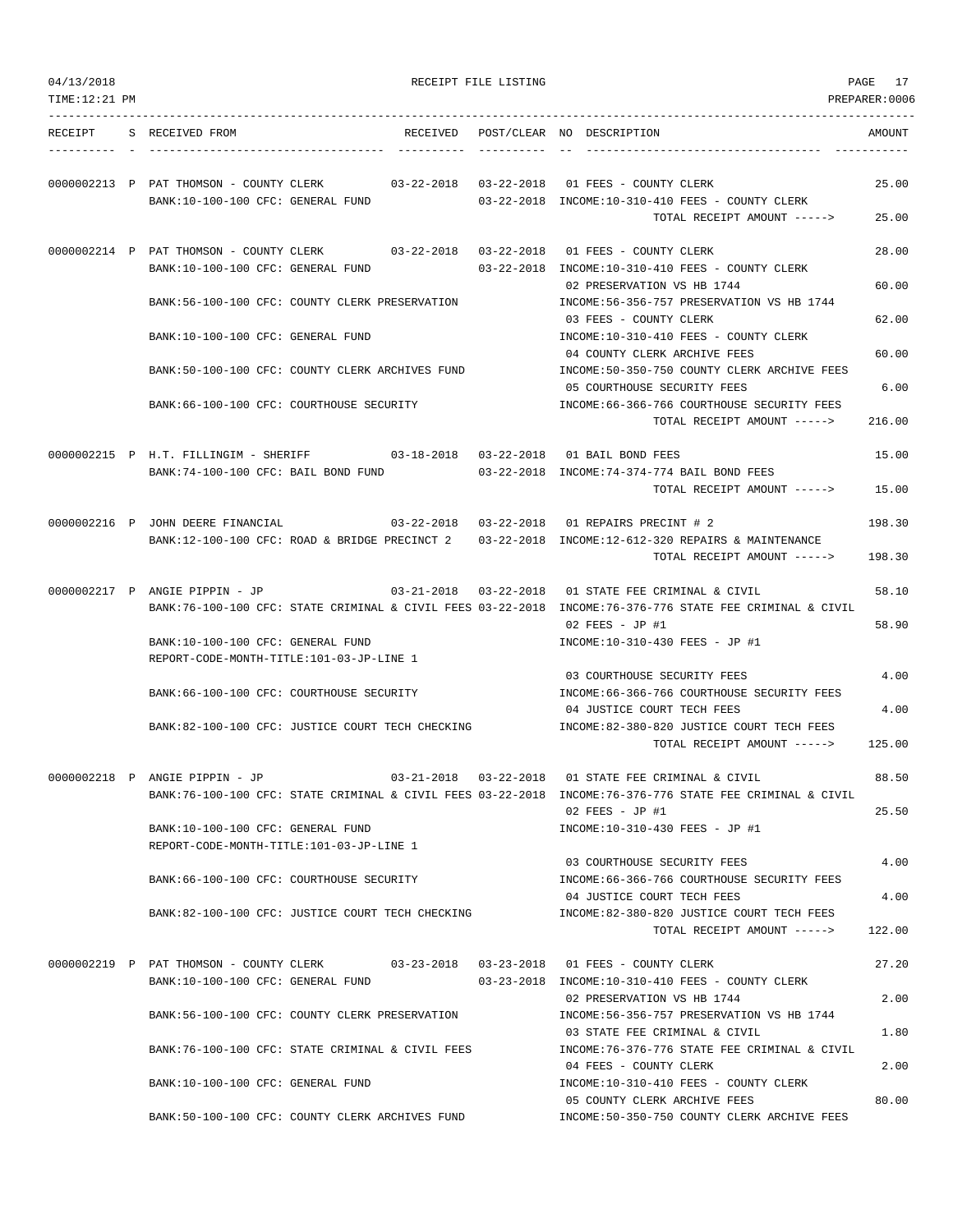| 04/13/2018<br>TIME:12:21 PM |                                                                               |          | RECEIPT FILE LISTING |                                                                                                                                                                         | PAGE 17<br>PREPARER:0006 |
|-----------------------------|-------------------------------------------------------------------------------|----------|----------------------|-------------------------------------------------------------------------------------------------------------------------------------------------------------------------|--------------------------|
| RECEIPT                     | S RECEIVED FROM                                                               | RECEIVED |                      | POST/CLEAR NO DESCRIPTION                                                                                                                                               | AMOUNT                   |
|                             | BANK:10-100-100 CFC: GENERAL FUND                                             |          |                      | 0000002213 P PAT THOMSON - COUNTY CLERK 03-22-2018 03-22-2018 01 FEES - COUNTY CLERK<br>03-22-2018 INCOME:10-310-410 FEES - COUNTY CLERK<br>TOTAL RECEIPT AMOUNT -----> | 25.00<br>25.00           |
|                             | 0000002214 P PAT THOMSON - COUNTY CLERK                                       |          |                      | 03-22-2018  03-22-2018  01 FEES - COUNTY CLERK                                                                                                                          | 28.00                    |
|                             | BANK:10-100-100 CFC: GENERAL FUND                                             |          |                      | 03-22-2018 INCOME:10-310-410 FEES - COUNTY CLERK<br>02 PRESERVATION VS HB 1744                                                                                          | 60.00                    |
|                             | BANK:56-100-100 CFC: COUNTY CLERK PRESERVATION                                |          |                      | INCOME:56-356-757 PRESERVATION VS HB 1744<br>03 FEES - COUNTY CLERK                                                                                                     | 62.00                    |
|                             | BANK:10-100-100 CFC: GENERAL FUND                                             |          |                      | INCOME:10-310-410 FEES - COUNTY CLERK<br>04 COUNTY CLERK ARCHIVE FEES                                                                                                   | 60.00                    |
|                             | BANK:50-100-100 CFC: COUNTY CLERK ARCHIVES FUND                               |          |                      | INCOME:50-350-750 COUNTY CLERK ARCHIVE FEES<br>05 COURTHOUSE SECURITY FEES                                                                                              | 6.00                     |
|                             | BANK:66-100-100 CFC: COURTHOUSE SECURITY                                      |          |                      | INCOME: 66-366-766 COURTHOUSE SECURITY FEES<br>TOTAL RECEIPT AMOUNT ----->                                                                                              | 216.00                   |
|                             | 0000002215 P H.T. FILLINGIM - SHERIFF 03-18-2018 03-22-2018 01 BAIL BOND FEES |          |                      |                                                                                                                                                                         | 15.00                    |
|                             | BANK:74-100-100 CFC: BAIL BOND FUND                                           |          |                      | 03-22-2018 INCOME:74-374-774 BAIL BOND FEES<br>TOTAL RECEIPT AMOUNT ----->                                                                                              | 15.00                    |
|                             | 0000002216 P JOHN DEERE FINANCIAL                                             |          |                      | 03-22-2018  03-22-2018  01 REPAIRS PRECINT # 2                                                                                                                          | 198.30                   |
|                             |                                                                               |          |                      | BANK:12-100-100 CFC: ROAD & BRIDGE PRECINCT 2 03-22-2018 INCOME:12-612-320 REPAIRS & MAINTENANCE<br>TOTAL RECEIPT AMOUNT ----->                                         | 198.30                   |
|                             | 0000002217 P ANGIE PIPPIN - JP                                                |          |                      | 03-21-2018  03-22-2018  01 STATE FEE CRIMINAL & CIVIL                                                                                                                   | 58.10                    |
|                             | BANK:10-100-100 CFC: GENERAL FUND                                             |          |                      | BANK:76-100-100 CFC: STATE CRIMINAL & CIVIL FEES 03-22-2018 INCOME:76-376-776 STATE FEE CRIMINAL & CIVIL<br>$02$ FEES - JP #1<br>INCOME:10-310-430 FEES - JP #1         | 58.90                    |
|                             | REPORT-CODE-MONTH-TITLE:101-03-JP-LINE 1                                      |          |                      | 03 COURTHOUSE SECURITY FEES                                                                                                                                             | 4.00                     |
|                             | BANK:66-100-100 CFC: COURTHOUSE SECURITY                                      |          |                      | INCOME: 66-366-766 COURTHOUSE SECURITY FEES<br>04 JUSTICE COURT TECH FEES                                                                                               | 4.00                     |
|                             | BANK:82-100-100 CFC: JUSTICE COURT TECH CHECKING                              |          |                      | INCOME:82-380-820 JUSTICE COURT TECH FEES<br>TOTAL RECEIPT AMOUNT ----->                                                                                                | 125.00                   |
|                             | 0000002218 P ANGIE PIPPIN - JP                                                |          |                      | 03-21-2018  03-22-2018  01 STATE FEE CRIMINAL & CIVIL                                                                                                                   | 88.50                    |
|                             |                                                                               |          |                      | BANK:76-100-100 CFC: STATE CRIMINAL & CIVIL FEES 03-22-2018 INCOME:76-376-776 STATE FEE CRIMINAL & CIVIL<br>$02$ FEES - JP #1                                           | 25.50                    |
|                             | BANK:10-100-100 CFC: GENERAL FUND<br>REPORT-CODE-MONTH-TITLE:101-03-JP-LINE 1 |          |                      | INCOME:10-310-430 FEES - JP #1                                                                                                                                          |                          |
|                             | BANK:66-100-100 CFC: COURTHOUSE SECURITY                                      |          |                      | 03 COURTHOUSE SECURITY FEES<br>INCOME:66-366-766 COURTHOUSE SECURITY FEES                                                                                               | 4.00                     |
|                             | BANK:82-100-100 CFC: JUSTICE COURT TECH CHECKING                              |          |                      | 04 JUSTICE COURT TECH FEES<br>INCOME:82-380-820 JUSTICE COURT TECH FEES                                                                                                 | 4.00                     |
|                             |                                                                               |          |                      | TOTAL RECEIPT AMOUNT ----->                                                                                                                                             | 122.00                   |
|                             | BANK:10-100-100 CFC: GENERAL FUND                                             |          |                      | 0000002219 P PAT THOMSON - COUNTY CLERK 03-23-2018 03-23-2018 01 FEES - COUNTY CLERK<br>03-23-2018 INCOME:10-310-410 FEES - COUNTY CLERK                                | 27.20                    |
|                             | BANK:56-100-100 CFC: COUNTY CLERK PRESERVATION                                |          |                      | 02 PRESERVATION VS HB 1744<br>INCOME: 56-356-757 PRESERVATION VS HB 1744                                                                                                | 2.00                     |
|                             | BANK:76-100-100 CFC: STATE CRIMINAL & CIVIL FEES                              |          |                      | 03 STATE FEE CRIMINAL & CIVIL<br>INCOME:76-376-776 STATE FEE CRIMINAL & CIVIL                                                                                           | 1.80                     |
|                             | BANK:10-100-100 CFC: GENERAL FUND                                             |          |                      | 04 FEES - COUNTY CLERK<br>INCOME:10-310-410 FEES - COUNTY CLERK                                                                                                         | 2.00                     |
|                             | BANK:50-100-100 CFC: COUNTY CLERK ARCHIVES FUND                               |          |                      | 05 COUNTY CLERK ARCHIVE FEES<br>INCOME:50-350-750 COUNTY CLERK ARCHIVE FEES                                                                                             | 80.00                    |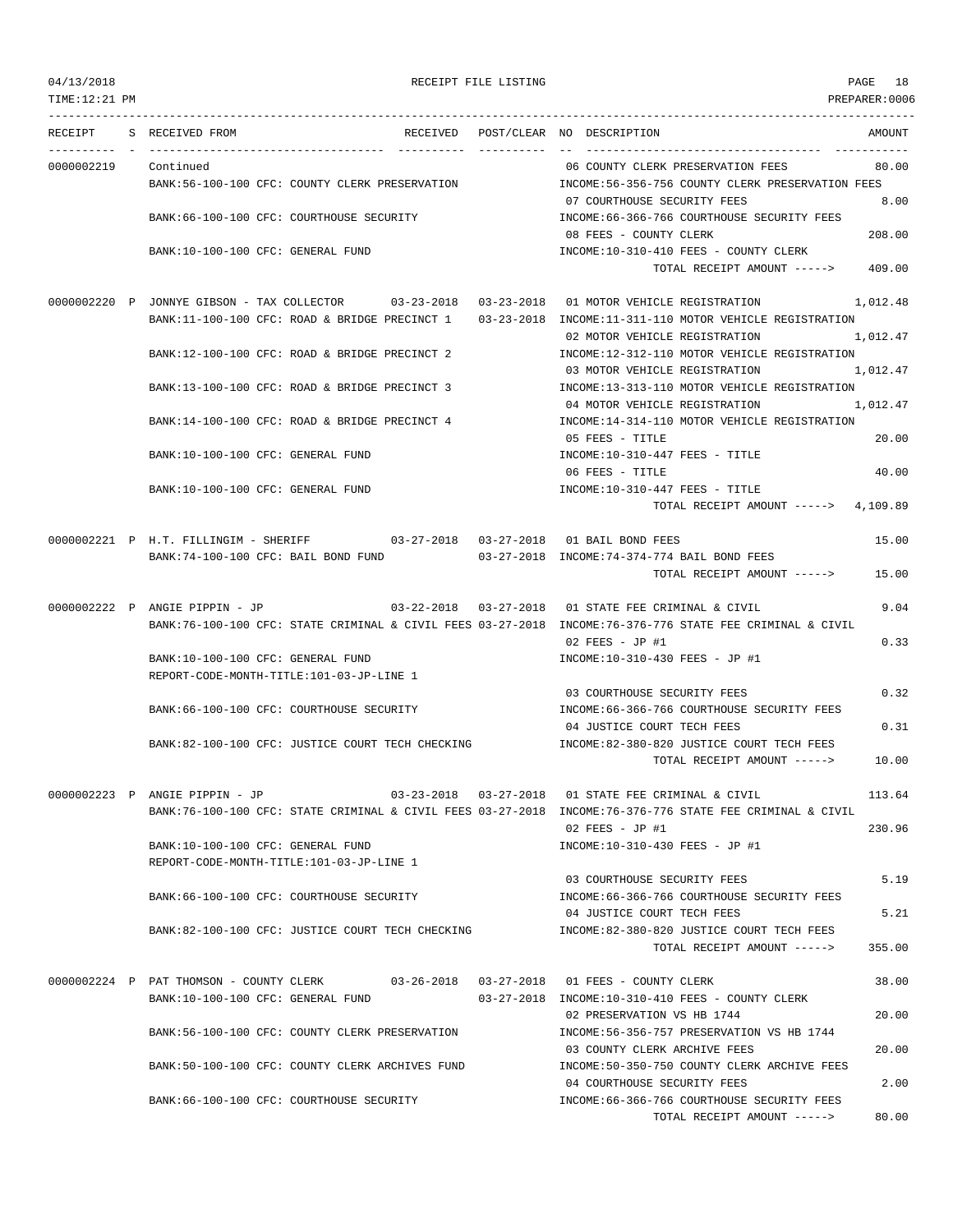TOTAL RECEIPT AMOUNT -----> 80.00

TIME:12:21 PM PREPARER:0006 --------------------------------------------------------------------------------------------------------------------------------- RECEIPT S RECEIVED FROM THE RECEIVED POST/CLEAR NO DESCRIPTION THE SECRET AMOUNT ---------- - ----------------------------------- ---------- ---------- -- ----------------------------------- ----------- 0000002219 Continued 06 COUNTY CLERK PRESERVATION FEES 80.00 BANK:56-100-100 CFC: COUNTY CLERK PRESERVATION INCOME:56-356-756 COUNTY CLERK PRESERVATION FEES 07 COURTHOUSE SECURITY FEES 8.00 BANK:66-100-100 CFC: COURTHOUSE SECURITY INCOME:66-366-766 COURTHOUSE SECURITY FEES 08 FEES - COUNTY CLERK 208.00 BANK:10-100-100 CFC: GENERAL FUND **INCOME:10-310-410 FEES - COUNTY CLERK** TOTAL RECEIPT AMOUNT -----> 409.00 0000002220 P JONNYE GIBSON - TAX COLLECTOR 03-23-2018 03-23-2018 01 MOTOR VEHICLE REGISTRATION 1,012.48 BANK:11-100-100 CFC: ROAD & BRIDGE PRECINCT 1 03-23-2018 INCOME:11-311-110 MOTOR VEHICLE REGISTRATION 02 MOTOR VEHICLE REGISTRATION 1,012.47 BANK:12-100-100 CFC: ROAD & BRIDGE PRECINCT 2 INCOME:12-312-110 MOTOR VEHICLE REGISTRATION 03 MOTOR VEHICLE REGISTRATION 1,012.47 BANK:13-100-100 CFC: ROAD & BRIDGE PRECINCT 3 INCOME:13-313-110 MOTOR VEHICLE REGISTRATION 04 MOTOR VEHICLE REGISTRATION 1,012.47 BANK:14-100-100 CFC: ROAD & BRIDGE PRECINCT 4 INCOME:14-314-110 MOTOR VEHICLE REGISTRATION 05 FEES - TITLE 20.00 BANK:10-100-100 CFC: GENERAL FUND INCOME:10-310-447 FEES - TITLE 06 FEES - TITLE 40.00 BANK:10-100-100 CFC: GENERAL FUND INCOME:10-310-447 FEES - TITLE TOTAL RECEIPT AMOUNT -----> 4,109.89 0000002221 P H.T. FILLINGIM - SHERIFF 03-27-2018 03-27-2018 01 BAIL BOND FEES 15.00 BANK:74-100-100 CFC: BAIL BOND FUND 03-27-2018 INCOME:74-374-774 BAIL BOND FEES TOTAL RECEIPT AMOUNT -----> 15.00 0000002222 P ANGIE PIPPIN - JP 03-22-2018 03-27-2018 01 STATE FEE CRIMINAL & CIVIL 9.04 BANK:76-100-100 CFC: STATE CRIMINAL & CIVIL FEES 03-27-2018 INCOME:76-376-776 STATE FEE CRIMINAL & CIVIL 02 FEES - JP #1 0.33 BANK:10-100-100 CFC: GENERAL FUND INCOME:10-310-430 FEES - JP #1 REPORT-CODE-MONTH-TITLE:101-03-JP-LINE 1 03 COURTHOUSE SECURITY FEES 0.32 BANK:66-100-100 CFC: COURTHOUSE SECURITY INCOME:66-366-766 COURTHOUSE SECURITY FEES 04 JUSTICE COURT TECH FEES 0.31 BANK:82-100-100 CFC: JUSTICE COURT TECH CHECKING INCOME:82-380-820 JUSTICE COURT TECH FEES TOTAL RECEIPT AMOUNT -----> 10.00 0000002223 P ANGIE PIPPIN - JP 03-23-2018 03-27-2018 01 STATE FEE CRIMINAL & CIVIL 113.64 BANK:76-100-100 CFC: STATE CRIMINAL & CIVIL FEES 03-27-2018 INCOME:76-376-776 STATE FEE CRIMINAL & CIVIL 02 FEES - JP #1 230.96 BANK:10-100-100 CFC: GENERAL FUND INCOME:10-310-430 FEES - JP #1 REPORT-CODE-MONTH-TITLE:101-03-JP-LINE 1 03 COURTHOUSE SECURITY FEES 5.19 BANK:66-100-100 CFC: COURTHOUSE SECURITY INCOME:66-366-766 COURTHOUSE SECURITY FEES 04 JUSTICE COURT TECH FEES 5.21 BANK:82-100-100 CFC: JUSTICE COURT TECH CHECKING INCOME:82-380-820 JUSTICE COURT TECH FEES TOTAL RECEIPT AMOUNT -----> 355.00 0000002224 P PAT THOMSON - COUNTY CLERK 03-26-2018 03-27-2018 01 FEES - COUNTY CLERK 38.00 BANK:10-100-100 CFC: GENERAL FUND 03-27-2018 INCOME:10-310-410 FEES - COUNTY CLERK 02 PRESERVATION VS HB 1744 20.00 BANK:56-100-100 CFC: COUNTY CLERK PRESERVATION INCOME:56-356-757 PRESERVATION VS HB 1744 03 COUNTY CLERK ARCHIVE FEES 20.00 BANK:50-100-100 CFC: COUNTY CLERK ARCHIVES FUND INCOME:50-350-750 COUNTY CLERK ARCHIVE FEES 04 COURTHOUSE SECURITY FEES 2.00 BANK:66-100-100 CFC: COURTHOUSE SECURITY INCOME:66-366-766 COURTHOUSE SECURITY FEES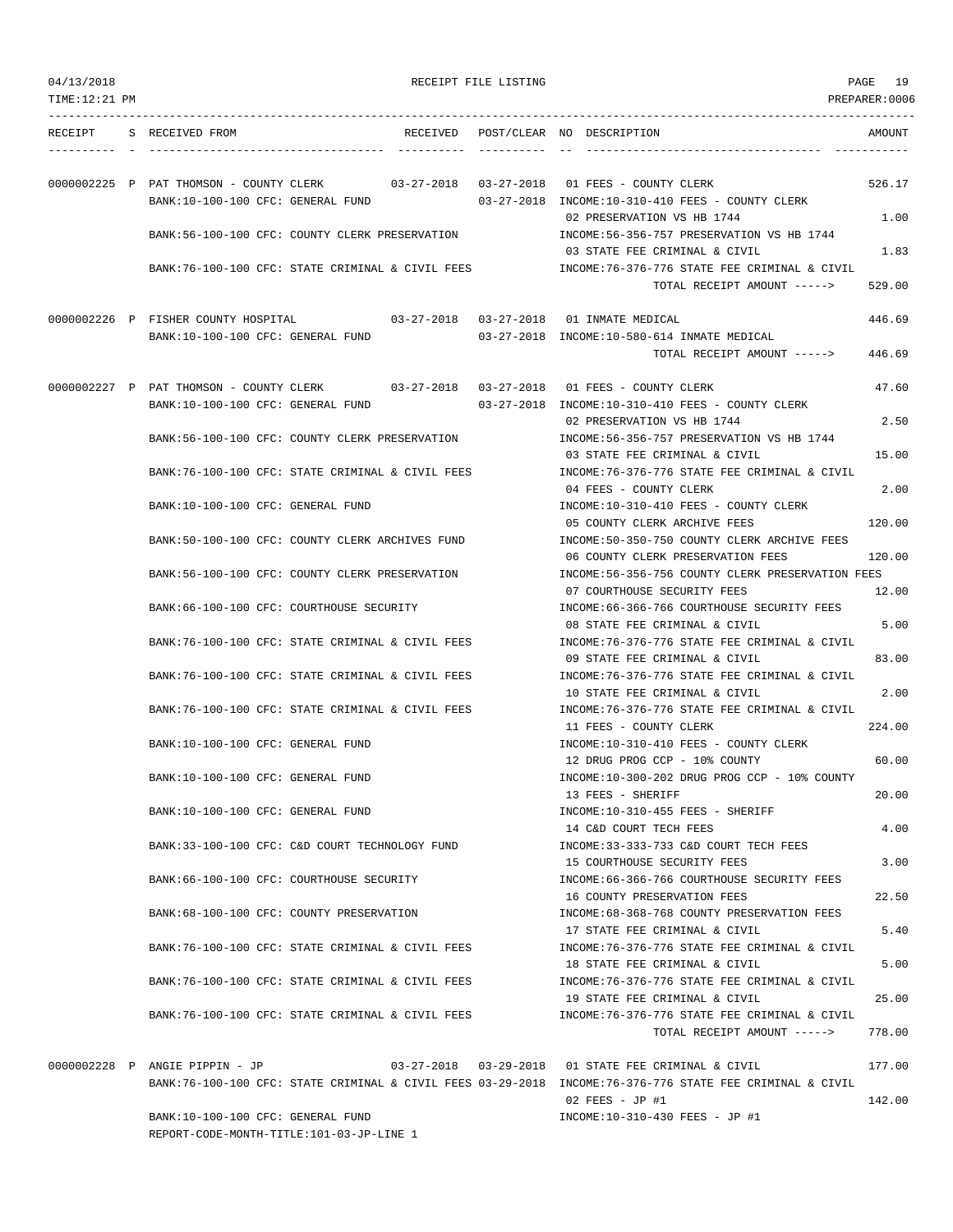| TIME:12:21 PM |                                                                             |  |                                                                                                                                                                   | PREPARER:0006    |
|---------------|-----------------------------------------------------------------------------|--|-------------------------------------------------------------------------------------------------------------------------------------------------------------------|------------------|
| RECEIPT       | S RECEIVED FROM                                                             |  | RECEIVED POST/CLEAR NO DESCRIPTION                                                                                                                                | AMOUNT           |
|               | BANK:10-100-100 CFC: GENERAL FUND                                           |  | 0000002225 P PAT THOMSON - COUNTY CLERK 03-27-2018 03-27-2018 01 FEES - COUNTY CLERK<br>03-27-2018 INCOME:10-310-410 FEES - COUNTY CLERK                          | 526.17           |
|               | BANK:56-100-100 CFC: COUNTY CLERK PRESERVATION                              |  | 02 PRESERVATION VS HB 1744<br>INCOME: 56-356-757 PRESERVATION VS HB 1744                                                                                          | 1.00             |
|               | BANK:76-100-100 CFC: STATE CRIMINAL & CIVIL FEES                            |  | 03 STATE FEE CRIMINAL & CIVIL<br>INCOME:76-376-776 STATE FEE CRIMINAL & CIVIL                                                                                     | 1.83             |
|               |                                                                             |  | TOTAL RECEIPT AMOUNT ----->                                                                                                                                       | 529.00           |
|               | 0000002226 P FISHER COUNTY HOSPITAL 03-27-2018 03-27-2018 01 INMATE MEDICAL |  |                                                                                                                                                                   | 446.69           |
|               | BANK:10-100-100 CFC: GENERAL FUND                                           |  | 03-27-2018 INCOME:10-580-614 INMATE MEDICAL<br>TOTAL RECEIPT AMOUNT ----->                                                                                        | 446.69           |
|               |                                                                             |  | 0000002227 P PAT THOMSON - COUNTY CLERK 03-27-2018 03-27-2018 01 FEES - COUNTY CLERK                                                                              | 47.60            |
|               | BANK:10-100-100 CFC: GENERAL FUND                                           |  | 03-27-2018 INCOME:10-310-410 FEES - COUNTY CLERK                                                                                                                  |                  |
|               | BANK:56-100-100 CFC: COUNTY CLERK PRESERVATION                              |  | 02 PRESERVATION VS HB 1744<br>INCOME: 56-356-757 PRESERVATION VS HB 1744                                                                                          | 2.50             |
|               |                                                                             |  | 03 STATE FEE CRIMINAL & CIVIL                                                                                                                                     | 15.00            |
|               | BANK:76-100-100 CFC: STATE CRIMINAL & CIVIL FEES                            |  | INCOME:76-376-776 STATE FEE CRIMINAL & CIVIL<br>04 FEES - COUNTY CLERK                                                                                            | 2.00             |
|               | BANK:10-100-100 CFC: GENERAL FUND                                           |  | INCOME:10-310-410 FEES - COUNTY CLERK                                                                                                                             |                  |
|               | BANK:50-100-100 CFC: COUNTY CLERK ARCHIVES FUND                             |  | 05 COUNTY CLERK ARCHIVE FEES<br>INCOME:50-350-750 COUNTY CLERK ARCHIVE FEES<br>06 COUNTY CLERK PRESERVATION FEES                                                  | 120.00<br>120.00 |
|               | BANK:56-100-100 CFC: COUNTY CLERK PRESERVATION                              |  | INCOME:56-356-756 COUNTY CLERK PRESERVATION FEES<br>07 COURTHOUSE SECURITY FEES                                                                                   | 12.00            |
|               | BANK:66-100-100 CFC: COURTHOUSE SECURITY                                    |  | INCOME:66-366-766 COURTHOUSE SECURITY FEES<br>08 STATE FEE CRIMINAL & CIVIL                                                                                       | 5.00             |
|               | BANK:76-100-100 CFC: STATE CRIMINAL & CIVIL FEES                            |  | INCOME:76-376-776 STATE FEE CRIMINAL & CIVIL<br>09 STATE FEE CRIMINAL & CIVIL                                                                                     | 83.00            |
|               | BANK: 76-100-100 CFC: STATE CRIMINAL & CIVIL FEES                           |  | INCOME:76-376-776 STATE FEE CRIMINAL & CIVIL<br>10 STATE FEE CRIMINAL & CIVIL                                                                                     | 2.00             |
|               | BANK:76-100-100 CFC: STATE CRIMINAL & CIVIL FEES                            |  | INCOME:76-376-776 STATE FEE CRIMINAL & CIVIL<br>11 FEES - COUNTY CLERK                                                                                            | 224.00           |
|               | BANK:10-100-100 CFC: GENERAL FUND                                           |  | INCOME:10-310-410 FEES - COUNTY CLERK<br>12 DRUG PROG CCP - 10% COUNTY                                                                                            | 60.00            |
|               | BANK:10-100-100 CFC: GENERAL FUND                                           |  | INCOME:10-300-202 DRUG PROG CCP - 10% COUNTY<br>13 FEES - SHERIFF                                                                                                 | 20.00            |
|               | BANK:10-100-100 CFC: GENERAL FUND                                           |  | INCOME:10-310-455 FEES - SHERIFF<br>14 C&D COURT TECH FEES                                                                                                        | 4.00             |
|               | BANK:33-100-100 CFC: C&D COURT TECHNOLOGY FUND                              |  | INCOME: 33-333-733 C&D COURT TECH FEES<br>15 COURTHOUSE SECURITY FEES                                                                                             | 3.00             |
|               | BANK:66-100-100 CFC: COURTHOUSE SECURITY                                    |  | INCOME:66-366-766 COURTHOUSE SECURITY FEES<br>16 COUNTY PRESERVATION FEES                                                                                         | 22.50            |
|               | BANK:68-100-100 CFC: COUNTY PRESERVATION                                    |  | INCOME: 68-368-768 COUNTY PRESERVATION FEES<br>17 STATE FEE CRIMINAL & CIVIL                                                                                      | 5.40             |
|               | BANK:76-100-100 CFC: STATE CRIMINAL & CIVIL FEES                            |  | INCOME: 76-376-776 STATE FEE CRIMINAL & CIVIL<br>18 STATE FEE CRIMINAL & CIVIL                                                                                    | 5.00             |
|               | BANK:76-100-100 CFC: STATE CRIMINAL & CIVIL FEES                            |  | INCOME: 76-376-776 STATE FEE CRIMINAL & CIVIL<br>19 STATE FEE CRIMINAL & CIVIL                                                                                    | 25.00            |
|               | BANK:76-100-100 CFC: STATE CRIMINAL & CIVIL FEES                            |  | INCOME:76-376-776 STATE FEE CRIMINAL & CIVIL<br>TOTAL RECEIPT AMOUNT ----->                                                                                       | 778.00           |
|               |                                                                             |  |                                                                                                                                                                   |                  |
|               | 0000002228 P ANGIE PIPPIN - JP                                              |  | 03-27-2018  03-29-2018  01 STATE FEE CRIMINAL & CIVIL<br>BANK:76-100-100 CFC: STATE CRIMINAL & CIVIL FEES 03-29-2018 INCOME:76-376-776 STATE FEE CRIMINAL & CIVIL | 177.00           |

BANK:10-100-100 CFC: GENERAL FUND INCOME:10-310-430 FEES - JP #1 REPORT-CODE-MONTH-TITLE:101-03-JP-LINE 1

# 04/13/2018 RECEIPT FILE LISTING PAGE 19

02 FEES - JP #1 142.00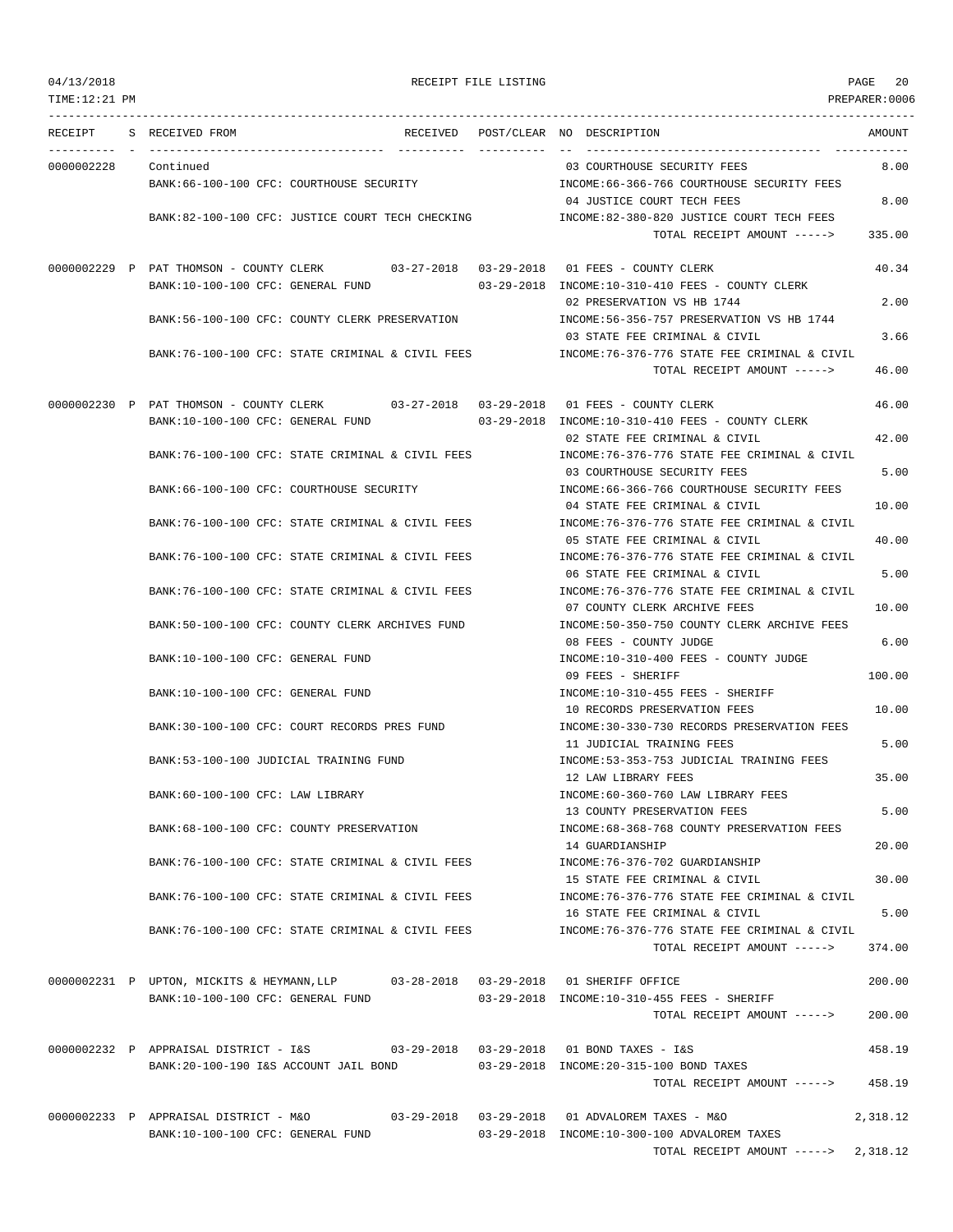| 04/13/2018 |  |
|------------|--|
|------------|--|

### RECEIPT FILE LISTING **RECEIPT FILE LISTING**

TIME:12:21 PM PREPARER:0006 --------------------------------------------------------------------------------------------------------------------------------- RECEIPT S RECEIVED FROM THE RECEIVED POST/CLEAR NO DESCRIPTION THE RECEIVED AMOUNT ---------- - ----------------------------------- ---------- ---------- -- ----------------------------------- ----------- 0000002228 Continued 03 COURTHOUSE SECURITY FEES 8.00 BANK:66-100-100 CFC: COURTHOUSE SECURITY INCOME:66-366-766 COURTHOUSE SECURITY FEES 04 JUSTICE COURT TECH FEES 8.00 BANK:82-100-100 CFC: JUSTICE COURT TECH CHECKING INCOME:82-380-820 JUSTICE COURT TECH FEES TOTAL RECEIPT AMOUNT -----> 335.00 0000002229 P PAT THOMSON - COUNTY CLERK 03-27-2018 03-29-2018 01 FEES - COUNTY CLERK 40.34 BANK:10-100-100 CFC: GENERAL FUND 03-29-2018 INCOME:10-310-410 FEES - COUNTY CLERK 02 PRESERVATION VS HB 1744 2.00 BANK:56-100-100 CFC: COUNTY CLERK PRESERVATION INCOME:56-356-757 PRESERVATION VS HB 1744 03 STATE FEE CRIMINAL & CIVIL 3.66 BANK:76-100-100 CFC: STATE CRIMINAL & CIVIL FEES INCOME:76-376-776 STATE FEE CRIMINAL & CIVIL TOTAL RECEIPT AMOUNT -----> 46.00 0000002230 P PAT THOMSON - COUNTY CLERK 03-27-2018 03-29-2018 01 FEES - COUNTY CLERK 46.00 BANK:10-100-100 CFC: GENERAL FUND 03-29-2018 INCOME:10-310-410 FEES - COUNTY CLERK 02 STATE FEE CRIMINAL & CIVIL 42.00 BANK:76-100-100 CFC: STATE CRIMINAL & CIVIL FEES INCOME:76-376-776 STATE FEE CRIMINAL & CIVIL 03 COURTHOUSE SECURITY FEES 5.00 BANK:66-100-100 CFC: COURTHOUSE SECURITY INCOME:66-366-766 COURTHOUSE SECURITY FEES 04 STATE FEE CRIMINAL & CIVIL 10.00 BANK:76-100-100 CFC: STATE CRIMINAL & CIVIL FEES INCOME:76-376-776 STATE FEE CRIMINAL & CIVIL 05 STATE FEE CRIMINAL & CIVIL  $40.00$ BANK:76-100-100 CFC: STATE CRIMINAL & CIVIL FEES INCOME:76-376-776 STATE FEE CRIMINAL & CIVIL 06 STATE FEE CRIMINAL & CIVIL 5.00 BANK:76-100-100 CFC: STATE CRIMINAL & CIVIL FEES INCOME:76-376-776 STATE FEE CRIMINAL & CIVIL 07 COUNTY CLERK ARCHIVE FEES 10.00 BANK:50-100-100 CFC: COUNTY CLERK ARCHIVES FUND INCOME:50-350-750 COUNTY CLERK ARCHIVE FEES 08 FEES - COUNTY JUDGE 6.00 BANK:10-100-100 CFC: GENERAL FUND INCOME:10-310-400 FEES - COUNTY JUDGE 09 FEES - SHERIFF 100.00 BANK:10-100-100 CFC: GENERAL FUND **INCOME:10-310-455 FEES - SHERIFF** 10 RECORDS PRESERVATION FEES 10.00 BANK:30-100-100 CFC: COURT RECORDS PRES FUND INCOME:30-330-730 RECORDS PRESERVATION FEES 11 JUDICIAL TRAINING FEES 5.00 BANK:53-100-100 JUDICIAL TRAINING FUND INCOME:53-353-753 JUDICIAL TRAINING FEES 12 LAW LIBRARY FEES 35.00

13 COUNTY PRESERVATION FEES 5.00

14 GUARDIANSHIP 20.00

15 STATE FEE CRIMINAL & CIVIL 30.00

16 STATE FEE CRIMINAL & CIVIL 5.00

 $T$ OTAL RECEIPT AMOUNT  $---$  374.00

TOTAL RECEIPT AMOUNT -----> 2,318.12

BANK:60-100-100 CFC: LAW LIBRARY INCOME:60-360-760 LAW LIBRARY FEES BANK:68-100-100 CFC: COUNTY PRESERVATION INCOME:68-368-768 COUNTY PRESERVATION FEES BANK:76-100-100 CFC: STATE CRIMINAL & CIVIL FEES INCOME:76-376-702 GUARDIANSHIP BANK:76-100-100 CFC: STATE CRIMINAL & CIVIL FEES INCOME:76-376-776 STATE FEE CRIMINAL & CIVIL BANK:76-100-100 CFC: STATE CRIMINAL & CIVIL FEES INCOME:76-376-776 STATE FEE CRIMINAL & CIVIL

0000002231 P UPTON, MICKITS & HEYMANN,LLP 03-28-2018 03-29-2018 01 SHERIFF OFFICE 200.00 BANK:10-100-100 CFC: GENERAL FUND 03-29-2018 INCOME:10-310-455 FEES - SHERIFF TOTAL RECEIPT AMOUNT -----> 200.00 0000002232 P APPRAISAL DISTRICT - I&S 03-29-2018 03-29-2018 01 BOND TAXES - I&S 458.19 BANK:20-100-190 I&S ACCOUNT JAIL BOND 03-29-2018 INCOME:20-315-100 BOND TAXES TOTAL RECEIPT AMOUNT -----> 458.19 0000002233 P APPRAISAL DISTRICT - M&O 03-29-2018 03-29-2018 01 ADVALOREM TAXES - M&O 2,318.12 BANK:10-100-100 CFC: GENERAL FUND 03-29-2018 INCOME:10-300-100 ADVALOREM TAXES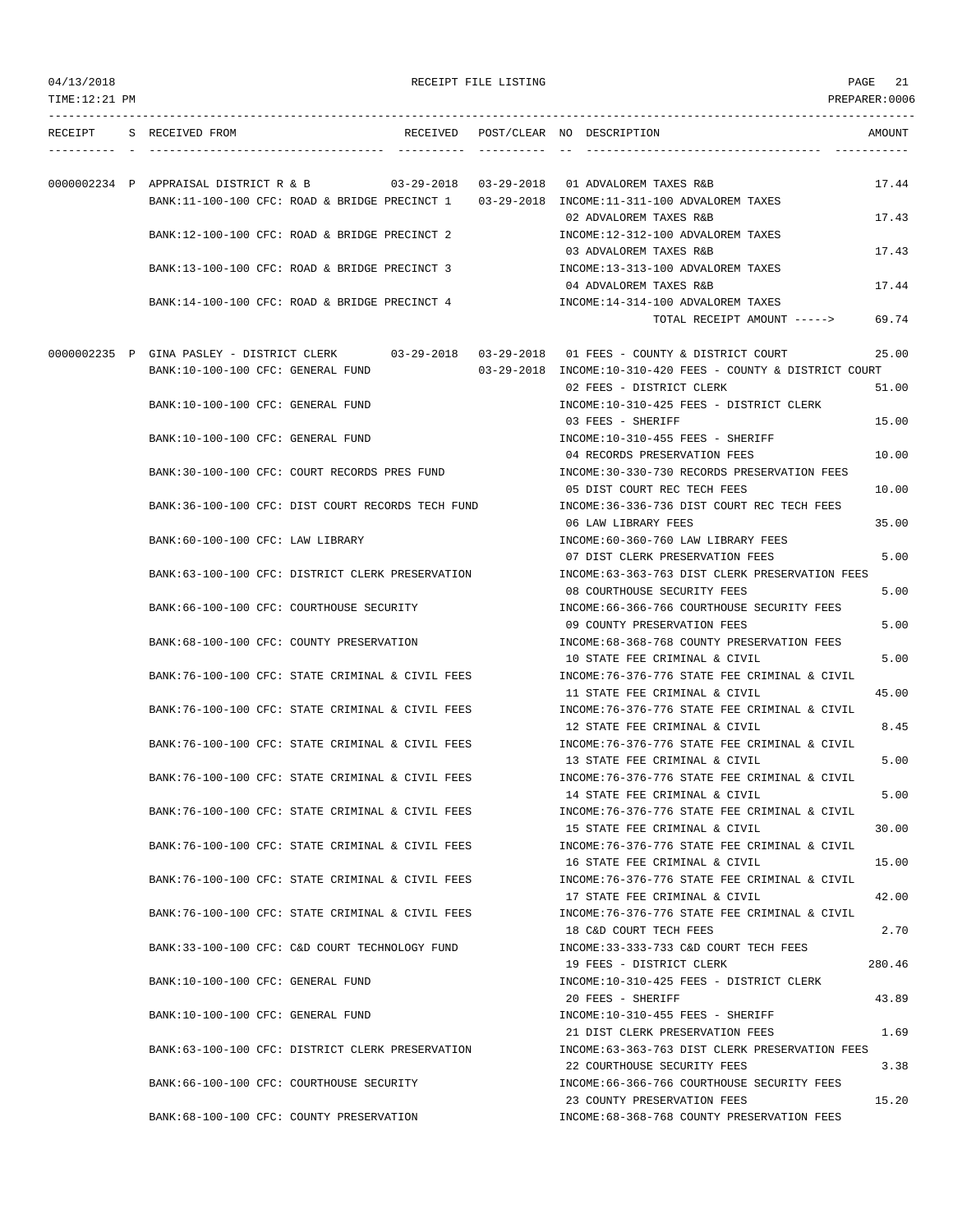| 04/13/2018<br>TIME: 12:21 PM |                                                                                    | RECEIPT FILE LISTING |                                                                                                   | 21<br>PAGE<br>PREPARER: 0006 |
|------------------------------|------------------------------------------------------------------------------------|----------------------|---------------------------------------------------------------------------------------------------|------------------------------|
|                              | RECEIPT S RECEIVED FROM                                                            |                      | RECEIVED POST/CLEAR NO DESCRIPTION                                                                | AMOUNT                       |
|                              |                                                                                    |                      |                                                                                                   |                              |
|                              | 0000002234 P APPRAISAL DISTRICT R & B 03-29-2018 03-29-2018 01 ADVALOREM TAXES R&B |                      | BANK:11-100-100 CFC: ROAD & BRIDGE PRECINCT 1 03-29-2018 INCOME:11-311-100 ADVALOREM TAXES        | 17.44                        |
|                              |                                                                                    |                      | 02 ADVALOREM TAXES R&B                                                                            | 17.43                        |
|                              | BANK:12-100-100 CFC: ROAD & BRIDGE PRECINCT 2                                      |                      | INCOME:12-312-100 ADVALOREM TAXES                                                                 |                              |
|                              |                                                                                    |                      | 03 ADVALOREM TAXES R&B                                                                            | 17.43                        |
|                              | BANK:13-100-100 CFC: ROAD & BRIDGE PRECINCT 3                                      |                      | INCOME:13-313-100 ADVALOREM TAXES                                                                 |                              |
|                              |                                                                                    |                      | 04 ADVALOREM TAXES R&B                                                                            | 17.44                        |
|                              | BANK:14-100-100 CFC: ROAD & BRIDGE PRECINCT 4                                      |                      | INCOME:14-314-100 ADVALOREM TAXES                                                                 |                              |
|                              |                                                                                    |                      | TOTAL RECEIPT AMOUNT ----->                                                                       | 69.74                        |
|                              |                                                                                    |                      | 0000002235 P GINA PASLEY - DISTRICT CLERK 03-29-2018 03-29-2018 01 FEES - COUNTY & DISTRICT COURT | 25.00                        |
|                              | BANK:10-100-100 CFC: GENERAL FUND                                                  |                      | $03-29-2018$ INCOME:10-310-420 FEES - COUNTY & DISTRICT COURT                                     |                              |
|                              |                                                                                    |                      | 02 FEES - DISTRICT CLERK                                                                          | 51.00                        |
|                              | BANK:10-100-100 CFC: GENERAL FUND                                                  |                      | INCOME:10-310-425 FEES - DISTRICT CLERK                                                           |                              |
|                              |                                                                                    |                      | 03 FEES - SHERIFF                                                                                 | 15.00                        |
|                              | BANK:10-100-100 CFC: GENERAL FUND                                                  |                      | INCOME:10-310-455 FEES - SHERIFF<br>04 RECORDS PRESERVATION FEES                                  | 10.00                        |
|                              | BANK:30-100-100 CFC: COURT RECORDS PRES FUND                                       |                      | INCOME:30-330-730 RECORDS PRESERVATION FEES                                                       |                              |
|                              |                                                                                    |                      | 05 DIST COURT REC TECH FEES                                                                       | 10.00                        |
|                              | BANK: 36-100-100 CFC: DIST COURT RECORDS TECH FUND                                 |                      | INCOME: 36-336-736 DIST COURT REC TECH FEES                                                       |                              |
|                              |                                                                                    |                      | 06 LAW LIBRARY FEES                                                                               | 35.00                        |
|                              | BANK:60-100-100 CFC: LAW LIBRARY                                                   |                      | INCOME:60-360-760 LAW LIBRARY FEES                                                                |                              |
|                              |                                                                                    |                      | 07 DIST CLERK PRESERVATION FEES                                                                   | 5.00                         |
|                              | BANK:63-100-100 CFC: DISTRICT CLERK PRESERVATION                                   |                      | INCOME: 63-363-763 DIST CLERK PRESERVATION FEES<br>08 COURTHOUSE SECURITY FEES                    | 5.00                         |
|                              | BANK:66-100-100 CFC: COURTHOUSE SECURITY                                           |                      | INCOME:66-366-766 COURTHOUSE SECURITY FEES                                                        |                              |
|                              |                                                                                    |                      | 09 COUNTY PRESERVATION FEES                                                                       | 5.00                         |
|                              | BANK:68-100-100 CFC: COUNTY PRESERVATION                                           |                      | INCOME: 68-368-768 COUNTY PRESERVATION FEES                                                       |                              |
|                              |                                                                                    |                      | 10 STATE FEE CRIMINAL & CIVIL                                                                     | 5.00                         |
|                              | BANK:76-100-100 CFC: STATE CRIMINAL & CIVIL FEES                                   |                      | INCOME:76-376-776 STATE FEE CRIMINAL & CIVIL                                                      |                              |
|                              |                                                                                    |                      | 11 STATE FEE CRIMINAL & CIVIL                                                                     | 45.00                        |
|                              | BANK:76-100-100 CFC: STATE CRIMINAL & CIVIL FEES                                   |                      | INCOME: 76-376-776 STATE FEE CRIMINAL & CIVIL                                                     |                              |
|                              | BANK:76-100-100 CFC: STATE CRIMINAL & CIVIL FEES                                   |                      | 12 STATE FEE CRIMINAL & CIVIL<br>INCOME: 76-376-776 STATE FEE CRIMINAL & CIVIL                    | 8.45                         |
|                              |                                                                                    |                      | 13 STATE FEE CRIMINAL & CIVIL                                                                     | 5.00                         |
|                              | BANK:76-100-100 CFC: STATE CRIMINAL & CIVIL FEES                                   |                      | INCOME: 76-376-776 STATE FEE CRIMINAL & CIVIL                                                     |                              |
|                              |                                                                                    |                      | 14 STATE FEE CRIMINAL & CIVIL                                                                     | 5.00                         |
|                              | BANK:76-100-100 CFC: STATE CRIMINAL & CIVIL FEES                                   |                      | INCOME: 76-376-776 STATE FEE CRIMINAL & CIVIL                                                     |                              |
|                              |                                                                                    |                      | 15 STATE FEE CRIMINAL & CIVIL                                                                     | 30.00                        |
|                              | BANK:76-100-100 CFC: STATE CRIMINAL & CIVIL FEES                                   |                      | INCOME: 76-376-776 STATE FEE CRIMINAL & CIVIL                                                     |                              |
|                              |                                                                                    |                      | 16 STATE FEE CRIMINAL & CIVIL<br>INCOME: 76-376-776 STATE FEE CRIMINAL & CIVIL                    | 15.00                        |
|                              | BANK:76-100-100 CFC: STATE CRIMINAL & CIVIL FEES                                   |                      | 17 STATE FEE CRIMINAL & CIVIL                                                                     | 42.00                        |
|                              | BANK:76-100-100 CFC: STATE CRIMINAL & CIVIL FEES                                   |                      | INCOME: 76-376-776 STATE FEE CRIMINAL & CIVIL                                                     |                              |
|                              |                                                                                    |                      | 18 C&D COURT TECH FEES                                                                            | 2.70                         |
|                              | BANK:33-100-100 CFC: C&D COURT TECHNOLOGY FUND                                     |                      | INCOME: 33-333-733 C&D COURT TECH FEES                                                            |                              |
|                              |                                                                                    |                      | 19 FEES - DISTRICT CLERK                                                                          | 280.46                       |
|                              | BANK:10-100-100 CFC: GENERAL FUND                                                  |                      | INCOME:10-310-425 FEES - DISTRICT CLERK                                                           |                              |
|                              |                                                                                    |                      | 20 FEES - SHERIFF                                                                                 | 43.89                        |
|                              | BANK:10-100-100 CFC: GENERAL FUND                                                  |                      | INCOME:10-310-455 FEES - SHERIFF<br>21 DIST CLERK PRESERVATION FEES                               | 1.69                         |
|                              | BANK:63-100-100 CFC: DISTRICT CLERK PRESERVATION                                   |                      | INCOME: 63-363-763 DIST CLERK PRESERVATION FEES                                                   |                              |
|                              |                                                                                    |                      | 22 COURTHOUSE SECURITY FEES                                                                       | 3.38                         |
|                              | BANK:66-100-100 CFC: COURTHOUSE SECURITY                                           |                      | INCOME: 66-366-766 COURTHOUSE SECURITY FEES                                                       |                              |
|                              |                                                                                    |                      | 23 COUNTY PRESERVATION FEES                                                                       | 15.20                        |
|                              | BANK:68-100-100 CFC: COUNTY PRESERVATION                                           |                      | INCOME:68-368-768 COUNTY PRESERVATION FEES                                                        |                              |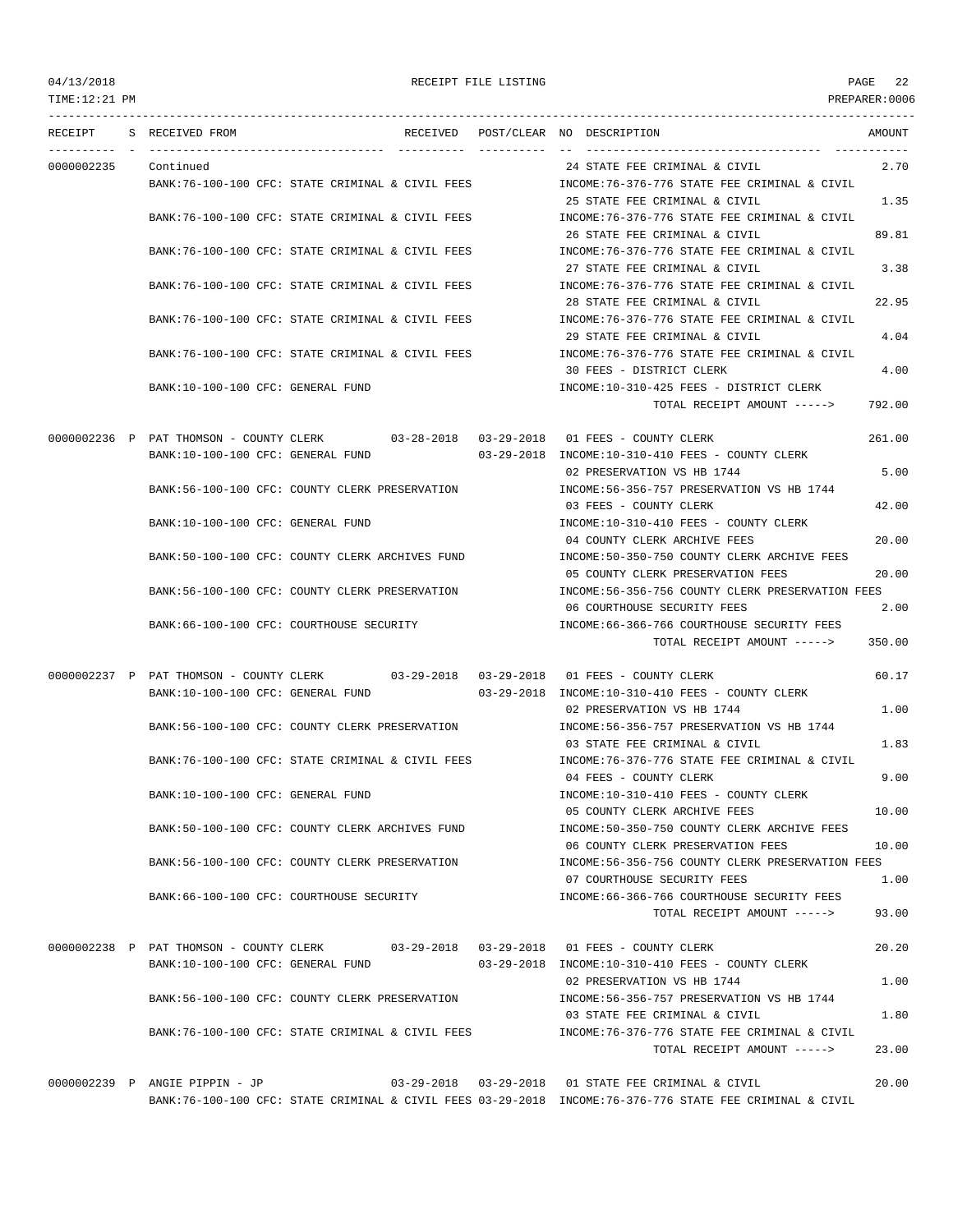| TIME:12:21 PM |                                          |                                                                                      |                                                                                                                                                                   | PREPARER:0006 |
|---------------|------------------------------------------|--------------------------------------------------------------------------------------|-------------------------------------------------------------------------------------------------------------------------------------------------------------------|---------------|
|               | RECEIPT S RECEIVED FROM                  |                                                                                      | RECEIVED POST/CLEAR NO DESCRIPTION                                                                                                                                | AMOUNT        |
| 0000002235    | Continued                                |                                                                                      | 24 STATE FEE CRIMINAL & CIVIL                                                                                                                                     | 2.70          |
|               |                                          | BANK:76-100-100 CFC: STATE CRIMINAL & CIVIL FEES                                     | INCOME: 76-376-776 STATE FEE CRIMINAL & CIVIL<br>25 STATE FEE CRIMINAL & CIVIL                                                                                    | 1.35          |
|               |                                          | BANK:76-100-100 CFC: STATE CRIMINAL & CIVIL FEES                                     | INCOME:76-376-776 STATE FEE CRIMINAL & CIVIL<br>26 STATE FEE CRIMINAL & CIVIL                                                                                     | 89.81         |
|               |                                          | BANK:76-100-100 CFC: STATE CRIMINAL & CIVIL FEES                                     | INCOME: 76-376-776 STATE FEE CRIMINAL & CIVIL                                                                                                                     |               |
|               |                                          | BANK:76-100-100 CFC: STATE CRIMINAL & CIVIL FEES                                     | 27 STATE FEE CRIMINAL & CIVIL<br>INCOME: 76-376-776 STATE FEE CRIMINAL & CIVIL                                                                                    | 3.38          |
|               |                                          | BANK:76-100-100 CFC: STATE CRIMINAL & CIVIL FEES                                     | 28 STATE FEE CRIMINAL & CIVIL<br>INCOME:76-376-776 STATE FEE CRIMINAL & CIVIL                                                                                     | 22.95         |
|               |                                          | BANK:76-100-100 CFC: STATE CRIMINAL & CIVIL FEES                                     | 29 STATE FEE CRIMINAL & CIVIL<br>INCOME:76-376-776 STATE FEE CRIMINAL & CIVIL                                                                                     | 4.04          |
|               | BANK:10-100-100 CFC: GENERAL FUND        |                                                                                      | 30 FEES - DISTRICT CLERK<br>INCOME:10-310-425 FEES - DISTRICT CLERK                                                                                               | 4.00          |
|               |                                          |                                                                                      | TOTAL RECEIPT AMOUNT ----->                                                                                                                                       | 792.00        |
|               |                                          | 0000002236 P PAT THOMSON - COUNTY CLERK 03-28-2018 03-29-2018 01 FEES - COUNTY CLERK |                                                                                                                                                                   | 261.00        |
|               | BANK:10-100-100 CFC: GENERAL FUND        |                                                                                      | 03-29-2018 INCOME:10-310-410 FEES - COUNTY CLERK<br>02 PRESERVATION VS HB 1744                                                                                    | 5.00          |
|               |                                          | BANK:56-100-100 CFC: COUNTY CLERK PRESERVATION                                       | INCOME: 56-356-757 PRESERVATION VS HB 1744<br>03 FEES - COUNTY CLERK                                                                                              | 42.00         |
|               | BANK:10-100-100 CFC: GENERAL FUND        |                                                                                      | INCOME:10-310-410 FEES - COUNTY CLERK<br>04 COUNTY CLERK ARCHIVE FEES                                                                                             | 20.00         |
|               |                                          | BANK:50-100-100 CFC: COUNTY CLERK ARCHIVES FUND                                      | INCOME:50-350-750 COUNTY CLERK ARCHIVE FEES<br>05 COUNTY CLERK PRESERVATION FEES                                                                                  | 20.00         |
|               |                                          | BANK:56-100-100 CFC: COUNTY CLERK PRESERVATION                                       | INCOME:56-356-756 COUNTY CLERK PRESERVATION FEES                                                                                                                  |               |
|               | BANK:66-100-100 CFC: COURTHOUSE SECURITY |                                                                                      | 06 COURTHOUSE SECURITY FEES<br>INCOME: 66-366-766 COURTHOUSE SECURITY FEES                                                                                        | 2.00          |
|               |                                          |                                                                                      | TOTAL RECEIPT AMOUNT ----->                                                                                                                                       | 350.00        |
|               | BANK:10-100-100 CFC: GENERAL FUND        | 0000002237 P PAT THOMSON - COUNTY CLERK 03-29-2018 03-29-2018 01 FEES - COUNTY CLERK | 03-29-2018 INCOME:10-310-410 FEES - COUNTY CLERK                                                                                                                  | 60.17         |
|               |                                          | BANK:56-100-100 CFC: COUNTY CLERK PRESERVATION                                       | 02 PRESERVATION VS HB 1744<br>INCOME: 56-356-757 PRESERVATION VS HB 1744                                                                                          | 1.00          |
|               |                                          | BANK:76-100-100 CFC: STATE CRIMINAL & CIVIL FEES                                     | 03 STATE FEE CRIMINAL & CIVIL                                                                                                                                     | 1.83          |
|               |                                          |                                                                                      | INCOME:76-376-776 STATE FEE CRIMINAL & CIVIL<br>04 FEES - COUNTY CLERK                                                                                            | 9.00          |
|               | BANK:10-100-100 CFC: GENERAL FUND        |                                                                                      | INCOME:10-310-410 FEES - COUNTY CLERK<br>05 COUNTY CLERK ARCHIVE FEES                                                                                             | 10.00         |
|               |                                          | BANK:50-100-100 CFC: COUNTY CLERK ARCHIVES FUND                                      | INCOME:50-350-750 COUNTY CLERK ARCHIVE FEES<br>06 COUNTY CLERK PRESERVATION FEES                                                                                  | 10.00         |
|               |                                          | BANK:56-100-100 CFC: COUNTY CLERK PRESERVATION                                       | INCOME: 56-356-756 COUNTY CLERK PRESERVATION FEES<br>07 COURTHOUSE SECURITY FEES                                                                                  | 1.00          |
|               | BANK:66-100-100 CFC: COURTHOUSE SECURITY |                                                                                      | INCOME: 66-366-766 COURTHOUSE SECURITY FEES<br>TOTAL RECEIPT AMOUNT ----->                                                                                        | 93.00         |
|               |                                          |                                                                                      |                                                                                                                                                                   |               |
|               | BANK:10-100-100 CFC: GENERAL FUND        | 0000002238 P PAT THOMSON - COUNTY CLERK 03-29-2018 03-29-2018 01 FEES - COUNTY CLERK | 03-29-2018 INCOME:10-310-410 FEES - COUNTY CLERK                                                                                                                  | 20.20         |
|               |                                          | BANK:56-100-100 CFC: COUNTY CLERK PRESERVATION                                       | 02 PRESERVATION VS HB 1744<br>INCOME: 56-356-757 PRESERVATION VS HB 1744                                                                                          | 1.00          |
|               |                                          | BANK:76-100-100 CFC: STATE CRIMINAL & CIVIL FEES                                     | 03 STATE FEE CRIMINAL & CIVIL<br>INCOME:76-376-776 STATE FEE CRIMINAL & CIVIL                                                                                     | 1.80          |
|               |                                          |                                                                                      | TOTAL RECEIPT AMOUNT ----->                                                                                                                                       | 23.00         |
|               | 0000002239 P ANGIE PIPPIN - JP           |                                                                                      | 03-29-2018  03-29-2018  01 STATE FEE CRIMINAL & CIVIL<br>BANK:76-100-100 CFC: STATE CRIMINAL & CIVIL FEES 03-29-2018 INCOME:76-376-776 STATE FEE CRIMINAL & CIVIL | 20.00         |
|               |                                          |                                                                                      |                                                                                                                                                                   |               |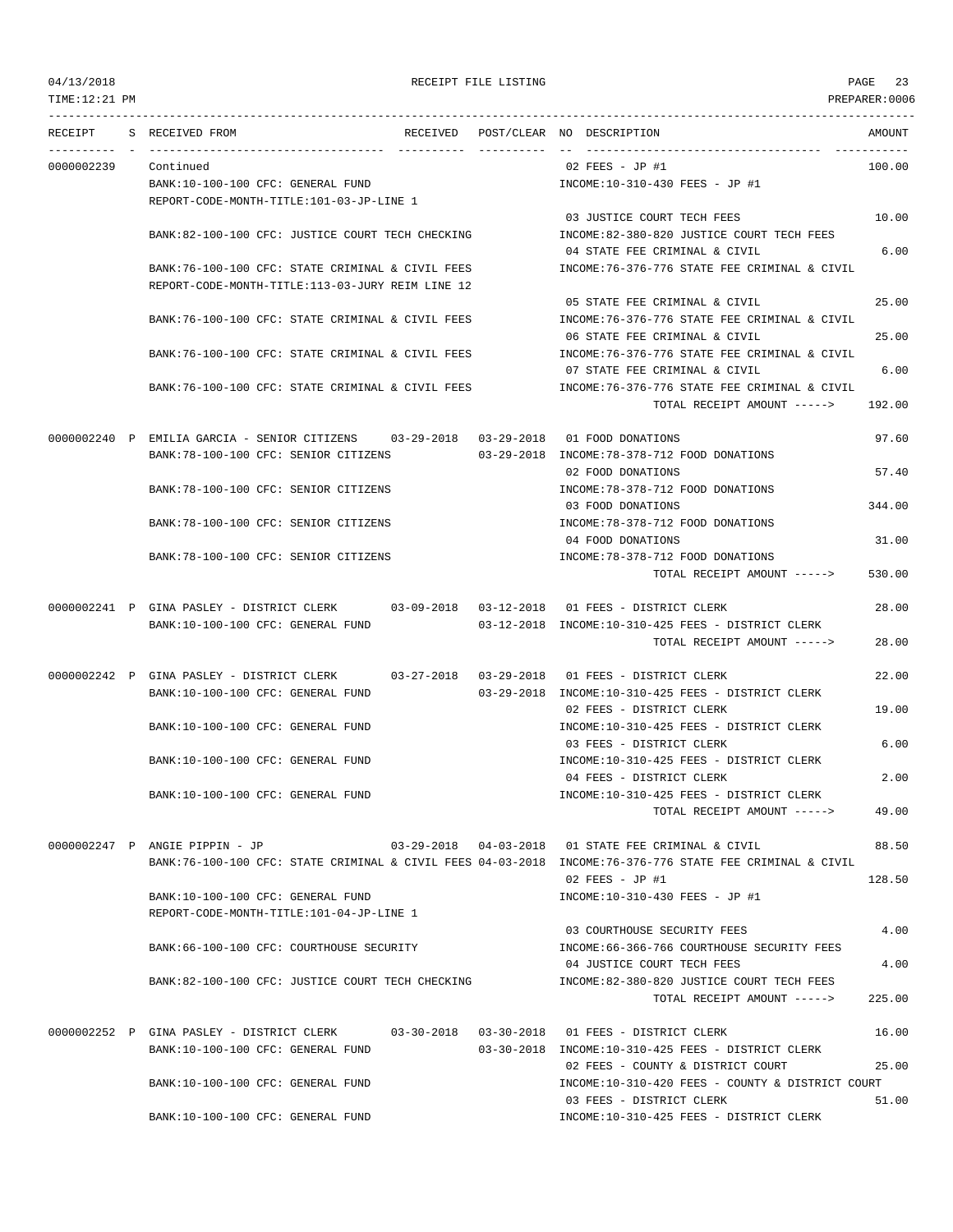TIME:12:21 PM PREPARER:0006 --------------------------------------------------------------------------------------------------------------------------------- RECEIPT S RECEIVED FROM THE RECEIVED POST/CLEAR NO DESCRIPTION THE RECEIVED AMOUNT ---------- - ----------------------------------- ---------- ---------- -- ----------------------------------- ----------- 0000002239 Continued 02 FEES - JP #1 100.00 BANK:10-100-100 CFC: GENERAL FUND INCOME:10-310-430 FEES - JP #1 REPORT-CODE-MONTH-TITLE:101-03-JP-LINE 1 03 JUSTICE COURT TECH FEES 10.00 BANK:82-100-100 CFC: JUSTICE COURT TECH CHECKING INCOME:82-380-820 JUSTICE COURT TECH FEES 04 STATE FEE CRIMINAL & CIVIL 6.00 BANK:76-100-100 CFC: STATE CRIMINAL & CIVIL FEES INCOME:76-376-776 STATE FEE CRIMINAL & CIVIL REPORT-CODE-MONTH-TITLE:113-03-JURY REIM LINE 12 05 STATE FEE CRIMINAL & CIVIL 25.00 BANK:76-100-100 CFC: STATE CRIMINAL & CIVIL FEES INCOME:76-376-776 STATE FEE CRIMINAL & CIVIL 06 STATE FEE CRIMINAL & CIVIL 25.00 BANK:76-100-100 CFC: STATE CRIMINAL & CIVIL FEES INCOME:76-376-776 STATE FEE CRIMINAL & CIVIL 07 STATE FEE CRIMINAL & CIVIL 6.00 BANK:76-100-100 CFC: STATE CRIMINAL & CIVIL FEES INCOME:76-376-776 STATE FEE CRIMINAL & CIVIL TOTAL RECEIPT AMOUNT -----> 192.00 0000002240 P EMILIA GARCIA - SENIOR CITIZENS 03-29-2018 03-29-2018 01 FOOD DONATIONS 97.60 BANK:78-100-100 CFC: SENIOR CITIZENS 03-29-2018 INCOME:78-378-712 FOOD DONATIONS 02 FOOD DONATIONS 57.40 BANK:78-100-100 CFC: SENIOR CITIZENS INCOME:78-378-712 FOOD DONATIONS 03 FOOD DONATIONS 344.00 BANK:78-100-100 CFC: SENIOR CITIZENS  $INCOME:78-378-712$  FOOD DONATIONS 04 FOOD DONATIONS 31.00 BANK:78-100-100 CFC: SENIOR CITIZENS INCOME:78-378-712 FOOD DONATIONS TOTAL RECEIPT AMOUNT -----> 530.00 0000002241 P GINA PASLEY - DISTRICT CLERK 03-09-2018 03-12-2018 01 FEES - DISTRICT CLERK 28.00 BANK:10-100-100 CFC: GENERAL FUND 03-12-2018 INCOME:10-310-425 FEES - DISTRICT CLERK TOTAL RECEIPT AMOUNT -----> 28.00 0000002242 P GINA PASLEY - DISTRICT CLERK 03-27-2018 03-29-2018 01 FEES - DISTRICT CLERK 22.00 BANK:10-100-100 CFC: GENERAL FUND 03-29-2018 INCOME:10-310-425 FEES - DISTRICT CLERK 02 FEES - DISTRICT CLERK 19.00 BANK:10-100-100 CFC: GENERAL FUND INCOME:10-310-425 FEES - DISTRICT CLERK 03 FEES - DISTRICT CLERK 6.00 BANK:10-100-100 CFC: GENERAL FUND INCOME:10-310-425 FEES - DISTRICT CLERK 04 FEES - DISTRICT CLERK 2.00 BANK:10-100-100 CFC: GENERAL FUND INCOME:10-310-425 FEES - DISTRICT CLERK TOTAL RECEIPT AMOUNT -----> 49.00 0000002247 P ANGIE PIPPIN - JP 03-29-2018 04-03-2018 01 STATE FEE CRIMINAL & CIVIL 88.50 BANK:76-100-100 CFC: STATE CRIMINAL & CIVIL FEES 04-03-2018 INCOME:76-376-776 STATE FEE CRIMINAL & CIVIL 02 FEES - JP #1 128.50 BANK:10-100-100 CFC: GENERAL FUND INCOME:10-310-430 FEES - JP #1 REPORT-CODE-MONTH-TITLE:101-04-JP-LINE 1 03 COURTHOUSE SECURITY FEES 4.00 BANK:66-100-100 CFC: COURTHOUSE SECURITY INCOME:66-366-766 COURTHOUSE SECURITY FEES 04 JUSTICE COURT TECH FEES 4.00 BANK:82-100-100 CFC: JUSTICE COURT TECH CHECKING INCOME:82-380-820 JUSTICE COURT TECH FEES TOTAL RECEIPT AMOUNT  $--- 225.00$ 0000002252 P GINA PASLEY - DISTRICT CLERK 03-30-2018 03-30-2018 01 FEES - DISTRICT CLERK 16.00 BANK:10-100-100 CFC: GENERAL FUND 03-30-2018 INCOME:10-310-425 FEES - DISTRICT CLERK 02 FEES - COUNTY & DISTRICT COURT 25.00 BANK:10-100-100 CFC: GENERAL FUND INCOME:10-310-420 FEES - COUNTY & DISTRICT COURT 03 FEES - DISTRICT CLERK 51.00 BANK:10-100-100 CFC: GENERAL FUND INCOME:10-310-425 FEES - DISTRICT CLERK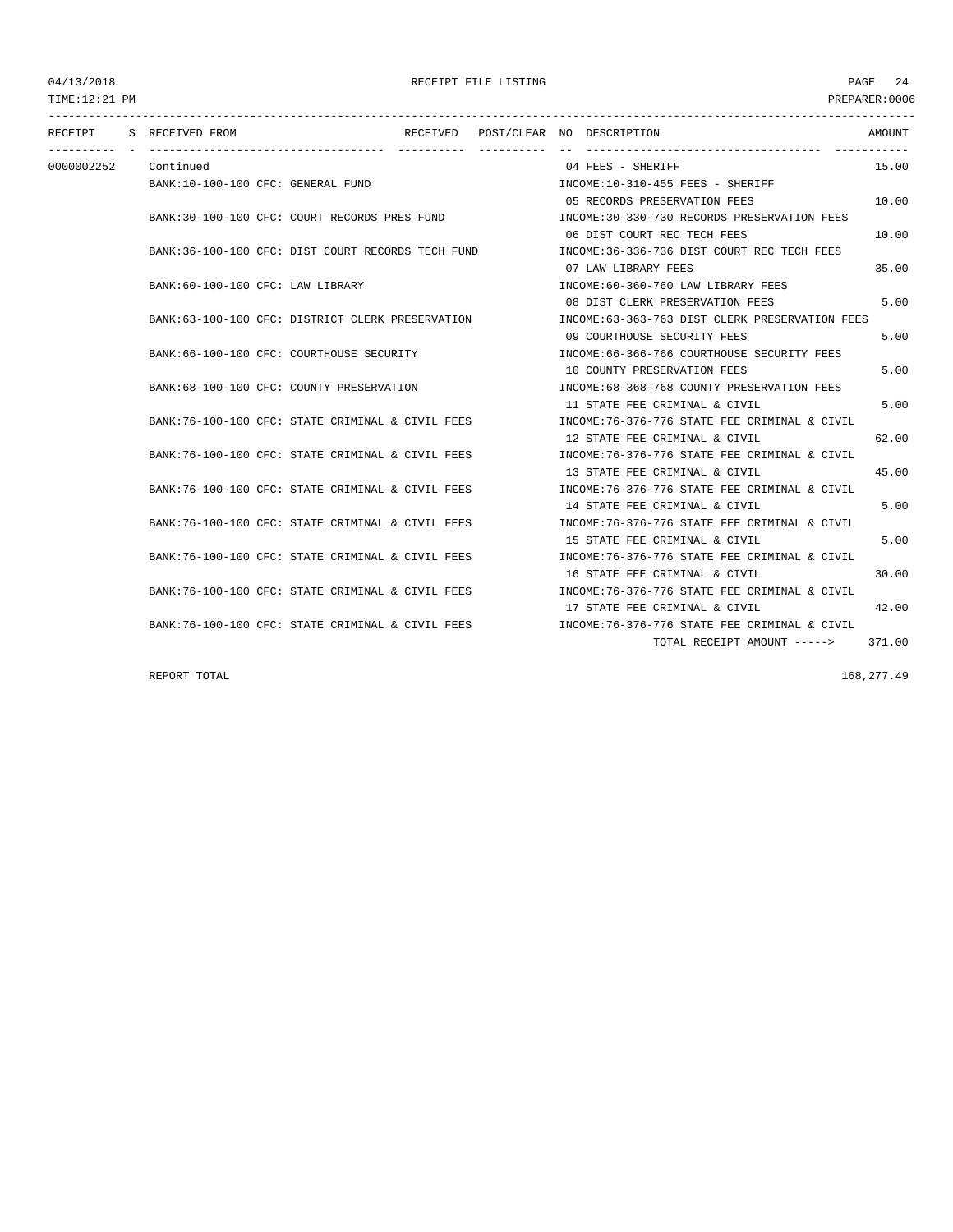--------------------------------------------------------------------------------------------------------------------------------- RECEIPT S RECEIVED FROM THE RECEIVED POST/CLEAR NO DESCRIPTION THE RECEIVED AMOUNT ---------- - ----------------------------------- ---------- ---------- -- ----------------------------------- ----------- 0000002252 Continued 04 FEES - SHERIFF 15.00 BANK:10-100-100 CFC: GENERAL FUND INCOME:10-310-455 FEES - SHERIFF 05 RECORDS PRESERVATION FEES 10.00 BANK:30-100-100 CFC: COURT RECORDS PRES FUND INCOME:30-330-730 RECORDS PRESERVATION FEES 06 DIST COURT REC TECH FEES 10.00 BANK:36-100-100 CFC: DIST COURT RECORDS TECH FUND INCOME:36-336-736 DIST COURT REC TECH FEES 07 LAW LIBRARY FEES 35.00 BANK:60-100-100 CFC: LAW LIBRARY **INCOME:60-360-760 LAW LIBRARY FEES** 08 DIST CLERK PRESERVATION FEES 5.00 BANK:63-100-100 CFC: DISTRICT CLERK PRESERVATION INCOME:63-363-763 DIST CLERK PRESERVATION FEES 09 COURTHOUSE SECURITY FEES 5.00 BANK:66-100-100 CFC: COURTHOUSE SECURITY INCOME:66-366-766 COURTHOUSE SECURITY FEES 10 COUNTY PRESERVATION FEES 5.00 BANK:68-100-100 CFC: COUNTY PRESERVATION INCOME:68-368-768 COUNTY PRESERVATION FEES 11 STATE FEE CRIMINAL & CIVIL 6 5.00 BANK:76-100-100 CFC: STATE CRIMINAL & CIVIL FEES INCOME:76-376-776 STATE FEE CRIMINAL & CIVIL 12 STATE FEE CRIMINAL & CIVIL 62.00 BANK:76-100-100 CFC: STATE CRIMINAL & CIVIL FEES INCOME:76-376-776 STATE FEE CRIMINAL & CIVIL 13 STATE FEE CRIMINAL & CIVIL 45.00 BANK:76-100-100 CFC: STATE CRIMINAL & CIVIL FEES INCOME:76-376-776 STATE FEE CRIMINAL & CIVIL 14 STATE FEE CRIMINAL & CIVIL 5.00 BANK:76-100-100 CFC: STATE CRIMINAL & CIVIL FEES INCOME:76-376-776 STATE FEE CRIMINAL & CIVIL 15 STATE FEE CRIMINAL & CIVIL 6.00 BANK:76-100-100 CFC: STATE CRIMINAL & CIVIL FEES INCOME:76-376-776 STATE FEE CRIMINAL & CIVIL 16 STATE FEE CRIMINAL & CIVIL 30.00 BANK:76-100-100 CFC: STATE CRIMINAL & CIVIL FEES INCOME:76-376-776 STATE FEE CRIMINAL & CIVIL 17 STATE FEE CRIMINAL & CIVIL 42.00 BANK:76-100-100 CFC: STATE CRIMINAL & CIVIL FEES INCOME:76-376-776 STATE FEE CRIMINAL & CIVIL TOTAL RECEIPT AMOUNT -----> 371.00

REPORT TOTAL 168,277.49